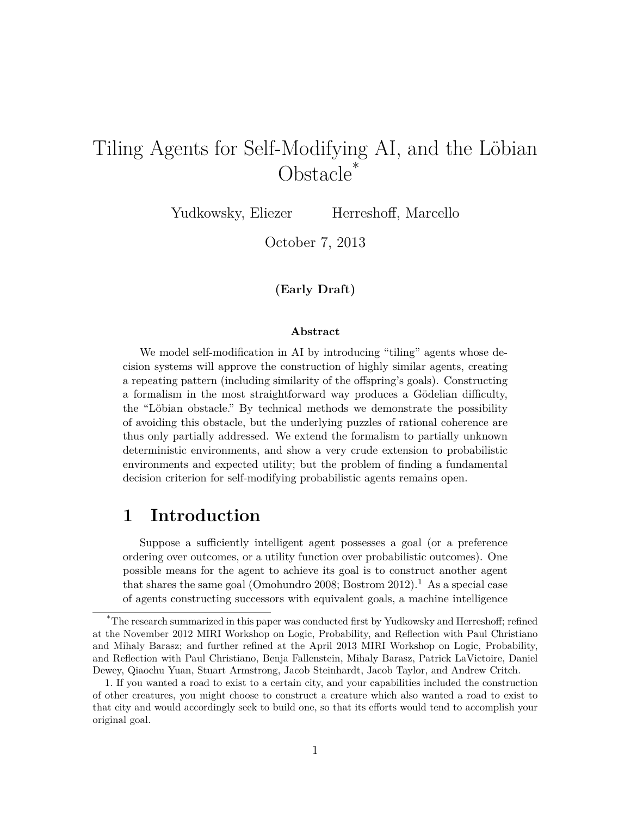# Tiling Agents for Self-Modifying AI, and the Löbian Obstacle<sup>\*</sup>

Yudkowsky, Eliezer Herreshoff, Marcello

October 7, 2013

**(Early Draft)**

#### **Abstract**

We model self-modification in AI by introducing "tiling" agents whose decision systems will approve the construction of highly similar agents, creating a repeating pattern (including similarity of the offspring's goals). Constructing a formalism in the most straightforward way produces a Gödelian difficulty, the "Löbian obstacle." By technical methods we demonstrate the possibility of avoiding this obstacle, but the underlying puzzles of rational coherence are thus only partially addressed. We extend the formalism to partially unknown deterministic environments, and show a very crude extension to probabilistic environments and expected utility; but the problem of finding a fundamental decision criterion for self-modifying probabilistic agents remains open.

### **1 Introduction**

Suppose a sufficiently intelligent agent possesses a goal (or a preference ordering over outcomes, or a utility function over probabilistic outcomes). One possible means for the agent to achieve its goal is to construct another agent that shares the same goal (Omohundro 2008; Bostrom  $2012$ ).<sup>1</sup> As a special case of agents constructing successors with equivalent goals, a machine intelligence

<sup>\*</sup>The research summarized in this paper was conducted first by Yudkowsky and Herreshoff; refined at the November 2012 MIRI Workshop on Logic, Probability, and Reflection with Paul Christiano and Mihaly Barasz; and further refined at the April 2013 MIRI Workshop on Logic, Probability, and Reflection with Paul Christiano, Benja Fallenstein, Mihaly Barasz, Patrick LaVictoire, Daniel Dewey, Qiaochu Yuan, Stuart Armstrong, Jacob Steinhardt, Jacob Taylor, and Andrew Critch.

<sup>1.</sup> If you wanted a road to exist to a certain city, and your capabilities included the construction of other creatures, you might choose to construct a creature which also wanted a road to exist to that city and would accordingly seek to build one, so that its efforts would tend to accomplish your original goal.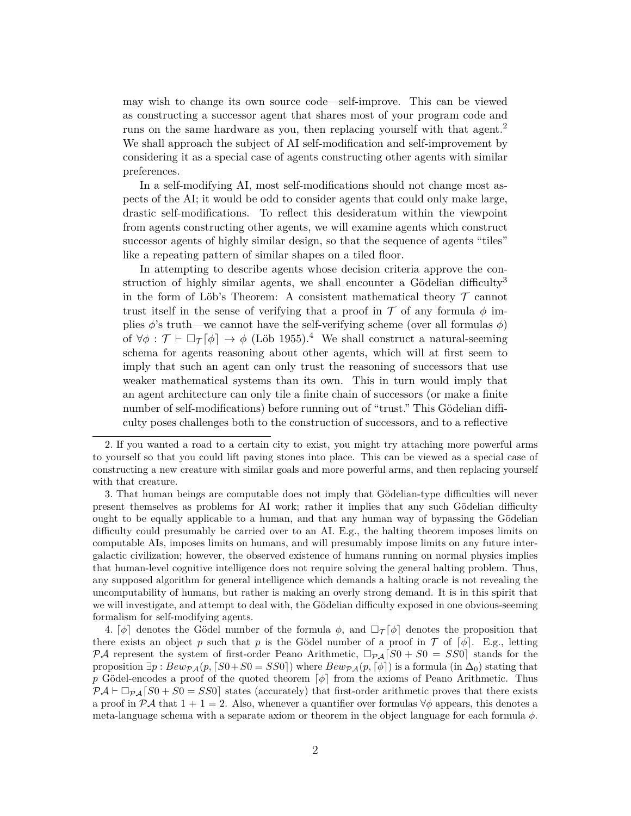may wish to change its own source code—self-improve. This can be viewed as constructing a successor agent that shares most of your program code and runs on the same hardware as you, then replacing yourself with that agent.<sup>2</sup> We shall approach the subject of AI self-modification and self-improvement by considering it as a special case of agents constructing other agents with similar preferences.

In a self-modifying AI, most self-modifications should not change most aspects of the AI; it would be odd to consider agents that could only make large, drastic self-modifications. To reflect this desideratum within the viewpoint from agents constructing other agents, we will examine agents which construct successor agents of highly similar design, so that the sequence of agents "tiles" like a repeating pattern of similar shapes on a tiled floor.

In attempting to describe agents whose decision criteria approve the construction of highly similar agents, we shall encounter a Gödelian difficulty<sup>3</sup> in the form of Löb's Theorem: A consistent mathematical theory  $\mathcal T$  cannot trust itself in the sense of verifying that a proof in  $\mathcal T$  of any formula  $\phi$  implies  $\phi$ 's truth—we cannot have the self-verifying scheme (over all formulas  $\phi$ ) of  $\forall \phi : \mathcal{T} \vdash \Box_{\mathcal{T}}[\phi] \rightarrow \phi$  (Löb 1955).<sup>4</sup> We shall construct a natural-seeming schema for agents reasoning about other agents, which will at first seem to imply that such an agent can only trust the reasoning of successors that use weaker mathematical systems than its own. This in turn would imply that an agent architecture can only tile a finite chain of successors (or make a finite number of self-modifications) before running out of "trust." This Gödelian difficulty poses challenges both to the construction of successors, and to a reflective

3. That human beings are computable does not imply that Gödelian-type difficulties will never present themselves as problems for AI work; rather it implies that any such Gödelian difficulty ought to be equally applicable to a human, and that any human way of bypassing the Gödelian difficulty could presumably be carried over to an AI. E.g., the halting theorem imposes limits on computable AIs, imposes limits on humans, and will presumably impose limits on any future intergalactic civilization; however, the observed existence of humans running on normal physics implies that human-level cognitive intelligence does not require solving the general halting problem. Thus, any supposed algorithm for general intelligence which demands a halting oracle is not revealing the uncomputability of humans, but rather is making an overly strong demand. It is in this spirit that we will investigate, and attempt to deal with, the Gödelian difficulty exposed in one obvious-seeming formalism for self-modifying agents.

4.  $\lbrack \phi \rbrack$  denotes the Gödel number of the formula  $\phi$ , and  $\Box_{\mathcal{T}}[\phi]$  denotes the proposition that there exists an object p such that p is the Gödel number of a proof in  $\mathcal T$  of  $[\phi]$ . E.g., letting PA represent the system of first-order Peano Arithmetic,  $\Box_{P,A}[S0 + S0 = SS0]$  stands for the proposition  $\exists p : Bew_{\mathcal{P}\mathcal{A}}(p, \lceil S0+S0 = SS0 \rceil)$  where  $Bew_{\mathcal{P}\mathcal{A}}(p, \lceil \phi \rceil)$  is a formula (in  $\Delta_0$ ) stating that p Gödel-encodes a proof of the quoted theorem  $\lceil \phi \rceil$  from the axioms of Peano Arithmetic. Thus  $\mathcal{P}A \vdash \Box_{\mathcal{P}A}[S0 + S0 = SS0]$  states (accurately) that first-order arithmetic proves that there exists a proof in  $\mathcal{P} \mathcal{A}$  that  $1 + 1 = 2$ . Also, whenever a quantifier over formulas  $\forall \phi$  appears, this denotes a meta-language schema with a separate axiom or theorem in the object language for each formula  $\phi$ .

<sup>2.</sup> If you wanted a road to a certain city to exist, you might try attaching more powerful arms to yourself so that you could lift paving stones into place. This can be viewed as a special case of constructing a new creature with similar goals and more powerful arms, and then replacing yourself with that creature.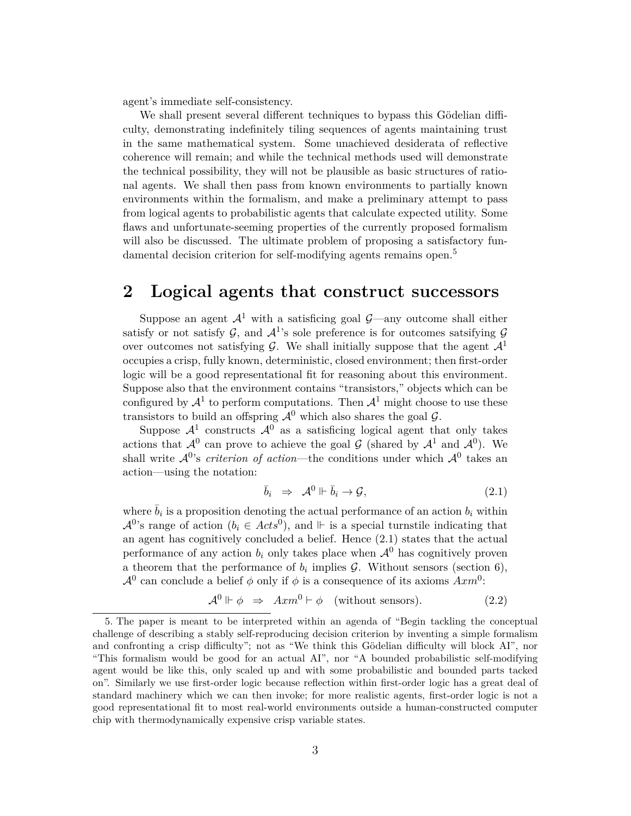agent's immediate self-consistency.

We shall present several different techniques to bypass this Gödelian difficulty, demonstrating indefinitely tiling sequences of agents maintaining trust in the same mathematical system. Some unachieved desiderata of reflective coherence will remain; and while the technical methods used will demonstrate the technical possibility, they will not be plausible as basic structures of rational agents. We shall then pass from known environments to partially known environments within the formalism, and make a preliminary attempt to pass from logical agents to probabilistic agents that calculate expected utility. Some flaws and unfortunate-seeming properties of the currently proposed formalism will also be discussed. The ultimate problem of proposing a satisfactory fundamental decision criterion for self-modifying agents remains open.<sup>5</sup>

### **2 Logical agents that construct successors**

Suppose an agent  $\mathcal{A}^1$  with a satisficing goal  $\mathcal{G}$ —any outcome shall either satisfy or not satisfy G, and  $\mathcal{A}^1$ 's sole preference is for outcomes satsifying G over outcomes not satisfying G. We shall initially suppose that the agent  $\mathcal{A}^1$ occupies a crisp, fully known, deterministic, closed environment; then first-order logic will be a good representational fit for reasoning about this environment. Suppose also that the environment contains "transistors," objects which can be configured by  $\mathcal{A}^1$  to perform computations. Then  $\mathcal{A}^1$  might choose to use these transistors to build an offspring  $\mathcal{A}^0$  which also shares the goal  $\mathcal{G}$ .

Suppose  $\mathcal{A}^1$  constructs  $\mathcal{A}^0$  as a satisficing logical agent that only takes actions that  $\mathcal{A}^0$  can prove to achieve the goal  $\mathcal G$  (shared by  $\mathcal{A}^1$  and  $\mathcal{A}^0$ ). We shall write  $\mathcal{A}^{0}$ 's *criterion of action*—the conditions under which  $\mathcal{A}^{0}$  takes an action—using the notation:

$$
\bar{b}_i \Rightarrow \mathcal{A}^0 \Vdash \bar{b}_i \to \mathcal{G}, \tag{2.1}
$$

where  $\bar{b}_i$  is a proposition denoting the actual performance of an action  $b_i$  within  $\mathcal{A}^{0}$ 's range of action  $(b_i \in Acts^0)$ , and  $\mathbb{H}$  is a special turnstile indicating that an agent has cognitively concluded a belief. Hence (2.1) states that the actual performance of any action  $b_i$  only takes place when  $\mathcal{A}^0$  has cognitively proven a theorem that the performance of  $b_i$  implies  $\mathcal{G}$ . Without sensors (section 6),  $\mathcal{A}^0$  can conclude a belief  $\phi$  only if  $\phi$  is a consequence of its axioms  $Axm^0$ :

$$
\mathcal{A}^0 \Vdash \phi \Rightarrow Axm^0 \vdash \phi \quad \text{(without sensors)}.\tag{2.2}
$$

<sup>5.</sup> The paper is meant to be interpreted within an agenda of "Begin tackling the conceptual challenge of describing a stably self-reproducing decision criterion by inventing a simple formalism and confronting a crisp difficulty"; not as "We think this Gödelian difficulty will block AI", nor "This formalism would be good for an actual AI", nor "A bounded probabilistic self-modifying agent would be like this, only scaled up and with some probabilistic and bounded parts tacked on". Similarly we use first-order logic because reflection within first-order logic has a great deal of standard machinery which we can then invoke; for more realistic agents, first-order logic is not a good representational fit to most real-world environments outside a human-constructed computer chip with thermodynamically expensive crisp variable states.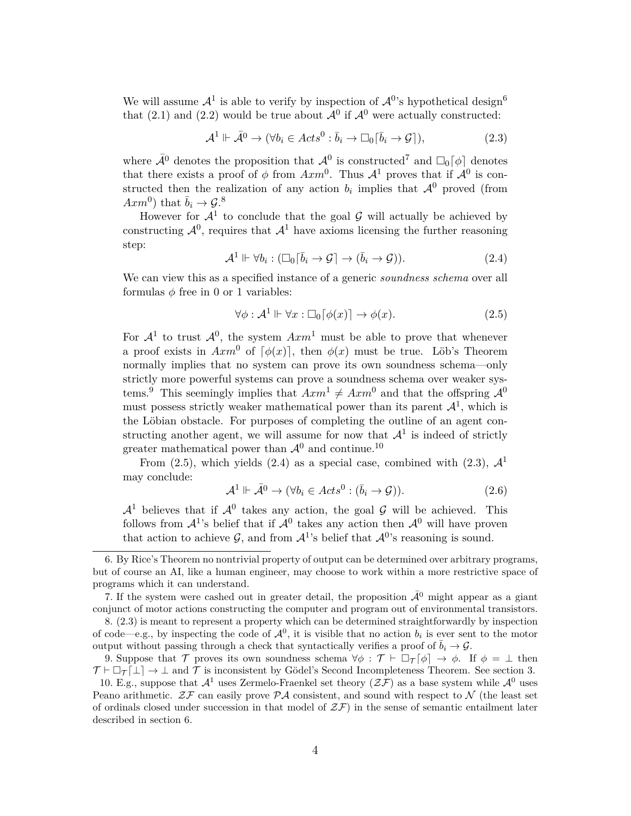We will assume  $\mathcal{A}^1$  is able to verify by inspection of  $\mathcal{A}^0$ 's hypothetical design<sup>6</sup> that (2.1) and (2.2) would be true about  $\mathcal{A}^0$  if  $\mathcal{A}^0$  were actually constructed:

$$
\mathcal{A}^1 \Vdash \bar{\mathcal{A}}^0 \to (\forall b_i \in \mathit{Acts}^0 : \bar{b}_i \to \Box_0[\bar{b}_i \to \mathcal{G}]),\tag{2.3}
$$

where  $\bar{\mathcal{A}}^0$  denotes the proposition that  $\mathcal{A}^0$  is constructed<sup>7</sup> and  $\Box_0[\phi]$  denotes that there exists a proof of  $\phi$  from  $Axm^0$ . Thus  $\mathcal{A}^1$  proves that if  $\mathcal{A}^0$  is constructed then the realization of any action  $b_i$  implies that  $\mathcal{A}^0$  proved (from  $Axm^0$ ) that  $\bar{b}_i \to \mathcal{G}$ .<sup>8</sup>

However for  $\mathcal{A}^1$  to conclude that the goal  $\mathcal G$  will actually be achieved by constructing  $\mathcal{A}^0$ , requires that  $\mathcal{A}^1$  have axioms licensing the further reasoning step:

$$
\mathcal{A}^1 \Vdash \forall b_i : (\Box_0[\bar{b}_i \to \mathcal{G}] \to (\bar{b}_i \to \mathcal{G})). \tag{2.4}
$$

We can view this as a specified instance of a generic *soundness schema* over all formulas  $\phi$  free in 0 or 1 variables:

$$
\forall \phi : \mathcal{A}^1 \Vdash \forall x : \Box_0[\phi(x)] \to \phi(x). \tag{2.5}
$$

For  $\mathcal{A}^1$  to trust  $\mathcal{A}^0$ , the system  $Axm^1$  must be able to prove that whenever a proof exists in  $Axm^0$  of  $\lceil \phi(x) \rceil$ , then  $\phi(x)$  must be true. Löb's Theorem normally implies that no system can prove its own soundness schema—only strictly more powerful systems can prove a soundness schema over weaker systems.<sup>9</sup> This seemingly implies that  $Axm^1 \neq Axm^0$  and that the offspring  $\mathcal{A}^0$ must possess strictly weaker mathematical power than its parent  $\mathcal{A}^1$ , which is the Löbian obstacle. For purposes of completing the outline of an agent constructing another agent, we will assume for now that  $\mathcal{A}^1$  is indeed of strictly greater mathematical power than  $\mathcal{A}^0$  and continue.<sup>10</sup>

From (2.5), which yields (2.4) as a special case, combined with (2.3),  $\mathcal{A}^1$ may conclude:

$$
\mathcal{A}^1 \Vdash \bar{\mathcal{A}}^0 \to (\forall b_i \in \mathcal{A}cts^0 : (\bar{b}_i \to \mathcal{G})). \tag{2.6}
$$

 $\mathcal{A}^1$  believes that if  $\mathcal{A}^0$  takes any action, the goal G will be achieved. This follows from  $\mathcal{A}^1$ 's belief that if  $\mathcal{A}^0$  takes any action then  $\mathcal{A}^0$  will have proven that action to achieve  $\mathcal{G}$ , and from  $\mathcal{A}^1$ 's belief that  $\mathcal{A}^0$ 's reasoning is sound.

<sup>6.</sup> By Rice's Theorem no nontrivial property of output can be determined over arbitrary programs, but of course an AI, like a human engineer, may choose to work within a more restrictive space of programs which it can understand.

<sup>7.</sup> If the system were cashed out in greater detail, the proposition  $\bar{A}^0$  might appear as a giant conjunct of motor actions constructing the computer and program out of environmental transistors.

<sup>8. (2.3)</sup> is meant to represent a property which can be determined straightforwardly by inspection of code—e.g., by inspecting the code of  $\mathcal{A}^0$ , it is visible that no action  $b_i$  is ever sent to the motor output without passing through a check that syntactically verifies a proof of  $\bar{b}_i \rightarrow \mathcal{G}$ .

<sup>9.</sup> Suppose that T proves its own soundness schema  $\forall \phi : \mathcal{T} \vdash \Box_{\mathcal{T}}[\phi] \rightarrow \phi$ . If  $\phi = \bot$  then  $\mathcal{T} \vdash \Box_{\mathcal{T}}[\bot] \rightarrow \bot$  and  $\mathcal{T}$  is inconsistent by Gödel's Second Incompleteness Theorem. See section 3.

<sup>10.</sup> E.g., suppose that  $\mathcal{A}^1$  uses Zermelo-Fraenkel set theory  $(\mathcal{ZF})$  as a base system while  $\mathcal{A}^0$  uses Peano arithmetic.  $Z\mathcal{F}$  can easily prove  $\mathcal{P} A$  consistent, and sound with respect to N (the least set of ordinals closed under succession in that model of  $\mathcal{ZF}$ ) in the sense of semantic entailment later described in section 6.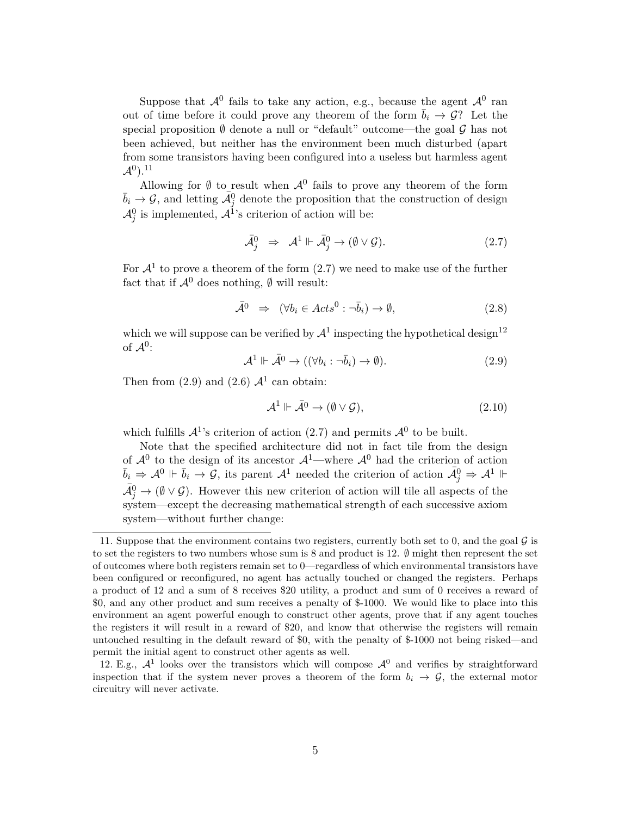Suppose that  $\mathcal{A}^0$  fails to take any action, e.g., because the agent  $\mathcal{A}^0$  ran out of time before it could prove any theorem of the form  $\bar{b}_i \to \mathcal{G}$ ? Let the special proposition  $\emptyset$  denote a null or "default" outcome—the goal  $\mathcal G$  has not been achieved, but neither has the environment been much disturbed (apart from some transistors having been configured into a useless but harmless agent  $\mathcal{A}^{0}$ ). $^{11}$ 

Allowing for  $\emptyset$  to result when  $\mathcal{A}^0$  fails to prove any theorem of the form  $\bar{b}_i \to \mathcal{G}$ , and letting  $\bar{\mathcal{A}}_j^0$  denote the proposition that the construction of design  $\mathcal{A}_{j}^{0}$  is implemented,  $\mathcal{A}^{1}$ 's criterion of action will be:

$$
\bar{\mathcal{A}}_j^0 \Rightarrow \mathcal{A}^1 \Vdash \bar{\mathcal{A}}_j^0 \to (\emptyset \lor \mathcal{G}). \tag{2.7}
$$

For  $\mathcal{A}^1$  to prove a theorem of the form  $(2.7)$  we need to make use of the further fact that if  $\mathcal{A}^0$  does nothing,  $\emptyset$  will result:

$$
\bar{\mathcal{A}}^0 \Rightarrow (\forall b_i \in Acts^0 : \neg \bar{b}_i) \to \emptyset,
$$
\n(2.8)

which we will suppose can be verified by  $\mathcal{A}^1$  inspecting the hypothetical design<sup>12</sup> of  $\mathcal{A}^0$ :

$$
\mathcal{A}^1 \Vdash \bar{\mathcal{A}}^0 \to ((\forall b_i : \neg \bar{b}_i) \to \emptyset). \tag{2.9}
$$

Then from  $(2.9)$  and  $(2.6)$   $\mathcal{A}^1$  can obtain:

$$
\mathcal{A}^1 \Vdash \bar{\mathcal{A}}^0 \to (\emptyset \lor \mathcal{G}),\tag{2.10}
$$

which fulfills  $\mathcal{A}^1$ 's criterion of action (2.7) and permits  $\mathcal{A}^0$  to be built.

Note that the specified architecture did not in fact tile from the design of  $\mathcal{A}^0$  to the design of its ancestor  $\mathcal{A}^1$ —where  $\mathcal{A}^0$  had the criterion of action  $\bar{b}_i \Rightarrow \mathcal{A}^0 \Vdash \bar{b}_i \rightarrow \mathcal{G}$ , its parent  $\mathcal{A}^1$  needed the criterion of action  $\bar{\mathcal{A}}_j^0 \Rightarrow \mathcal{A}^1 \Vdash$  $\bar{\mathcal{A}}_j^0 \to (\emptyset \vee \mathcal{G})$ . However this new criterion of action will tile all aspects of the system—except the decreasing mathematical strength of each successive axiom system—without further change:

<sup>11.</sup> Suppose that the environment contains two registers, currently both set to 0, and the goal  $\mathcal G$  is to set the registers to two numbers whose sum is 8 and product is 12. ∅ might then represent the set of outcomes where both registers remain set to 0—regardless of which environmental transistors have been configured or reconfigured, no agent has actually touched or changed the registers. Perhaps a product of 12 and a sum of 8 receives \$20 utility, a product and sum of 0 receives a reward of \$0, and any other product and sum receives a penalty of \$-1000. We would like to place into this environment an agent powerful enough to construct other agents, prove that if any agent touches the registers it will result in a reward of \$20, and know that otherwise the registers will remain untouched resulting in the default reward of \$0, with the penalty of \$-1000 not being risked—and permit the initial agent to construct other agents as well.

<sup>12.</sup> E.g.,  $\mathcal{A}^1$  looks over the transistors which will compose  $\mathcal{A}^0$  and verifies by straightforward inspection that if the system never proves a theorem of the form  $b_i \rightarrow \mathcal{G}$ , the external motor circuitry will never activate.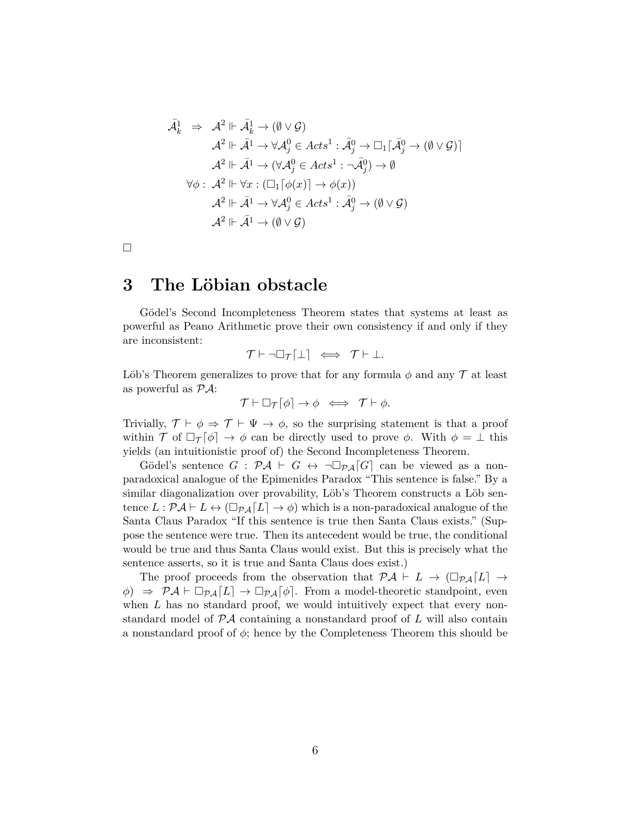$$
\bar{\mathcal{A}}_k^1 \Rightarrow \mathcal{A}^2 \Vdash \bar{\mathcal{A}}_k^1 \rightarrow (\emptyset \vee \mathcal{G})
$$
\n
$$
\mathcal{A}^2 \Vdash \bar{\mathcal{A}}^1 \rightarrow \forall \mathcal{A}_j^0 \in \mathit{Acts}^1 : \bar{\mathcal{A}}_j^0 \rightarrow \Box_1[\bar{\mathcal{A}}_j^0 \rightarrow (\emptyset \vee \mathcal{G})]
$$
\n
$$
\mathcal{A}^2 \Vdash \bar{\mathcal{A}}^1 \rightarrow (\forall \mathcal{A}_j^0 \in \mathit{Acts}^1 : \neg \bar{\mathcal{A}}_j^0) \rightarrow \emptyset
$$
\n
$$
\forall \phi : \mathcal{A}^2 \Vdash \forall x : (\Box_1[\phi(x)] \rightarrow \phi(x))
$$
\n
$$
\mathcal{A}^2 \Vdash \bar{\mathcal{A}}^1 \rightarrow \forall \mathcal{A}_j^0 \in \mathit{Acts}^1 : \bar{\mathcal{A}}_j^0 \rightarrow (\emptyset \vee \mathcal{G})
$$
\n
$$
\mathcal{A}^2 \Vdash \bar{\mathcal{A}}^1 \rightarrow (\emptyset \vee \mathcal{G})
$$

$$
\Box
$$

### **3 The Löbian obstacle**

Gödel's Second Incompleteness Theorem states that systems at least as powerful as Peano Arithmetic prove their own consistency if and only if they are inconsistent:

$$
\mathcal{T} \vdash \neg \Box_{\mathcal{T}}[\bot] \iff \mathcal{T} \vdash \bot.
$$

Löb's Theorem generalizes to prove that for any formula  $\phi$  and any  $\mathcal T$  at least as powerful as  $P\mathcal{A}$ :

$$
\mathcal{T}\vdash \Box_{\mathcal{T}}\lceil \phi\rceil\rightarrow \phi\;\iff\; \mathcal{T}\vdash \phi.
$$

Trivially,  $\mathcal{T} \vdash \phi \Rightarrow \mathcal{T} \vdash \Psi \rightarrow \phi$ , so the surprising statement is that a proof within  $\mathcal T$  of  $\Box_{\mathcal T} [\phi] \rightarrow \phi$  can be directly used to prove  $\phi$ . With  $\phi = \bot$  this yields (an intuitionistic proof of) the Second Incompleteness Theorem.

Gödel's sentence  $G : \mathcal{P} \mathcal{A} \vdash G \leftrightarrow \neg \Box_{\mathcal{P} \mathcal{A}}[G]$  can be viewed as a nonparadoxical analogue of the Epimenides Paradox "This sentence is false." By a similar diagonalization over provability, Löb's Theorem constructs a Löb sentence  $L : \mathcal{PA} \vdash L \leftrightarrow (\Box_{\mathcal{PA}}[L] \rightarrow \phi)$  which is a non-paradoxical analogue of the Santa Claus Paradox "If this sentence is true then Santa Claus exists." (Suppose the sentence were true. Then its antecedent would be true, the conditional would be true and thus Santa Claus would exist. But this is precisely what the sentence asserts, so it is true and Santa Claus does exist.)

The proof proceeds from the observation that  $\mathcal{P} A \vdash L \rightarrow (\Box_{\mathcal{P} A}[L] \rightarrow$  $\phi$   $\Rightarrow$   $\mathcal{P}A \vdash \Box_{\mathcal{P}A}[L] \rightarrow \Box_{\mathcal{P}A}[\phi]$ . From a model-theoretic standpoint, even when  $L$  has no standard proof, we would intuitively expect that every nonstandard model of  $\mathcal{P} A$  containing a nonstandard proof of L will also contain a nonstandard proof of  $\phi$ ; hence by the Completeness Theorem this should be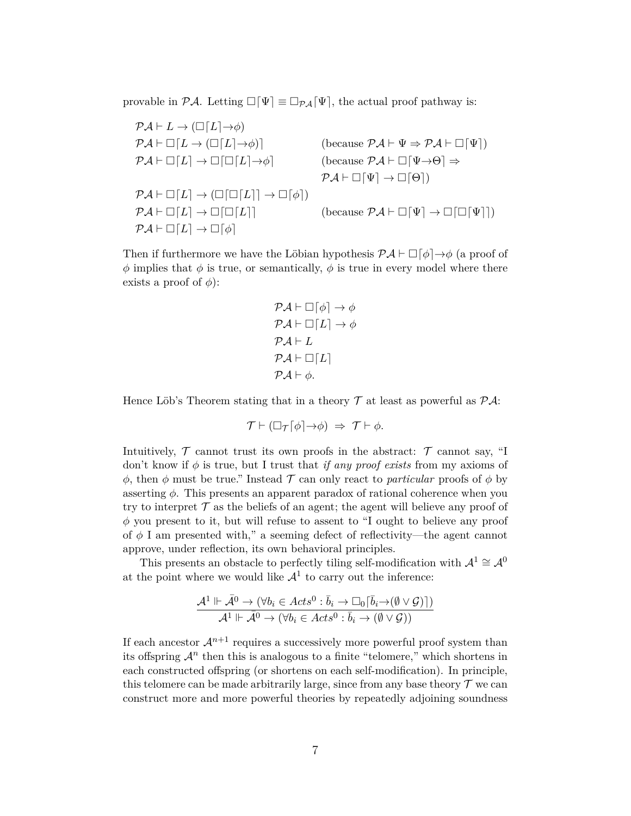provable in  $\mathcal{P}A$ . Letting  $\Box[\Psi] \equiv \Box_{\mathcal{P}A}[\Psi]$ , the actual proof pathway is:

$$
\mathcal{P}\mathcal{A}\vdash L \rightarrow (\Box[L]\rightarrow\phi)
$$
\n
$$
\mathcal{P}\mathcal{A}\vdash \Box[L \rightarrow (\Box[L]\rightarrow\phi)] \qquad \text{(because } \mathcal{P}\mathcal{A}\vdash \Psi \Rightarrow \mathcal{P}\mathcal{A}\vdash \Box[\Psi])
$$
\n
$$
\mathcal{P}\mathcal{A}\vdash \Box[L] \rightarrow \Box[\Box[L]\rightarrow\phi] \qquad \text{(because } \mathcal{P}\mathcal{A}\vdash \Box[\Psi\rightarrow\Theta] \Rightarrow
$$
\n
$$
\mathcal{P}\mathcal{A}\vdash \Box[\Psi] \rightarrow \Box[\Theta])
$$
\n
$$
\mathcal{P}\mathcal{A}\vdash \Box[L] \rightarrow (\Box[\Box[L]] \rightarrow \Box[\phi]) \qquad \text{(because } \mathcal{P}\mathcal{A}\vdash \Box[\Psi] \rightarrow \Box[\Box[\Psi]])
$$
\n
$$
\mathcal{P}\mathcal{A}\vdash \Box[L] \rightarrow \Box[\Box[L]] \qquad \text{(because } \mathcal{P}\mathcal{A}\vdash \Box[\Psi] \rightarrow \Box[\Box[\Psi]])
$$

Then if furthermore we have the Löbian hypothesis  $\mathcal{P} \mathcal{A} \vdash \Box [\phi] \rightarrow \phi$  (a proof of  $\phi$  implies that  $\phi$  is true, or semantically,  $\phi$  is true in every model where there exists a proof of  $\phi$ ):

$$
\mathcal{PA} \vdash \Box [\phi] \rightarrow \phi
$$
  
\n
$$
\mathcal{PA} \vdash \Box [L] \rightarrow \phi
$$
  
\n
$$
\mathcal{PA} \vdash L
$$
  
\n
$$
\mathcal{PA} \vdash \Box [L]
$$
  
\n
$$
\mathcal{PA} \vdash \phi.
$$

Hence Löb's Theorem stating that in a theory  $\mathcal T$  at least as powerful as  $\mathcal P \mathcal A$ :

$$
\mathcal{T} \vdash (\Box_{\mathcal{T}}[\phi] \rightarrow \phi) \Rightarrow \mathcal{T} \vdash \phi.
$$

Intuitively,  $\mathcal T$  cannot trust its own proofs in the abstract:  $\mathcal T$  cannot say, "I don't know if  $\phi$  is true, but I trust that *if any proof exists* from my axioms of  $\phi$ , then  $\phi$  must be true." Instead  $\mathcal T$  can only react to *particular* proofs of  $\phi$  by asserting  $\phi$ . This presents an apparent paradox of rational coherence when you try to interpret  $\mathcal T$  as the beliefs of an agent; the agent will believe any proof of  $\phi$  you present to it, but will refuse to assent to "I ought to believe any proof of  $\phi$  I am presented with," a seeming defect of reflectivity—the agent cannot approve, under reflection, its own behavioral principles.

This presents an obstacle to perfectly tiling self-modification with  $\mathcal{A}^1 \cong \mathcal{A}^0$ at the point where we would like  $\mathcal{A}^1$  to carry out the inference:

$$
\frac{\mathcal A^1 \Vdash \bar{\mathcal A}^0 \to (\forall b_i \in \mathit{Acts}^0 : \bar{b}_i \to \Box_0[\bar{b}_i \to (\emptyset \vee \mathcal G)])}{\mathcal A^1 \Vdash \bar{\mathcal A}^0 \to (\forall b_i \in \mathit{Acts}^0 : \bar{b}_i \to (\emptyset \vee \mathcal G))}
$$

If each ancestor  $\mathcal{A}^{n+1}$  requires a successively more powerful proof system than its offspring  $\mathcal{A}^n$  then this is analogous to a finite "telomere," which shortens in each constructed offspring (or shortens on each self-modification). In principle, this telomere can be made arbitrarily large, since from any base theory  $\mathcal T$  we can construct more and more powerful theories by repeatedly adjoining soundness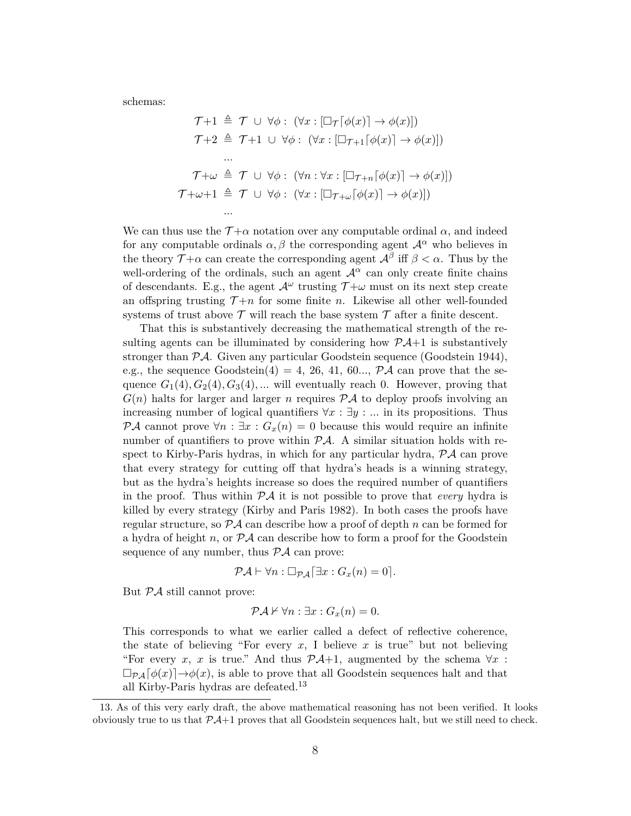schemas:

$$
\mathcal{T}+1 \triangleq \mathcal{T} \cup \forall \phi : (\forall x : [\Box_{\mathcal{T}}[\phi(x)] \to \phi(x)])
$$
\n
$$
\mathcal{T}+2 \triangleq \mathcal{T}+1 \cup \forall \phi : (\forall x : [\Box_{\mathcal{T}+1}[\phi(x)] \to \phi(x)])
$$
\n
$$
\dots
$$
\n
$$
\mathcal{T}+\omega \triangleq \mathcal{T} \cup \forall \phi : (\forall n : \forall x : [\Box_{\mathcal{T}+n}[\phi(x)] \to \phi(x)])
$$
\n
$$
\mathcal{T}+\omega+1 \triangleq \mathcal{T} \cup \forall \phi : (\forall x : [\Box_{\mathcal{T}+\omega}[\phi(x)] \to \phi(x)])
$$
\n
$$
\dots
$$

We can thus use the  $\mathcal{T}+\alpha$  notation over any computable ordinal  $\alpha$ , and indeed for any computable ordinals  $\alpha, \beta$  the corresponding agent  $\mathcal{A}^{\alpha}$  who believes in the theory  $\mathcal{T}+\alpha$  can create the corresponding agent  $\mathcal{A}^{\beta}$  iff  $\beta < \alpha$ . Thus by the well-ordering of the ordinals, such an agent  $\mathcal{A}^{\alpha}$  can only create finite chains of descendants. E.g., the agent  $\mathcal{A}^{\omega}$  trusting  $\mathcal{T}+\omega$  must on its next step create an offspring trusting  $\mathcal{T} + n$  for some finite n. Likewise all other well-founded systems of trust above  $\mathcal T$  will reach the base system  $\mathcal T$  after a finite descent.

That this is substantively decreasing the mathematical strength of the resulting agents can be illuminated by considering how  $\mathcal{P} \mathcal{A}+1$  is substantively stronger than PA. Given any particular Goodstein sequence (Goodstein 1944), e.g., the sequence Goodstein(4) = 4, 26, 41, 60...,  $\mathcal{P}A$  can prove that the sequence  $G_1(4), G_2(4), G_3(4), \dots$  will eventually reach 0. However, proving that  $G(n)$  halts for larger and larger n requires  $\mathcal{P}A$  to deploy proofs involving an increasing number of logical quantifiers  $\forall x : \exists y : ...$  in its propositions. Thus  $\mathcal{P} \mathcal{A}$  cannot prove  $\forall n : \exists x : G_x(n) = 0$  because this would require an infinite number of quantifiers to prove within  $\mathcal{P}A$ . A similar situation holds with respect to Kirby-Paris hydras, in which for any particular hydra,  $\mathcal{P}A$  can prove that every strategy for cutting off that hydra's heads is a winning strategy, but as the hydra's heights increase so does the required number of quantifiers in the proof. Thus within PA it is not possible to prove that *every* hydra is killed by every strategy (Kirby and Paris 1982). In both cases the proofs have regular structure, so  $\mathcal{P} A$  can describe how a proof of depth n can be formed for a hydra of height n, or  $\mathcal{P} A$  can describe how to form a proof for the Goodstein sequence of any number, thus  $P\mathcal{A}$  can prove:

$$
\mathcal{P}\mathcal{A} \vdash \forall n : \Box_{\mathcal{P}\mathcal{A}} \big[ \exists x : G_x(n) = 0 \big].
$$

But  $\mathcal{P} \mathcal{A}$  still cannot prove:

$$
\mathcal{PA} \nvdash \forall n : \exists x : G_x(n) = 0.
$$

This corresponds to what we earlier called a defect of reflective coherence, the state of believing "For every  $x$ , I believe  $x$  is true" but not believing "For every x, x is true." And thus  $\mathcal{P}A+1$ , augmented by the schema  $\forall x$ :  $\Box_{\mathcal{P},A}[\phi(x)] \rightarrow \phi(x)$ , is able to prove that all Goodstein sequences halt and that all Kirby-Paris hydras are defeated.<sup>13</sup>

<sup>13.</sup> As of this very early draft, the above mathematical reasoning has not been verified. It looks obviously true to us that  $\mathcal{P}A+1$  proves that all Goodstein sequences halt, but we still need to check.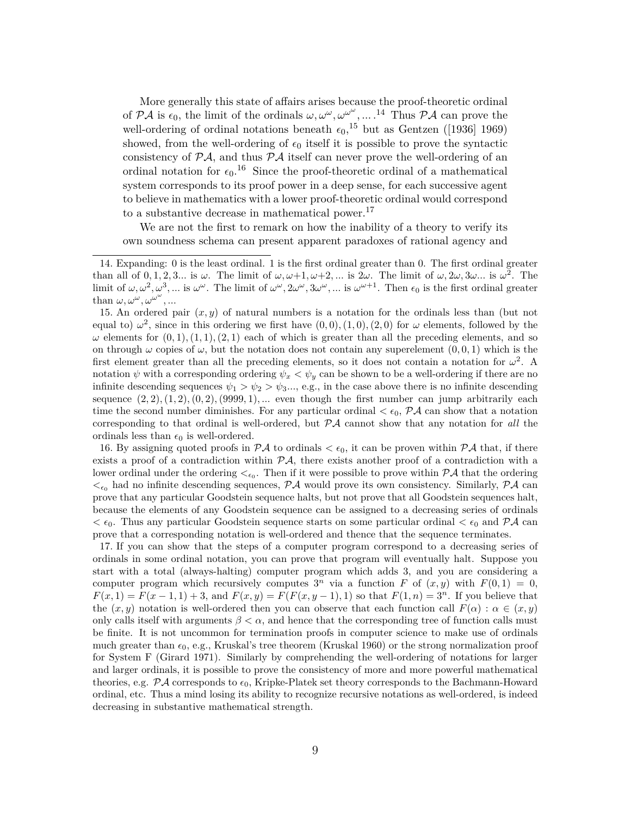More generally this state of affairs arises because the proof-theoretic ordinal of  $P\mathcal{A}$  is  $\epsilon_0$ , the limit of the ordinals  $\omega, \omega^{\omega}, \omega^{\omega^{\omega}}, \dots$ .<sup>14</sup> Thus  $P\mathcal{A}$  can prove the well-ordering of ordinal notations beneath  $\epsilon_0$ ,<sup>15</sup> but as Gentzen ([1936] 1969) showed, from the well-ordering of  $\epsilon_0$  itself it is possible to prove the syntactic consistency of  $\mathcal{P} \mathcal{A}$ , and thus  $\mathcal{P} \mathcal{A}$  itself can never prove the well-ordering of an ordinal notation for  $\epsilon_0$ .<sup>16</sup> Since the proof-theoretic ordinal of a mathematical system corresponds to its proof power in a deep sense, for each successive agent to believe in mathematics with a lower proof-theoretic ordinal would correspond to a substantive decrease in mathematical power.<sup>17</sup>

We are not the first to remark on how the inability of a theory to verify its own soundness schema can present apparent paradoxes of rational agency and

17. If you can show that the steps of a computer program correspond to a decreasing series of ordinals in some ordinal notation, you can prove that program will eventually halt. Suppose you start with a total (always-halting) computer program which adds 3, and you are considering a computer program which recursively computes  $3^n$  via a function F of  $(x, y)$  with  $F(0, 1) = 0$ ,  $F(x, 1) = F(x - 1, 1) + 3$ , and  $F(x, y) = F(F(x, y - 1), 1)$  so that  $F(1, n) = 3<sup>n</sup>$ . If you believe that the  $(x, y)$  notation is well-ordered then you can observe that each function call  $F(\alpha) : \alpha \in (x, y)$ only calls itself with arguments  $\beta < \alpha$ , and hence that the corresponding tree of function calls must be finite. It is not uncommon for termination proofs in computer science to make use of ordinals much greater than  $\epsilon_0$ , e.g., Kruskal's tree theorem (Kruskal 1960) or the strong normalization proof for System F (Girard 1971). Similarly by comprehending the well-ordering of notations for larger and larger ordinals, it is possible to prove the consistency of more and more powerful mathematical theories, e.g.  $\mathcal{P} \mathcal{A}$  corresponds to  $\epsilon_0$ , Kripke-Platek set theory corresponds to the Bachmann-Howard ordinal, etc. Thus a mind losing its ability to recognize recursive notations as well-ordered, is indeed decreasing in substantive mathematical strength.

<sup>14.</sup> Expanding: 0 is the least ordinal. 1 is the first ordinal greater than 0. The first ordinal greater than all of  $0, 1, 2, 3...$  is  $\omega$ . The limit of  $\omega, \omega+1, \omega+2,...$  is  $2\omega$ . The limit of  $\omega, 2\omega, 3\omega...$  is  $\omega^2$ . The limit of  $\omega, \omega^2, \omega^3, \dots$  is  $\omega^{\omega}$ . The limit of  $\omega^{\omega}, 2\omega^{\omega}, 3\omega^{\omega}, \dots$  is  $\omega^{\omega+1}$ . Then  $\epsilon_0$  is the first ordinal greater than  $\omega, \omega^{\omega}, \omega^{\omega^{\omega}}, \dots$ 

<sup>15.</sup> An ordered pair  $(x, y)$  of natural numbers is a notation for the ordinals less than (but not equal to)  $\omega^2$ , since in this ordering we first have  $(0,0), (1,0), (2,0)$  for  $\omega$  elements, followed by the  $\omega$  elements for  $(0, 1), (1, 1), (2, 1)$  each of which is greater than all the preceding elements, and so on through  $\omega$  copies of  $\omega$ , but the notation does not contain any superelement  $(0, 0, 1)$  which is the first element greater than all the preceding elements, so it does not contain a notation for  $\omega^2$ . A notation  $\psi$  with a corresponding ordering  $\psi_x < \psi_y$  can be shown to be a well-ordering if there are no infinite descending sequences  $\psi_1 > \psi_2 > \psi_3...$ , e.g., in the case above there is no infinite descending sequence  $(2, 2), (1, 2), (0, 2), (9999, 1), \dots$  even though the first number can jump arbitrarily each time the second number diminishes. For any particular ordinal  $\lt \epsilon_0$ ,  $\mathcal{P} \mathcal{A}$  can show that a notation corresponding to that ordinal is well-ordered, but PA cannot show that any notation for *all* the ordinals less than  $\epsilon_0$  is well-ordered.

<sup>16.</sup> By assigning quoted proofs in  $\mathcal{P} A$  to ordinals  $\lt \epsilon_0$ , it can be proven within  $\mathcal{P} A$  that, if there exists a proof of a contradiction within  $\mathcal{P}\mathcal{A}$ , there exists another proof of a contradiction with a lower ordinal under the ordering  $\lt_{\epsilon_0}$ . Then if it were possible to prove within  $\mathcal{P} \mathcal{A}$  that the ordering  $\lt_{\epsilon_0}$  had no infinite descending sequences, PA would prove its own consistency. Similarly, PA can prove that any particular Goodstein sequence halts, but not prove that all Goodstein sequences halt, because the elements of any Goodstein sequence can be assigned to a decreasing series of ordinals  $< \epsilon_0$ . Thus any particular Goodstein sequence starts on some particular ordinal  $< \epsilon_0$  and PA can prove that a corresponding notation is well-ordered and thence that the sequence terminates.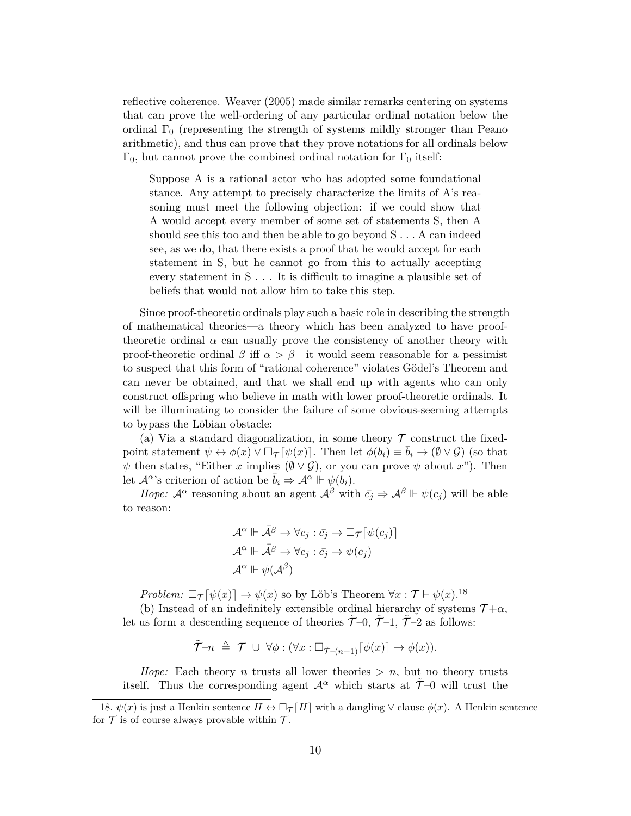reflective coherence. Weaver (2005) made similar remarks centering on systems that can prove the well-ordering of any particular ordinal notation below the ordinal  $\Gamma_0$  (representing the strength of systems mildly stronger than Peano arithmetic), and thus can prove that they prove notations for all ordinals below  $Γ_0$ , but cannot prove the combined ordinal notation for  $Γ_0$  itself:

Suppose A is a rational actor who has adopted some foundational stance. Any attempt to precisely characterize the limits of A's reasoning must meet the following objection: if we could show that A would accept every member of some set of statements S, then A should see this too and then be able to go beyond S . . . A can indeed see, as we do, that there exists a proof that he would accept for each statement in S, but he cannot go from this to actually accepting every statement in S . . . It is difficult to imagine a plausible set of beliefs that would not allow him to take this step.

Since proof-theoretic ordinals play such a basic role in describing the strength of mathematical theories—a theory which has been analyzed to have prooftheoretic ordinal  $\alpha$  can usually prove the consistency of another theory with proof-theoretic ordinal  $\beta$  iff  $\alpha > \beta$ —it would seem reasonable for a pessimist to suspect that this form of "rational coherence" violates Gödel's Theorem and can never be obtained, and that we shall end up with agents who can only construct offspring who believe in math with lower proof-theoretic ordinals. It will be illuminating to consider the failure of some obvious-seeming attempts to bypass the Löbian obstacle:

(a) Via a standard diagonalization, in some theory  $\mathcal T$  construct the fixedpoint statement  $\psi \leftrightarrow \phi(x) \vee \Box_{\mathcal{T}}[\psi(x)]$ . Then let  $\phi(b_i) \equiv b_i \rightarrow (\emptyset \vee \mathcal{G})$  (so that  $\psi$  then states, "Either x implies  $(\emptyset \vee \mathcal{G})$ , or you can prove  $\psi$  about x"). Then let  $\mathcal{A}^{\alpha}$ 's criterion of action be  $\bar{b}_i \Rightarrow \mathcal{A}^{\alpha} \Vdash \psi(b_i)$ .

*Hope:*  $\mathcal{A}^{\alpha}$  reasoning about an agent  $\mathcal{A}^{\beta}$  with  $\bar{c}_i \Rightarrow \mathcal{A}^{\beta} \Vdash \psi(c_i)$  will be able to reason:

$$
\mathcal{A}^{\alpha} \Vdash \bar{\mathcal{A}}^{\beta} \to \forall c_j : \bar{c}_j \to \Box_{\mathcal{T}}[\psi(c_j)]
$$

$$
\mathcal{A}^{\alpha} \Vdash \bar{\mathcal{A}}^{\beta} \to \forall c_j : \bar{c}_j \to \psi(c_j)
$$

$$
\mathcal{A}^{\alpha} \Vdash \psi(\mathcal{A}^{\beta})
$$

*Problem:*  $\Box_{\mathcal{T}}[\psi(x)] \rightarrow \psi(x)$  so by Löb's Theorem  $\forall x : \mathcal{T} \vdash \psi(x).$ <sup>18</sup>

(b) Instead of an indefinitely extensible ordinal hierarchy of systems  $\mathcal{T} + \alpha$ , let us form a descending sequence of theories  $\tilde{\mathcal{T}}-0$ ,  $\tilde{\mathcal{T}}-1$ ,  $\tilde{\mathcal{T}}-2$  as follows:

$$
\tilde{\mathcal{T}}-n \triangleq \mathcal{T} \cup \forall \phi : (\forall x : \Box_{\tilde{\mathcal{T}}-(n+1)}[\phi(x)] \to \phi(x)).
$$

*Hope:* Each theory *n* trusts all lower theories  $> n$ , but no theory trusts itself. Thus the corresponding agent  $\mathcal{A}^{\alpha}$  which starts at  $\tilde{\mathcal{T}}$ –0 will trust the

<sup>18.</sup>  $\psi(x)$  is just a Henkin sentence  $H \leftrightarrow \Box_{\mathcal{T}}[H]$  with a dangling  $\vee$  clause  $\phi(x)$ . A Henkin sentence for  $\mathcal T$  is of course always provable within  $\mathcal T$ .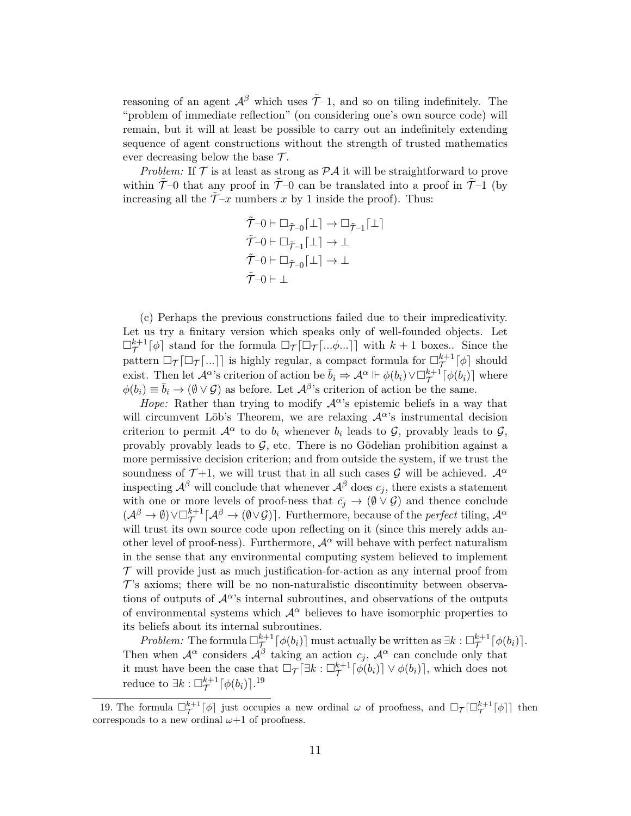reasoning of an agent  $\mathcal{A}^{\beta}$  which uses  $\tilde{\mathcal{T}}-1$ , and so on tiling indefinitely. The "problem of immediate reflection" (on considering one's own source code) will remain, but it will at least be possible to carry out an indefinitely extending sequence of agent constructions without the strength of trusted mathematics ever decreasing below the base  $\mathcal{T}$ .

*Problem:* If  $\mathcal T$  is at least as strong as  $\mathcal P\mathcal A$  it will be straightforward to prove within  $\tilde{\mathcal{T}}$ –0 that any proof in  $\tilde{\mathcal{T}}$ –0 can be translated into a proof in  $\tilde{\mathcal{T}}$ –1 (by increasing all the  $\tilde{\mathcal{T}}-x$  numbers x by 1 inside the proof). Thus:

$$
\tilde{\mathcal{T}}-0 \vdash \Box_{\tilde{\mathcal{T}}-0}[\bot] \to \Box_{\tilde{\mathcal{T}}-1}[\bot] \tilde{\mathcal{T}}-0 \vdash \Box_{\tilde{\mathcal{T}}-1}[\bot] \to \bot \tilde{\mathcal{T}}-0 \vdash \Box_{\tilde{\mathcal{T}}-0}[\bot] \to \bot \tilde{\mathcal{T}}-0 \vdash \bot
$$

(c) Perhaps the previous constructions failed due to their impredicativity. Let us try a finitary version which speaks only of well-founded objects. Let  $\Box_{\mathcal{T}}^{k+1}[\phi]$  stand for the formula  $\Box_{\mathcal{T}}[\Box_{\mathcal{T}}[...\phi...]]$  with  $k+1$  boxes.. Since the pattern  $\Box_{\mathcal{T}}[\Box_{\mathcal{T}}[...]]$  is highly regular, a compact formula for  $\Box_{\mathcal{T}}^{k+1}[\phi]$  should exist. Then let  $\mathcal{A}^{\alpha}$ 's criterion of action be  $\bar{b}_i \Rightarrow \mathcal{A}^{\alpha} \Vdash \phi(b_i) \vee \Box_{\mathcal{T}}^{k+1}[\phi(b_i)]$  where  $\phi(b_i) \equiv \bar{b}_i \to (\emptyset \vee \mathcal{G})$  as before. Let  $\mathcal{A}^{\beta}$ 's criterion of action be the same.

*Hope:* Rather than trying to modify  $A^{\alpha}$ 's epistemic beliefs in a way that will circumvent Löb's Theorem, we are relaxing  $\mathcal{A}^{\alpha}$ 's instrumental decision criterion to permit  $\mathcal{A}^{\alpha}$  to do  $b_i$  whenever  $b_i$  leads to  $\mathcal{G}$ , provably leads to  $\mathcal{G}$ , provably provably leads to  $G$ , etc. There is no Gödelian prohibition against a more permissive decision criterion; and from outside the system, if we trust the soundness of  $\mathcal{T}+1$ , we will trust that in all such cases  $\mathcal{G}$  will be achieved.  $\mathcal{A}^{\alpha}$ inspecting  $\mathcal{A}^{\beta}$  will conclude that whenever  $\mathcal{A}^{\beta}$  does  $c_j$ , there exists a statement with one or more levels of proof-ness that  $\bar{c_j} \to (\emptyset \lor \mathcal{G})$  and thence conclude  $(\mathcal{A}^{\beta} \to \emptyset) \vee \Box_{\mathcal{T}}^{k+1}[\mathcal{A}^{\beta} \to (\emptyset \vee \mathcal{G})]$ . Furthermore, because of the *perfect* tiling,  $\mathcal{A}^{\alpha}$ will trust its own source code upon reflecting on it (since this merely adds another level of proof-ness). Furthermore,  $\mathcal{A}^{\alpha}$  will behave with perfect naturalism in the sense that any environmental computing system believed to implement  $\mathcal T$  will provide just as much justification-for-action as any internal proof from  $\mathcal{T}$ 's axioms; there will be no non-naturalistic discontinuity between observations of outputs of  $\mathcal{A}^{\alpha}$ 's internal subroutines, and observations of the outputs of environmental systems which  $\mathcal{A}^{\alpha}$  believes to have isomorphic properties to its beliefs about its internal subroutines.

*Problem:* The formula  $\Box_{\mathcal{T}}^{k+1}[\phi(b_i)]$  must actually be written as  $\exists k:\Box_{\mathcal{T}}^{k+1}[\phi(b_i)].$ Then when  $\mathcal{A}^{\alpha}$  considers  $\mathcal{A}^{\beta}$  taking an action  $c_j$ ,  $\mathcal{A}^{\alpha}$  can conclude only that it must have been the case that  $\Box_{\mathcal{T}}[\exists k:\Box_{\mathcal{T}}^{k+1}[\phi(b_i)] \vee \phi(b_i)],$  which does not reduce to  $\exists k : \Box_{\mathcal{T}}^{k+1} \lceil \phi(b_i) \rceil$ .<sup>19</sup>

<sup>19.</sup> The formula  $\Box_{\mathcal{T}}^{k+1}[\phi]$  just occupies a new ordinal  $\omega$  of proofness, and  $\Box_{\mathcal{T}}[\Box_{\mathcal{T}}^{k+1}[\phi]]$  then corresponds to a new ordinal  $\omega+1$  of proofness.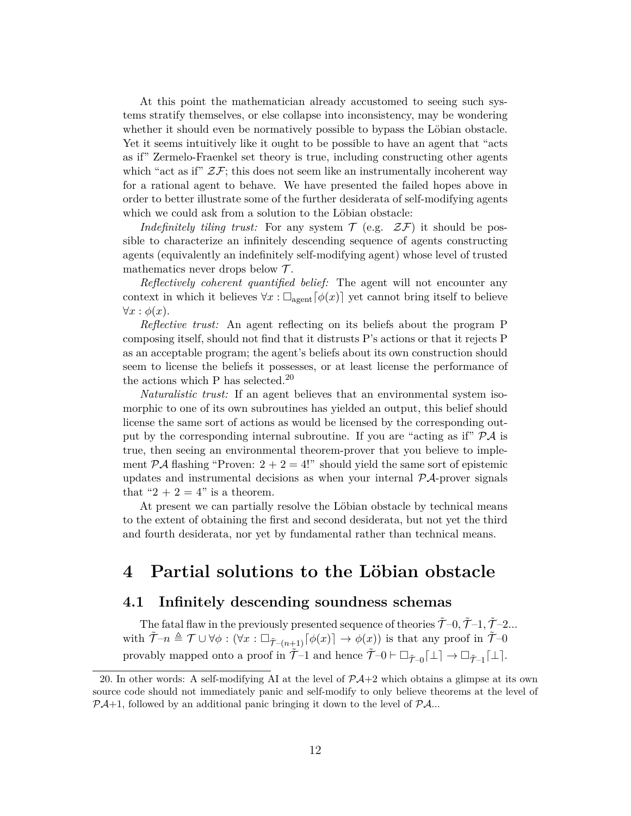At this point the mathematician already accustomed to seeing such systems stratify themselves, or else collapse into inconsistency, may be wondering whether it should even be normatively possible to bypass the Löbian obstacle. Yet it seems intuitively like it ought to be possible to have an agent that "acts as if" Zermelo-Fraenkel set theory is true, including constructing other agents which "act as if"  $\mathcal{ZF}$ ; this does not seem like an instrumentally incoherent way for a rational agent to behave. We have presented the failed hopes above in order to better illustrate some of the further desiderata of self-modifying agents which we could ask from a solution to the Löbian obstacle:

*Indefinitely tiling trust:* For any system  $\mathcal{T}$  (e.g.  $\mathcal{ZF}$ ) it should be possible to characterize an infinitely descending sequence of agents constructing agents (equivalently an indefinitely self-modifying agent) whose level of trusted mathematics never drops below  $\mathcal{T}$ .

*Reflectively coherent quantified belief:* The agent will not encounter any context in which it believes  $\forall x : \Box_{\text{agent}}[\phi(x)]$  yet cannot bring itself to believe  $\forall x : \phi(x)$ .

*Reflective trust:* An agent reflecting on its beliefs about the program P composing itself, should not find that it distrusts P's actions or that it rejects P as an acceptable program; the agent's beliefs about its own construction should seem to license the beliefs it possesses, or at least license the performance of the actions which P has selected. $20$ 

*Naturalistic trust:* If an agent believes that an environmental system isomorphic to one of its own subroutines has yielded an output, this belief should license the same sort of actions as would be licensed by the corresponding output by the corresponding internal subroutine. If you are "acting as if"  $\mathcal{P} \mathcal{A}$  is true, then seeing an environmental theorem-prover that you believe to implement  $\mathcal{P} \mathcal{A}$  flashing "Proven:  $2 + 2 = 4!$ " should yield the same sort of epistemic updates and instrumental decisions as when your internal  $\mathcal{P} \mathcal{A}$ -prover signals that " $2 + 2 = 4$ " is a theorem.

At present we can partially resolve the Löbian obstacle by technical means to the extent of obtaining the first and second desiderata, but not yet the third and fourth desiderata, nor yet by fundamental rather than technical means.

### **4 Partial solutions to the Löbian obstacle**

#### **4.1 Infinitely descending soundness schemas**

The fatal flaw in the previously presented sequence of theories  $\tilde{\mathcal{T}}-0$ ,  $\tilde{\mathcal{T}}-1$ ,  $\tilde{\mathcal{T}}-2$ ... with  $\widetilde{\mathcal{T}}-n \triangleq \mathcal{T} \cup \forall \phi : (\forall x : \Box_{\widetilde{\mathcal{T}}-(n+1)}[\phi(x)] \rightarrow \phi(x))$  is that any proof in  $\widetilde{\mathcal{T}}-0$ provably mapped onto a proof in  $\tilde{\mathcal{T}}-1$  and hence  $\tilde{\mathcal{T}}-0 \vdash \Box_{\tilde{\mathcal{T}}-0}[\bot] \to \Box_{\tilde{\mathcal{T}}-1}[\bot].$ 

<sup>20.</sup> In other words: A self-modifying AI at the level of  $\mathcal{P}A+2$  which obtains a glimpse at its own source code should not immediately panic and self-modify to only believe theorems at the level of  $P\mathcal{A}+1$ , followed by an additional panic bringing it down to the level of  $P\mathcal{A}$ ...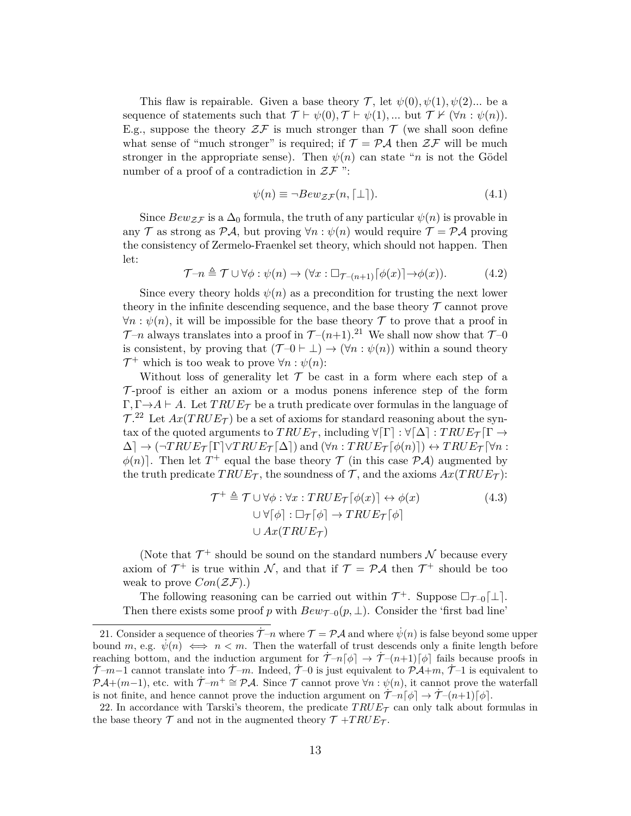This flaw is repairable. Given a base theory  $\mathcal{T}$ , let  $\psi(0), \psi(1), \psi(2)$ ... be a sequence of statements such that  $\mathcal{T} \vdash \psi(0), \mathcal{T} \vdash \psi(1), \dots$  but  $\mathcal{T} \nvdash (\forall n : \psi(n)).$ E.g., suppose the theory  $\mathcal{ZF}$  is much stronger than  $\mathcal T$  (we shall soon define what sense of "much stronger" is required; if  $\mathcal{T} = \mathcal{P} A$  then  $\mathcal{Z} \mathcal{F}$  will be much stronger in the appropriate sense). Then  $\psi(n)$  can state "n is not the Gödel number of a proof of a contradiction in  $\mathcal{ZF}$  ":

$$
\psi(n) \equiv \neg Bew_{\mathcal{ZF}}(n, \lceil \bot \rceil). \tag{4.1}
$$

Since  $Bew_{\mathcal{ZF}}$  is a  $\Delta_0$  formula, the truth of any particular  $\psi(n)$  is provable in any T as strong as PA, but proving  $\forall n : \psi(n)$  would require  $\mathcal{T} = \mathcal{P} \mathcal{A}$  proving the consistency of Zermelo-Fraenkel set theory, which should not happen. Then let:

$$
\mathcal{T} - n \triangleq \mathcal{T} \cup \forall \phi : \psi(n) \to (\forall x : \Box_{\mathcal{T} - (n+1)} [\phi(x)] \to \phi(x)). \tag{4.2}
$$

Since every theory holds  $\psi(n)$  as a precondition for trusting the next lower theory in the infinite descending sequence, and the base theory  $\mathcal T$  cannot prove  $\forall n : \psi(n)$ , it will be impossible for the base theory T to prove that a proof in  $\mathcal{T}-n$  always translates into a proof in  $\mathcal{T}-(n+1).^{21}$  We shall now show that  $\mathcal{T}-0$ is consistent, by proving that  $(\mathcal{T} - 0 \vdash \bot) \rightarrow (\forall n : \psi(n))$  within a sound theory  $\mathcal{T}^+$  which is too weak to prove  $\forall n : \psi(n)$ :

Without loss of generality let  $\mathcal T$  be cast in a form where each step of a  $\mathcal T$ -proof is either an axiom or a modus ponens inference step of the form  $\Gamma, \Gamma \rightarrow A \vdash A$ . Let  $TRUE_{\mathcal{T}}$  be a truth predicate over formulas in the language of  $T^{22}$  Let  $Ax(TRUE_{\mathcal{T}})$  be a set of axioms for standard reasoning about the syntax of the quoted arguments to  $TRUE_{\mathcal{T}}$ , including  $\forall [\Gamma]: \forall [\Delta]: TRUE_{\mathcal{T}}[\Gamma \rightarrow$  $\Delta \rightarrow (\neg TRUE_{\mathcal{T}}[\Gamma] \vee TRUE_{\mathcal{T}}[\Delta])$  and  $(\forall n : TRUE_{\mathcal{T}}[\phi(n)]) \leftrightarrow TRUE_{\mathcal{T}}[\forall n : \Box$  $\phi(n)$ . Then let  $T^+$  equal the base theory  $\mathcal T$  (in this case  $\mathcal{P} \mathcal{A}$ ) augmented by the truth predicate  $TRUE_{\mathcal{T}}$ , the soundness of  $\mathcal{T}$ , and the axioms  $Ax(TRUE_{\mathcal{T}})$ :

$$
\mathcal{T}^+ \triangleq \mathcal{T} \cup \forall \phi : \forall x : TRUE_{\mathcal{T}}[\phi(x)] \leftrightarrow \phi(x)
$$
  

$$
\cup \forall [\phi] : \Box_{\mathcal{T}}[\phi] \rightarrow TRUE_{\mathcal{T}}[\phi]
$$
  

$$
\cup Ax(TRUE_{\mathcal{T}})
$$
 (4.3)

(Note that  $\mathcal{T}^+$  should be sound on the standard numbers  $\mathcal N$  because every axiom of  $\mathcal{T}^+$  is true within N, and that if  $\mathcal{T} = \mathcal{P} \mathcal{A}$  then  $\mathcal{T}^+$  should be too weak to prove  $Con(\mathcal{ZF}).$ 

The following reasoning can be carried out within  $\mathcal{T}^+$ . Suppose  $\Box_{\mathcal{T}-0}[\bot]$ . Then there exists some proof p with  $Bew_{\mathcal{T}=0}(p, \perp)$ . Consider the 'first bad line'

<sup>21.</sup> Consider a sequence of theories  $\mathcal{T} = \mathcal{P} \mathcal{A}$  and where  $\psi(n)$  is false beyond some upper bound m, e.g.  $\psi(n) \iff n < m$ . Then the waterfall of trust descends only a finite length before reaching bottom, and the induction argument for  $\mathcal{T}-n[\phi] \to \mathcal{T}-(n+1)[\phi]$  fails because proofs in  $\mathcal{T}-m-1$  cannot translate into  $\mathcal{T}-m$ . Indeed,  $\mathcal{T}-0$  is just equivalent to  $\mathcal{P}A+m$ ,  $\mathcal{T}-1$  is equivalent to  $\mathcal{P}A+(m-1)$ , etc. with  $\mathcal{T}-m^+\cong \mathcal{P}A$ . Since  $\mathcal T$  cannot prove  $\forall n:\psi(n)$ , it cannot prove the waterfall is not finite, and hence cannot prove the induction argument on  $\tilde{\mathcal{T}}_{-n}[\phi] \to \tilde{\mathcal{T}}_{-}(n+1)[\phi]$ .

<sup>22.</sup> In accordance with Tarski's theorem, the predicate  $TRUE<sub>T</sub>$  can only talk about formulas in the base theory  $\mathcal T$  and not in the augmented theory  $\mathcal T$  +TRUE $\tau$ .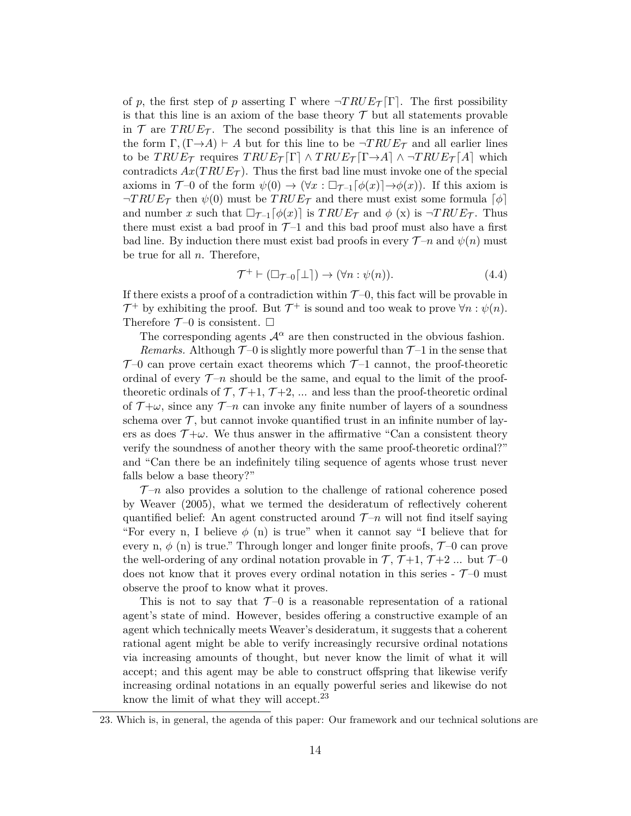of p, the first step of p asserting  $\Gamma$  where  $\neg TRUE_{\mathcal{T}}[\Gamma]$ . The first possibility is that this line is an axiom of the base theory  $\mathcal T$  but all statements provable in  $\mathcal T$  are TRUE<sub>T</sub>. The second possibility is that this line is an inference of the form  $\Gamma$ ,  $(\Gamma \rightarrow A) \vdash A$  but for this line to be  $\neg TRUE_{\mathcal{T}}$  and all earlier lines to be  $TRUE_{\mathcal{T}}$  requires  $TRUE_{\mathcal{T}}[\Gamma] \wedge TRUE_{\mathcal{T}}[\Gamma \rightarrow A] \wedge \neg TRUE_{\mathcal{T}}[A]$  which contradicts  $Ax(TRUE_{\mathcal{T}})$ . Thus the first bad line must invoke one of the special axioms in  $\mathcal{T}$ -0 of the form  $\psi(0) \to (\forall x : \Box_{\mathcal{T}-1}[\phi(x)] \to \phi(x))$ . If this axiom is  $\neg TRUE_{\mathcal{T}}$  then  $\psi(0)$  must be  $TRUE_{\mathcal{T}}$  and there must exist some formula  $\lceil \phi \rceil$ and number x such that  $\Box_{\mathcal{T}^{-1}}[\phi(x)]$  is  $TRUE_{\mathcal{T}}$  and  $\phi(x)$  is  $\neg TRUE_{\mathcal{T}}$ . Thus there must exist a bad proof in  $\mathcal{T}$ -1 and this bad proof must also have a first bad line. By induction there must exist bad proofs in every  $\mathcal{T}-n$  and  $\psi(n)$  must be true for all  $n$ . Therefore,

$$
\mathcal{T}^+ \vdash (\Box_{\mathcal{T} - 0}[\bot]) \to (\forall n : \psi(n)). \tag{4.4}
$$

If there exists a proof of a contradiction within  $\mathcal{T}-0$ , this fact will be provable in  $\mathcal{T}^+$  by exhibiting the proof. But  $\mathcal{T}^+$  is sound and too weak to prove  $\forall n : \psi(n)$ . Therefore  $\mathcal{T}$ -0 is consistent.  $\Box$ 

The corresponding agents  $\mathcal{A}^{\alpha}$  are then constructed in the obvious fashion.

*Remarks.* Although  $\mathcal{T}-0$  is slightly more powerful than  $\mathcal{T}-1$  in the sense that  $\mathcal{T}$ -0 can prove certain exact theorems which  $\mathcal{T}$ -1 cannot, the proof-theoretic ordinal of every  $\mathcal{T}-n$  should be the same, and equal to the limit of the prooftheoretic ordinals of  $\mathcal{T}, \mathcal{T}+1, \mathcal{T}+2, \dots$  and less than the proof-theoretic ordinal of  $\mathcal{T}+\omega$ , since any  $\mathcal{T}-n$  can invoke any finite number of layers of a soundness schema over  $\mathcal{T}$ , but cannot invoke quantified trust in an infinite number of layers as does  $\mathcal{T}+\omega$ . We thus answer in the affirmative "Can a consistent theory verify the soundness of another theory with the same proof-theoretic ordinal?" and "Can there be an indefinitely tiling sequence of agents whose trust never falls below a base theory?"

 $\mathcal{T}-n$  also provides a solution to the challenge of rational coherence posed by Weaver (2005), what we termed the desideratum of reflectively coherent quantified belief: An agent constructed around  $\mathcal{T}-n$  will not find itself saying "For every n, I believe  $\phi$  (n) is true" when it cannot say "I believe that for every n,  $\phi$  (n) is true." Through longer and longer finite proofs,  $\mathcal{T}$ -0 can prove the well-ordering of any ordinal notation provable in  $\mathcal{T}, \mathcal{T}+1, \mathcal{T}+2, \dots$  but  $\mathcal{T}-0$ does not know that it proves every ordinal notation in this series  $\mathcal{T}$ -0 must observe the proof to know what it proves.

This is not to say that  $\mathcal{T}$ -0 is a reasonable representation of a rational agent's state of mind. However, besides offering a constructive example of an agent which technically meets Weaver's desideratum, it suggests that a coherent rational agent might be able to verify increasingly recursive ordinal notations via increasing amounts of thought, but never know the limit of what it will accept; and this agent may be able to construct offspring that likewise verify increasing ordinal notations in an equally powerful series and likewise do not know the limit of what they will accept.<sup>23</sup>

<sup>23.</sup> Which is, in general, the agenda of this paper: Our framework and our technical solutions are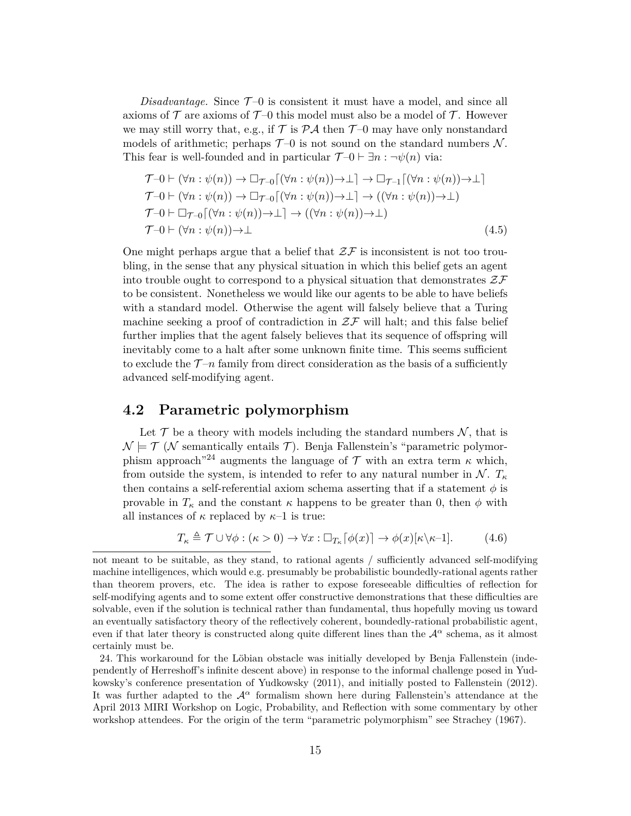*Disadvantage.* Since  $\mathcal{T}$ -0 is consistent it must have a model, and since all axioms of  $\mathcal T$  are axioms of  $\mathcal T$ -0 this model must also be a model of  $\mathcal T$ . However we may still worry that, e.g., if  $\mathcal T$  is  $\mathcal P\mathcal A$  then  $\mathcal T$ -0 may have only nonstandard models of arithmetic; perhaps  $\mathcal{T}$ -0 is not sound on the standard numbers N. This fear is well-founded and in particular  $\mathcal{T}$ -0  $\vdash$   $\exists n : \neg \psi(n)$  via:

$$
\mathcal{T}\neg 0 \vdash (\forall n : \psi(n)) \rightarrow \Box_{\mathcal{T}\neg 0}[(\forall n : \psi(n)) \rightarrow \bot] \rightarrow \Box_{\mathcal{T}\neg 1}[(\forall n : \psi(n)) \rightarrow \bot] \n\mathcal{T}\neg 0 \vdash (\forall n : \psi(n)) \rightarrow \Box_{\mathcal{T}\neg 0}[(\forall n : \psi(n)) \rightarrow \bot] \rightarrow ((\forall n : \psi(n)) \rightarrow \bot) \n\mathcal{T}\neg 0 \vdash \Box_{\mathcal{T}\neg 0}[(\forall n : \psi(n)) \rightarrow \bot] \rightarrow ((\forall n : \psi(n)) \rightarrow \bot) \n\mathcal{T}\neg 0 \vdash (\forall n : \psi(n)) \rightarrow \bot
$$
\n(4.5)

One might perhaps argue that a belief that  $2\mathcal{F}$  is inconsistent is not too troubling, in the sense that any physical situation in which this belief gets an agent into trouble ought to correspond to a physical situation that demonstrates  $\mathcal{ZF}$ to be consistent. Nonetheless we would like our agents to be able to have beliefs with a standard model. Otherwise the agent will falsely believe that a Turing machine seeking a proof of contradiction in  $\mathcal{ZF}$  will halt; and this false belief further implies that the agent falsely believes that its sequence of offspring will inevitably come to a halt after some unknown finite time. This seems sufficient to exclude the  $\mathcal{T}-n$  family from direct consideration as the basis of a sufficiently advanced self-modifying agent.

#### **4.2 Parametric polymorphism**

Let  $\mathcal T$  be a theory with models including the standard numbers  $\mathcal N$ , that is  $\mathcal{N} \models \mathcal{T}$  (N semantically entails  $\mathcal{T}$ ). Benja Fallenstein's "parametric polymorphism approach<sup>"24</sup> augments the language of  $\mathcal T$  with an extra term  $\kappa$  which, from outside the system, is intended to refer to any natural number in  $\mathcal{N}$ .  $T_{\kappa}$ then contains a self-referential axiom schema asserting that if a statement  $\phi$  is provable in  $T_{\kappa}$  and the constant  $\kappa$  happens to be greater than 0, then  $\phi$  with all instances of  $\kappa$  replaced by  $\kappa$ -1 is true:

$$
T_{\kappa} \triangleq \mathcal{T} \cup \forall \phi : (\kappa > 0) \to \forall x : \Box_{T_{\kappa}}[\phi(x)] \to \phi(x)[\kappa \backslash \kappa - 1]. \tag{4.6}
$$

not meant to be suitable, as they stand, to rational agents / sufficiently advanced self-modifying machine intelligences, which would e.g. presumably be probabilistic boundedly-rational agents rather than theorem provers, etc. The idea is rather to expose foreseeable difficulties of reflection for self-modifying agents and to some extent offer constructive demonstrations that these difficulties are solvable, even if the solution is technical rather than fundamental, thus hopefully moving us toward an eventually satisfactory theory of the reflectively coherent, boundedly-rational probabilistic agent, even if that later theory is constructed along quite different lines than the  $\mathcal{A}^{\alpha}$  schema, as it almost certainly must be.

<sup>24.</sup> This workaround for the Löbian obstacle was initially developed by Benja Fallenstein (independently of Herreshoff's infinite descent above) in response to the informal challenge posed in Yudkowsky's conference presentation of Yudkowsky (2011), and initially posted to Fallenstein (2012). It was further adapted to the  $A^{\alpha}$  formalism shown here during Fallenstein's attendance at the April 2013 MIRI Workshop on Logic, Probability, and Reflection with some commentary by other workshop attendees. For the origin of the term "parametric polymorphism" see Strachey (1967).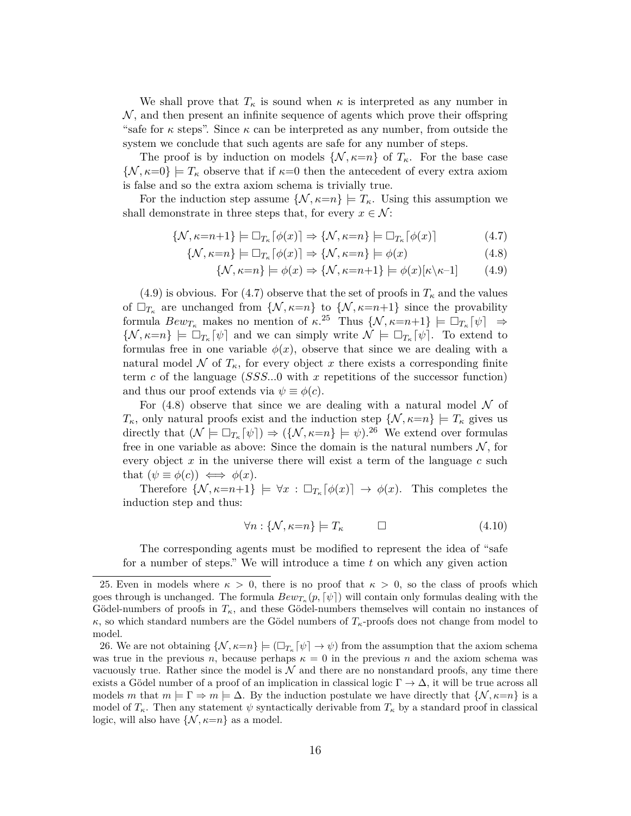We shall prove that  $T_{\kappa}$  is sound when  $\kappa$  is interpreted as any number in  $\mathcal{N}$ , and then present an infinite sequence of agents which prove their offspring "safe for  $\kappa$  steps". Since  $\kappa$  can be interpreted as any number, from outside the system we conclude that such agents are safe for any number of steps.

The proof is by induction on models  $\{N, \kappa = n\}$  of  $T_{\kappa}$ . For the base case  $\{\mathcal{N}, \kappa=0\} \models T_{\kappa}$  observe that if  $\kappa=0$  then the antecedent of every extra axiom is false and so the extra axiom schema is trivially true.

For the induction step assume  $\{N, \kappa=n\} \models T_{\kappa}$ . Using this assumption we shall demonstrate in three steps that, for every  $x \in \mathcal{N}$ :

$$
\{\mathcal{N}, \kappa = n+1\} \models \Box_{T_{\kappa}}[\phi(x)] \Rightarrow \{\mathcal{N}, \kappa = n\} \models \Box_{T_{\kappa}}[\phi(x)] \tag{4.7}
$$

$$
\{\mathcal{N}, \kappa = n\} \models \Box_{T_{\kappa}} \lceil \phi(x) \rceil \Rightarrow \{\mathcal{N}, \kappa = n\} \models \phi(x) \tag{4.8}
$$

$$
\{\mathcal{N}, \kappa = n\} \models \phi(x) \Rightarrow \{\mathcal{N}, \kappa = n+1\} \models \phi(x)[\kappa \backslash \kappa - 1] \tag{4.9}
$$

(4.9) is obvious. For (4.7) observe that the set of proofs in  $T_{\kappa}$  and the values of  $\Box_{T_{\kappa}}$  are unchanged from  $\{\mathcal{N}, \kappa=n\}$  to  $\{\mathcal{N}, \kappa=n+1\}$  since the provability formula  $Bew_{T_{\kappa}}$  makes no mention of  $\kappa^{25}$  Thus  $\{\mathcal{N}, \kappa=n+1\} \models \Box_{T_{\kappa}}[\psi] \Rightarrow$  $\{\mathcal{N}, \kappa = n\} \models \Box_{T_{\kappa}}[\psi]$  and we can simply write  $\mathcal{N} \models \Box_{T_{\kappa}}[\psi]$ . To extend to formulas free in one variable  $\phi(x)$ , observe that since we are dealing with a natural model N of  $T_{\kappa}$ , for every object x there exists a corresponding finite term c of the language  $(SSS...0$  with x repetitions of the successor function) and thus our proof extends via  $\psi \equiv \phi(c)$ .

For  $(4.8)$  observe that since we are dealing with a natural model N of  $T_{\kappa}$ , only natural proofs exist and the induction step  $\{\mathcal{N}, \kappa = n\} \models T_{\kappa}$  gives us directly that  $(\mathcal{N} \models \Box_{T_{\kappa}}[\psi]) \Rightarrow (\{\mathcal{N}, \kappa = n\} \models \psi).^{26}$  We extend over formulas free in one variable as above: Since the domain is the natural numbers  $N$ , for every object  $x$  in the universe there will exist a term of the language  $c$  such that  $(\psi \equiv \phi(c)) \iff \phi(x)$ .

Therefore  $\{\mathcal{N}, \kappa = n+1\} \models \forall x : \Box_{T_{\kappa}}[\phi(x)] \rightarrow \phi(x)$ . This completes the induction step and thus:

$$
\forall n: \{ \mathcal{N}, \kappa = n \} \models T_{\kappa} \qquad \Box \qquad (4.10)
$$

The corresponding agents must be modified to represent the idea of "safe for a number of steps." We will introduce a time  $t$  on which any given action

<sup>25.</sup> Even in models where  $\kappa > 0$ , there is no proof that  $\kappa > 0$ , so the class of proofs which goes through is unchanged. The formula  $Bew_{T_{\kappa}}(p, \lceil \psi \rceil)$  will contain only formulas dealing with the Gödel-numbers of proofs in  $T_{\kappa}$ , and these Gödel-numbers themselves will contain no instances of  $κ$ , so which standard numbers are the Gödel numbers of  $T_κ$ -proofs does not change from model to model.

<sup>26.</sup> We are not obtaining  $\{\mathcal{N}, \kappa = n\} \models (\Box_{T_{\kappa}}[\psi] \rightarrow \psi)$  from the assumption that the axiom schema was true in the previous n, because perhaps  $\kappa = 0$  in the previous n and the axiom schema was vacuously true. Rather since the model is  $\mathcal N$  and there are no nonstandard proofs, any time there exists a Gödel number of a proof of an implication in classical logic  $\Gamma \to \Delta$ , it will be true across all models m that  $m \models \Gamma \Rightarrow m \models \Delta$ . By the induction postulate we have directly that  $\{N, \kappa = n\}$  is a model of  $T_{\kappa}$ . Then any statement  $\psi$  syntactically derivable from  $T_{\kappa}$  by a standard proof in classical logic, will also have  $\{\mathcal{N}, \kappa = n\}$  as a model.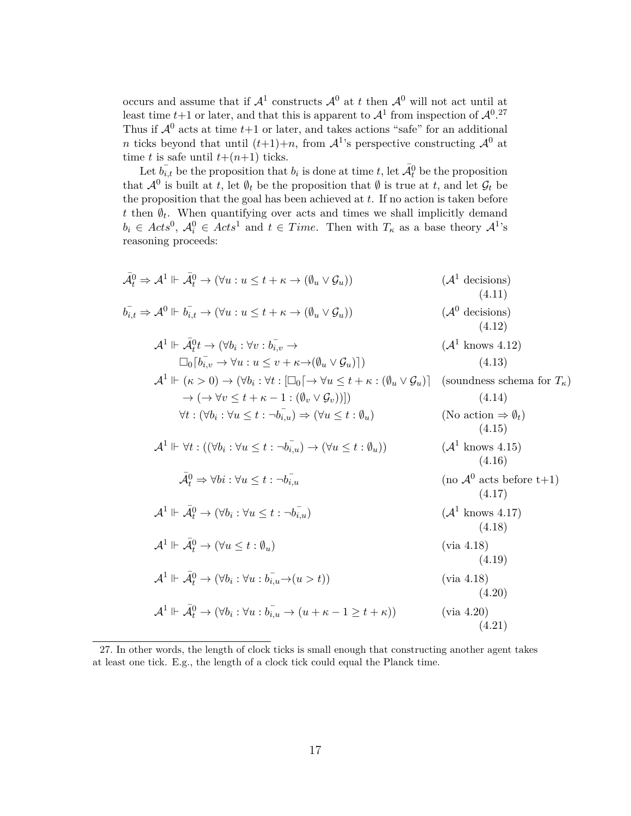occurs and assume that if  $\mathcal{A}^1$  constructs  $\mathcal{A}^0$  at t then  $\mathcal{A}^0$  will not act until at least time  $t+1$  or later, and that this is apparent to  $\mathcal{A}^1$  from inspection of  $\mathcal{A}^{0.27}$ Thus if  $\mathcal{A}^0$  acts at time  $t+1$  or later, and takes actions "safe" for an additional n ticks beyond that until  $(t+1)+n$ , from  $\mathcal{A}^1$ 's perspective constructing  $\mathcal{A}^0$  at time t is safe until  $t+(n+1)$  ticks.

Let  $b_{i,t}$  be the proposition that  $b_i$  is done at time t, let  $\overline{\mathcal{A}}_t^0$  be the proposition that  $\mathcal{A}^0$  is built at t, let  $\emptyset_t$  be the proposition that  $\emptyset$  is true at t, and let  $\mathcal{G}_t$  be the proposition that the goal has been achieved at  $t$ . If no action is taken before t then  $\emptyset_t$ . When quantifying over acts and times we shall implicitly demand  $b_i \in Acts^0, \mathcal{A}_i^0 \in Acts^1 \text{ and } t \in Time.$  Then with  $T_{\kappa}$  as a base theory  $\mathcal{A}^1$ 's reasoning proceeds:

$$
\bar{A}_t^0 \Rightarrow A^1 \Vdash \bar{A}_t^0 \rightarrow (\forall u : u \le t + \kappa \rightarrow (\emptyset_u \vee \mathcal{G}_u)) \qquad (A^1 \text{ decisions})
$$
\n
$$
b_{i,t}^-\Rightarrow A^0 \Vdash b_{i,t}^- \rightarrow (\forall u : u \le t + \kappa \rightarrow (\emptyset_u \vee \mathcal{G}_u)) \qquad (A^0 \text{ decisions})
$$
\n
$$
A^1 \Vdash \bar{A}_t^0 t \rightarrow (\forall b_i : \forall v : b_{i,v}^- \rightarrow (A^1 \text{ knows } 4.12)
$$
\n
$$
\Box_0[b_{i,v}^- \rightarrow \forall u : u \le v + \kappa \rightarrow (\emptyset_u \vee \mathcal{G}_u)]) \qquad (4.13)
$$
\n
$$
A^1 \Vdash (\kappa > 0) \rightarrow (\forall b_i : \forall t : [\Box_0[\rightarrow \forall u \le t + \kappa : (\emptyset_u \vee \mathcal{G}_u)] \text{ (soundness schema for } T_{\kappa}) \rightarrow (\rightarrow (\forall v \le t + \kappa - 1 : (\emptyset_v \vee \mathcal{G}_v))]) \qquad (4.14)
$$
\n
$$
\forall t : (\forall b_i : \forall u \le t : \neg b_{i,u}^-) \Rightarrow (\forall u \le t : \emptyset_u) \qquad (\text{No action } \Rightarrow \emptyset_t) \qquad (4.15)
$$
\n
$$
A^1 \Vdash \forall t : ((\forall b_i : \forall u \le t : \neg b_{i,u}^-) \rightarrow (\forall u \le t : \emptyset_u)) \qquad (A^1 \text{ knows } 4.15)
$$
\n
$$
\bar{A}_t^0 \Rightarrow \forall bi : \forall u \le t : \neg b_{i,u}^- \qquad (\text{no } A^0 \text{ acts before } t+1)
$$
\n
$$
A^1 \Vdash \bar{A}_t^0 \rightarrow (\forall b_i : \forall u \le t : \neg b_{i,u}^-) \qquad (A^1 \text{ knows } 4.17)
$$
\n
$$
A^1 \Vdash \bar{A}_t^0 \rightarrow (\forall b_i : \forall u \le t : \emptyset_u) \qquad (\text{via } 4.18)
$$
\n
$$
A^1 \Vdash \bar{A}_t^0 \rightarrow (\forall b_i : \forall u : b_{i,u} \rightarrow (u \times t)) \qquad (\text{via } 4
$$

<sup>27.</sup> In other words, the length of clock ticks is small enough that constructing another agent takes at least one tick. E.g., the length of a clock tick could equal the Planck time.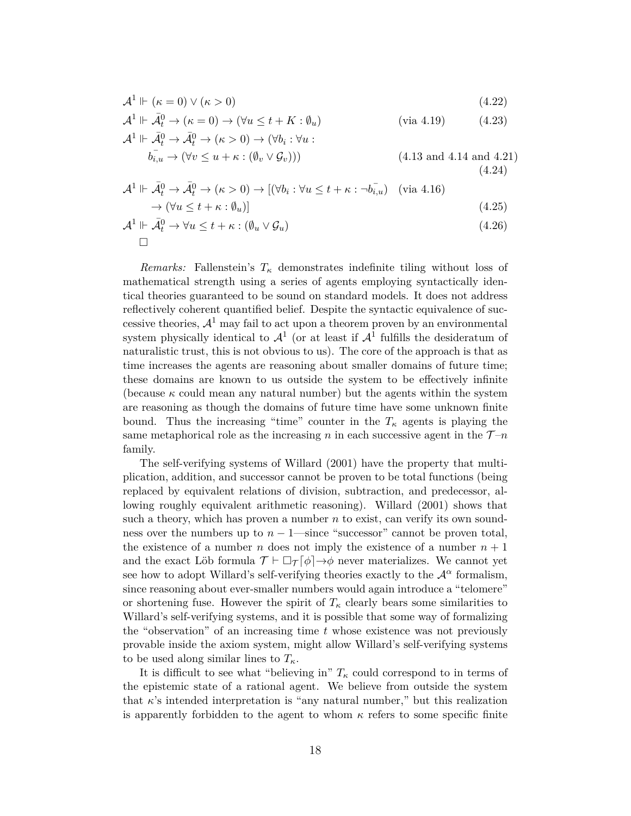$$
\mathcal{A}^1 \Vdash (\kappa = 0) \lor (\kappa > 0) \tag{4.22}
$$

$$
\mathcal{A}^1 \Vdash \bar{\mathcal{A}}_t^0 \to (\kappa = 0) \to (\forall u \le t + K : \emptyset_u)
$$
 (via 4.19) (4.23)

$$
\mathcal{A}^1 \Vdash \bar{\mathcal{A}}_t^0 \to \bar{\mathcal{A}}_t^0 \to (\kappa > 0) \to (\forall b_i : \forall u : \n\overline{b_{i,u}} \to (\forall v \le u + \kappa : (\emptyset_v \vee \mathcal{G}_v)))
$$
\n
$$
(4.13 \text{ and } 4.14 \text{ and } 4.21)
$$
\n
$$
(4.24)
$$

$$
\mathcal{A}^1 \Vdash \bar{\mathcal{A}}_t^0 \to \bar{\mathcal{A}}_t^0 \to (\kappa > 0) \to [(\forall b_i : \forall u \le t + \kappa : \neg b_{i,u}^-) \quad (\text{via } 4.16) \to (\forall u \le t + \kappa : \emptyset_u)]
$$
\n
$$
(4.25)
$$

$$
\mathcal{A}^1 \Vdash \bar{\mathcal{A}}_t^0 \to \forall u \le t + \kappa : (\emptyset_u \vee \mathcal{G}_u)
$$
\n
$$
\square
$$
\n(4.26)

*Remarks:* Fallenstein's  $T<sub>\kappa</sub>$  demonstrates indefinite tiling without loss of mathematical strength using a series of agents employing syntactically identical theories guaranteed to be sound on standard models. It does not address reflectively coherent quantified belief. Despite the syntactic equivalence of successive theories,  $\mathcal{A}^1$  may fail to act upon a theorem proven by an environmental system physically identical to  $\mathcal{A}^1$  (or at least if  $\mathcal{A}^1$  fulfills the desideratum of naturalistic trust, this is not obvious to us). The core of the approach is that as time increases the agents are reasoning about smaller domains of future time; these domains are known to us outside the system to be effectively infinite (because  $\kappa$  could mean any natural number) but the agents within the system are reasoning as though the domains of future time have some unknown finite bound. Thus the increasing "time" counter in the  $T_{\kappa}$  agents is playing the same metaphorical role as the increasing n in each successive agent in the  $\mathcal{T}-n$ family.

The self-verifying systems of Willard (2001) have the property that multiplication, addition, and successor cannot be proven to be total functions (being replaced by equivalent relations of division, subtraction, and predecessor, allowing roughly equivalent arithmetic reasoning). Willard (2001) shows that such a theory, which has proven a number  $n$  to exist, can verify its own soundness over the numbers up to  $n-1$ —since "successor" cannot be proven total, the existence of a number n does not imply the existence of a number  $n + 1$ and the exact Löb formula  $\mathcal{T} \vdash \Box_{\mathcal{T}}[\phi] \rightarrow \phi$  never materializes. We cannot yet see how to adopt Willard's self-verifying theories exactly to the  $\mathcal{A}^{\alpha}$  formalism, since reasoning about ever-smaller numbers would again introduce a "telomere" or shortening fuse. However the spirit of  $T_{\kappa}$  clearly bears some similarities to Willard's self-verifying systems, and it is possible that some way of formalizing the "observation" of an increasing time  $t$  whose existence was not previously provable inside the axiom system, might allow Willard's self-verifying systems to be used along similar lines to  $T_{\kappa}$ .

It is difficult to see what "believing in"  $T_{\kappa}$  could correspond to in terms of the epistemic state of a rational agent. We believe from outside the system that  $\kappa$ 's intended interpretation is "any natural number," but this realization is apparently forbidden to the agent to whom  $\kappa$  refers to some specific finite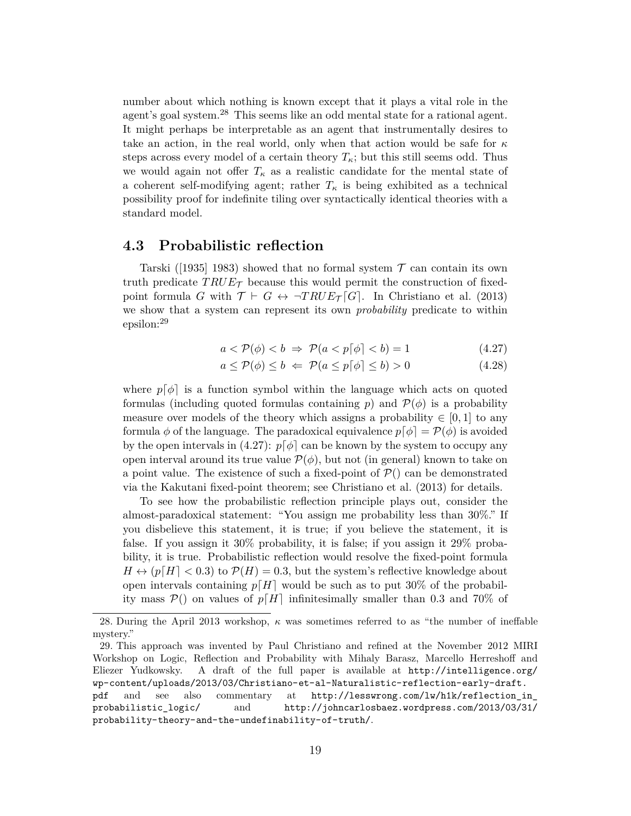number about which nothing is known except that it plays a vital role in the agent's goal system.<sup>28</sup> This seems like an odd mental state for a rational agent. It might perhaps be interpretable as an agent that instrumentally desires to take an action, in the real world, only when that action would be safe for  $\kappa$ steps across every model of a certain theory  $T_{\kappa}$ ; but this still seems odd. Thus we would again not offer  $T_{\kappa}$  as a realistic candidate for the mental state of a coherent self-modifying agent; rather  $T_{\kappa}$  is being exhibited as a technical possibility proof for indefinite tiling over syntactically identical theories with a standard model.

#### **4.3 Probabilistic reflection**

Tarski ([1935] 1983) showed that no formal system  $\mathcal T$  can contain its own truth predicate  $TRUE_{\mathcal{T}}$  because this would permit the construction of fixedpoint formula G with  $\mathcal{T} \vdash G \leftrightarrow \neg TRUE_{\mathcal{T}}[G]$ . In Christiano et al. (2013) we show that a system can represent its own *probability* predicate to within epsilon:<sup>29</sup>

$$
a < \mathcal{P}(\phi) < b \implies \mathcal{P}(a < p[\phi] < b) = 1 \tag{4.27}
$$

$$
a \le \mathcal{P}(\phi) \le b \iff \mathcal{P}(a \le p\lceil \phi \rceil \le b) > 0 \tag{4.28}
$$

where  $p[\phi]$  is a function symbol within the language which acts on quoted formulas (including quoted formulas containing p) and  $\mathcal{P}(\phi)$  is a probability measure over models of the theory which assigns a probability  $\in [0, 1]$  to any formula  $\phi$  of the language. The paradoxical equivalence  $p[\phi] = \mathcal{P}(\phi)$  is avoided by the open intervals in (4.27):  $p[\phi]$  can be known by the system to occupy any open interval around its true value  $\mathcal{P}(\phi)$ , but not (in general) known to take on a point value. The existence of such a fixed-point of  $P()$  can be demonstrated via the Kakutani fixed-point theorem; see Christiano et al. (2013) for details.

To see how the probabilistic reflection principle plays out, consider the almost-paradoxical statement: "You assign me probability less than 30%." If you disbelieve this statement, it is true; if you believe the statement, it is false. If you assign it 30% probability, it is false; if you assign it 29% probability, it is true. Probabilistic reflection would resolve the fixed-point formula  $H \leftrightarrow (p[H] < 0.3)$  to  $\mathcal{P}(H) = 0.3$ , but the system's reflective knowledge about open intervals containing  $p[H]$  would be such as to put 30% of the probability mass  $\mathcal{P}()$  on values of  $p[H]$  infinitesimally smaller than 0.3 and 70% of

<sup>28.</sup> During the April 2013 workshop,  $\kappa$  was sometimes referred to as "the number of ineffable mystery."

<sup>29.</sup> This approach was invented by Paul Christiano and refined at the November 2012 MIRI Workshop on Logic, Reflection and Probability with Mihaly Barasz, Marcello Herreshoff and Eliezer Yudkowsky. A draft of the full paper is available at http://intelligence.org/ wp-content/uploads/2013/03/Christiano-et-al-Naturalistic-reflection-early-draft. pdf and see also commentary at http://lesswrong.com/lw/h1k/reflection\_in\_ probabilistic\_logic/ and http://johncarlosbaez.wordpress.com/2013/03/31/ probability-theory-and-the-undefinability-of-truth/.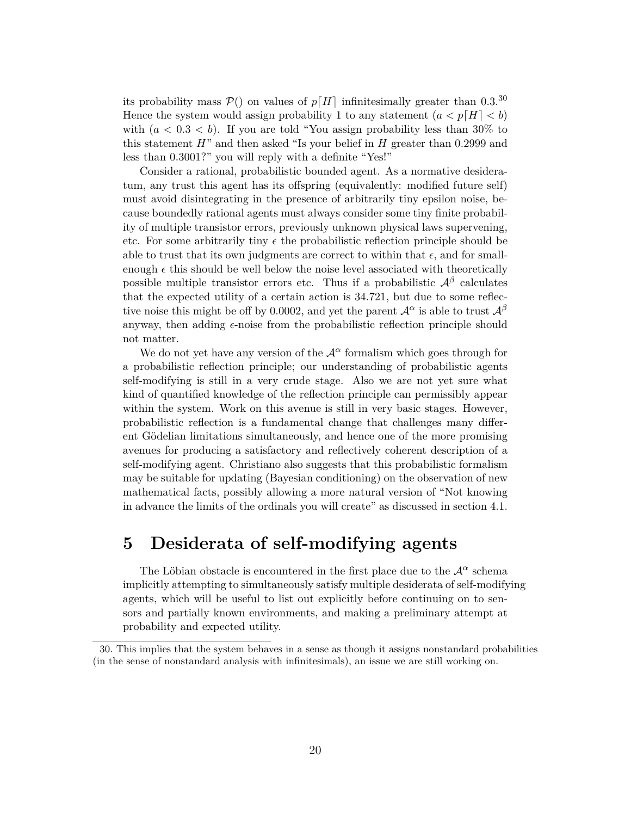its probability mass  $P()$  on values of  $p[H]$  infinitesimally greater than 0.3.<sup>30</sup> Hence the system would assign probability 1 to any statement  $(a < p[H] < b)$ with  $(a < 0.3 < b)$ . If you are told "You assign probability less than 30% to this statement  $H$ " and then asked "Is your belief in  $H$  greater than 0.2999 and less than 0.3001?" you will reply with a definite "Yes!"

Consider a rational, probabilistic bounded agent. As a normative desideratum, any trust this agent has its offspring (equivalently: modified future self) must avoid disintegrating in the presence of arbitrarily tiny epsilon noise, because boundedly rational agents must always consider some tiny finite probability of multiple transistor errors, previously unknown physical laws supervening, etc. For some arbitrarily tiny  $\epsilon$  the probabilistic reflection principle should be able to trust that its own judgments are correct to within that  $\epsilon$ , and for smallenough  $\epsilon$  this should be well below the noise level associated with theoretically possible multiple transistor errors etc. Thus if a probabilistic  $\mathcal{A}^{\beta}$  calculates that the expected utility of a certain action is 34.721, but due to some reflective noise this might be off by 0.0002, and yet the parent  $\mathcal{A}^{\alpha}$  is able to trust  $\mathcal{A}^{\beta}$ anyway, then adding  $\epsilon$ -noise from the probabilistic reflection principle should not matter.

We do not yet have any version of the  $\mathcal{A}^{\alpha}$  formalism which goes through for a probabilistic reflection principle; our understanding of probabilistic agents self-modifying is still in a very crude stage. Also we are not yet sure what kind of quantified knowledge of the reflection principle can permissibly appear within the system. Work on this avenue is still in very basic stages. However, probabilistic reflection is a fundamental change that challenges many different Gödelian limitations simultaneously, and hence one of the more promising avenues for producing a satisfactory and reflectively coherent description of a self-modifying agent. Christiano also suggests that this probabilistic formalism may be suitable for updating (Bayesian conditioning) on the observation of new mathematical facts, possibly allowing a more natural version of "Not knowing in advance the limits of the ordinals you will create" as discussed in section 4.1.

### **5 Desiderata of self-modifying agents**

The Löbian obstacle is encountered in the first place due to the  $\mathcal{A}^{\alpha}$  schema implicitly attempting to simultaneously satisfy multiple desiderata of self-modifying agents, which will be useful to list out explicitly before continuing on to sensors and partially known environments, and making a preliminary attempt at probability and expected utility.

<sup>30.</sup> This implies that the system behaves in a sense as though it assigns nonstandard probabilities (in the sense of nonstandard analysis with infinitesimals), an issue we are still working on.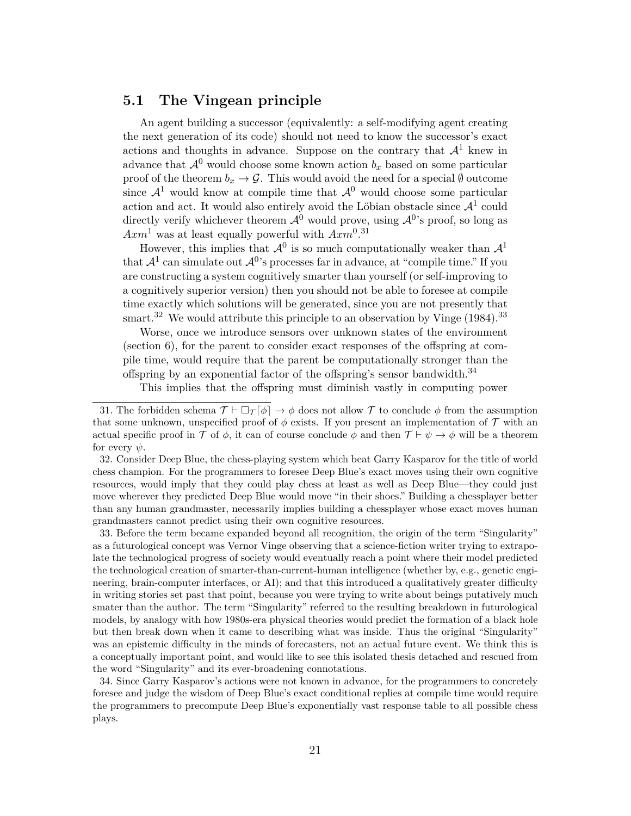#### **5.1 The Vingean principle**

An agent building a successor (equivalently: a self-modifying agent creating the next generation of its code) should not need to know the successor's exact actions and thoughts in advance. Suppose on the contrary that  $\mathcal{A}^1$  knew in advance that  $\mathcal{A}^0$  would choose some known action  $b_x$  based on some particular proof of the theorem  $b_x \to \mathcal{G}$ . This would avoid the need for a special  $\emptyset$  outcome since  $\mathcal{A}^1$  would know at compile time that  $\mathcal{A}^0$  would choose some particular action and act. It would also entirely avoid the Löbian obstacle since  $\mathcal{A}^1$  could directly verify whichever theorem  $\mathcal{A}^0$  would prove, using  $\mathcal{A}^0$ 's proof, so long as  $Axm^1$  was at least equally powerful with  $Axm^{0.31}$ 

However, this implies that  $\mathcal{A}^0$  is so much computationally weaker than  $\mathcal{A}^1$ that  $\mathcal{A}^1$  can simulate out  $\mathcal{A}^0$ 's processes far in advance, at "compile time." If you are constructing a system cognitively smarter than yourself (or self-improving to a cognitively superior version) then you should not be able to foresee at compile time exactly which solutions will be generated, since you are not presently that smart.<sup>32</sup> We would attribute this principle to an observation by Vinge  $(1984)$ .<sup>33</sup>

Worse, once we introduce sensors over unknown states of the environment (section 6), for the parent to consider exact responses of the offspring at compile time, would require that the parent be computationally stronger than the offspring by an exponential factor of the offspring's sensor bandwidth.<sup>34</sup>

This implies that the offspring must diminish vastly in computing power

33. Before the term became expanded beyond all recognition, the origin of the term "Singularity" as a futurological concept was Vernor Vinge observing that a science-fiction writer trying to extrapolate the technological progress of society would eventually reach a point where their model predicted the technological creation of smarter-than-current-human intelligence (whether by, e.g., genetic engineering, brain-computer interfaces, or AI); and that this introduced a qualitatively greater difficulty in writing stories set past that point, because you were trying to write about beings putatively much smater than the author. The term "Singularity" referred to the resulting breakdown in futurological models, by analogy with how 1980s-era physical theories would predict the formation of a black hole but then break down when it came to describing what was inside. Thus the original "Singularity" was an epistemic difficulty in the minds of forecasters, not an actual future event. We think this is a conceptually important point, and would like to see this isolated thesis detached and rescued from the word "Singularity" and its ever-broadening connotations.

34. Since Garry Kasparov's actions were not known in advance, for the programmers to concretely foresee and judge the wisdom of Deep Blue's exact conditional replies at compile time would require the programmers to precompute Deep Blue's exponentially vast response table to all possible chess plays.

<sup>31.</sup> The forbidden schema  $\mathcal{T} \vdash \Box_{\mathcal{T}}[\phi] \rightarrow \phi$  does not allow  $\mathcal{T}$  to conclude  $\phi$  from the assumption that some unknown, unspecified proof of  $\phi$  exists. If you present an implementation of  $\mathcal T$  with an actual specific proof in T of  $\phi$ , it can of course conclude  $\phi$  and then  $\mathcal{T} \vdash \psi \to \phi$  will be a theorem for every  $\psi$ .

<sup>32.</sup> Consider Deep Blue, the chess-playing system which beat Garry Kasparov for the title of world chess champion. For the programmers to foresee Deep Blue's exact moves using their own cognitive resources, would imply that they could play chess at least as well as Deep Blue—they could just move wherever they predicted Deep Blue would move "in their shoes." Building a chessplayer better than any human grandmaster, necessarily implies building a chessplayer whose exact moves human grandmasters cannot predict using their own cognitive resources.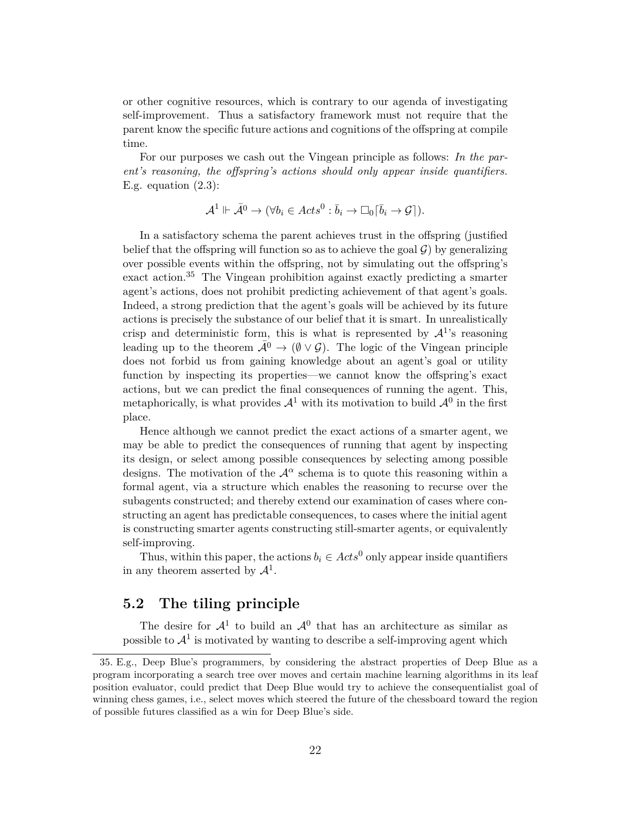or other cognitive resources, which is contrary to our agenda of investigating self-improvement. Thus a satisfactory framework must not require that the parent know the specific future actions and cognitions of the offspring at compile time.

For our purposes we cash out the Vingean principle as follows: *In the parent's reasoning, the offspring's actions should only appear inside quantifiers.* E.g. equation  $(2.3)$ :

$$
\mathcal{A}^1 \Vdash \overline{\mathcal{A}}^0 \to (\forall b_i \in \mathit{Acts}^0 : \overline{b}_i \to \Box_0[\overline{b}_i \to \mathcal{G}]).
$$

In a satisfactory schema the parent achieves trust in the offspring (justified belief that the offspring will function so as to achieve the goal  $\mathcal{G}$ ) by generalizing over possible events within the offspring, not by simulating out the offspring's exact action.<sup>35</sup> The Vingean prohibition against exactly predicting a smarter agent's actions, does not prohibit predicting achievement of that agent's goals. Indeed, a strong prediction that the agent's goals will be achieved by its future actions is precisely the substance of our belief that it is smart. In unrealistically crisp and deterministic form, this is what is represented by  $\mathcal{A}^1$ 's reasoning leading up to the theorem  $\bar{\mathcal{A}}^0 \to (\emptyset \vee \mathcal{G})$ . The logic of the Vingean principle does not forbid us from gaining knowledge about an agent's goal or utility function by inspecting its properties—we cannot know the offspring's exact actions, but we can predict the final consequences of running the agent. This, metaphorically, is what provides  $\mathcal{A}^1$  with its motivation to build  $\mathcal{A}^0$  in the first place.

Hence although we cannot predict the exact actions of a smarter agent, we may be able to predict the consequences of running that agent by inspecting its design, or select among possible consequences by selecting among possible designs. The motivation of the  $\mathcal{A}^{\alpha}$  schema is to quote this reasoning within a formal agent, via a structure which enables the reasoning to recurse over the subagents constructed; and thereby extend our examination of cases where constructing an agent has predictable consequences, to cases where the initial agent is constructing smarter agents constructing still-smarter agents, or equivalently self-improving.

Thus, within this paper, the actions  $b_i \in Acts^0$  only appear inside quantifiers in any theorem asserted by  $\mathcal{A}^1$ .

#### **5.2 The tiling principle**

The desire for  $\mathcal{A}^1$  to build an  $\mathcal{A}^0$  that has an architecture as similar as possible to  $\mathcal{A}^1$  is motivated by wanting to describe a self-improving agent which

<sup>35.</sup> E.g., Deep Blue's programmers, by considering the abstract properties of Deep Blue as a program incorporating a search tree over moves and certain machine learning algorithms in its leaf position evaluator, could predict that Deep Blue would try to achieve the consequentialist goal of winning chess games, i.e., select moves which steered the future of the chessboard toward the region of possible futures classified as a win for Deep Blue's side.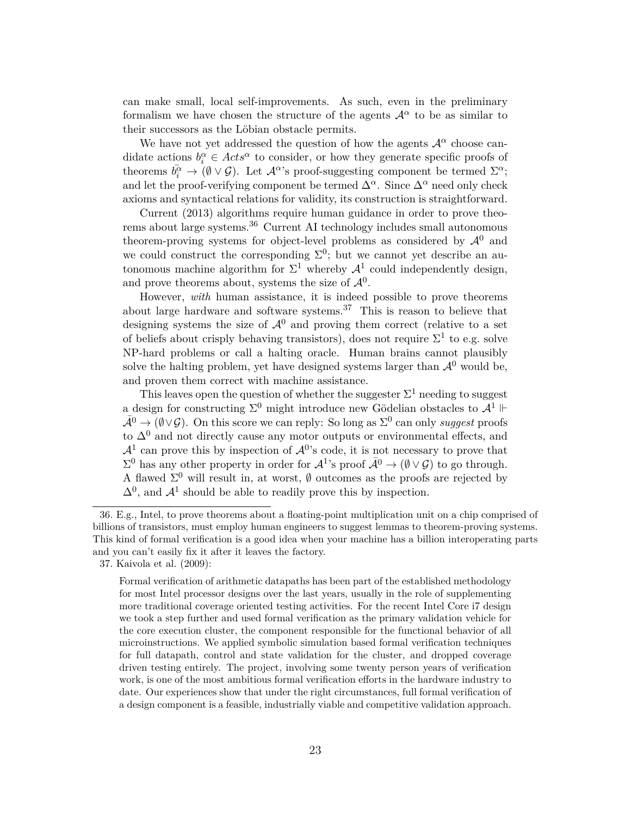can make small, local self-improvements. As such, even in the preliminary formalism we have chosen the structure of the agents  $\mathcal{A}^{\alpha}$  to be as similar to their successors as the Löbian obstacle permits.

We have not yet addressed the question of how the agents  $\mathcal{A}^{\alpha}$  choose candidate actions  $b_i^{\alpha} \in \text{Acts}^{\alpha}$  to consider, or how they generate specific proofs of theorems  $\bar{b}_i^{\alpha} \to (\emptyset \vee \mathcal{G})$ . Let  $\mathcal{A}^{\alpha}$ 's proof-suggesting component be termed  $\Sigma^{\alpha}$ ; and let the proof-verifying component be termed  $\Delta^{\alpha}$ . Since  $\Delta^{\alpha}$  need only check axioms and syntactical relations for validity, its construction is straightforward.

Current (2013) algorithms require human guidance in order to prove theorems about large systems. $36$  Current AI technology includes small autonomous theorem-proving systems for object-level problems as considered by  $\mathcal{A}^0$  and we could construct the corresponding  $\Sigma^0$ ; but we cannot yet describe an autonomous machine algorithm for  $\Sigma^1$  whereby  $\mathcal{A}^1$  could independently design, and prove theorems about, systems the size of  $\mathcal{A}^0$ .

However, *with* human assistance, it is indeed possible to prove theorems about large hardware and software systems.<sup>37</sup> This is reason to believe that designing systems the size of  $\mathcal{A}^0$  and proving them correct (relative to a set of beliefs about crisply behaving transistors), does not require  $\Sigma^1$  to e.g. solve NP-hard problems or call a halting oracle. Human brains cannot plausibly solve the halting problem, yet have designed systems larger than  $\mathcal{A}^0$  would be, and proven them correct with machine assistance.

This leaves open the question of whether the suggester  $\Sigma^1$  needing to suggest a design for constructing  $\Sigma^0$  might introduce new Gödelian obstacles to  $\mathcal{A}^1$   $\mathrel{\Vdash}$  $\bar{\mathcal{A}}^0 \to (\emptyset \vee \mathcal{G})$ . On this score we can reply: So long as  $\Sigma^0$  can only *suggest* proofs to  $\Delta^{0}$  and not directly cause any motor outputs or environmental effects, and  $\mathcal{A}^1$  can prove this by inspection of  $\mathcal{A}^0$ 's code, it is not necessary to prove that  $\Sigma^0$  has any other property in order for  $\mathcal{A}^1$ 's proof  $\bar{\mathcal{A}}^0 \to (\emptyset \vee \mathcal{G})$  to go through. A flawed  $\Sigma^0$  will result in, at worst,  $\emptyset$  outcomes as the proofs are rejected by  $\Delta^{0}$ , and  $\mathcal{A}^{1}$  should be able to readily prove this by inspection.

<sup>36.</sup> E.g., Intel, to prove theorems about a floating-point multiplication unit on a chip comprised of billions of transistors, must employ human engineers to suggest lemmas to theorem-proving systems. This kind of formal verification is a good idea when your machine has a billion interoperating parts and you can't easily fix it after it leaves the factory.

<sup>37.</sup> Kaivola et al. (2009):

Formal verification of arithmetic datapaths has been part of the established methodology for most Intel processor designs over the last years, usually in the role of supplementing more traditional coverage oriented testing activities. For the recent Intel Core i7 design we took a step further and used formal verification as the primary validation vehicle for the core execution cluster, the component responsible for the functional behavior of all microinstructions. We applied symbolic simulation based formal verification techniques for full datapath, control and state validation for the cluster, and dropped coverage driven testing entirely. The project, involving some twenty person years of verification work, is one of the most ambitious formal verification efforts in the hardware industry to date. Our experiences show that under the right circumstances, full formal verification of a design component is a feasible, industrially viable and competitive validation approach.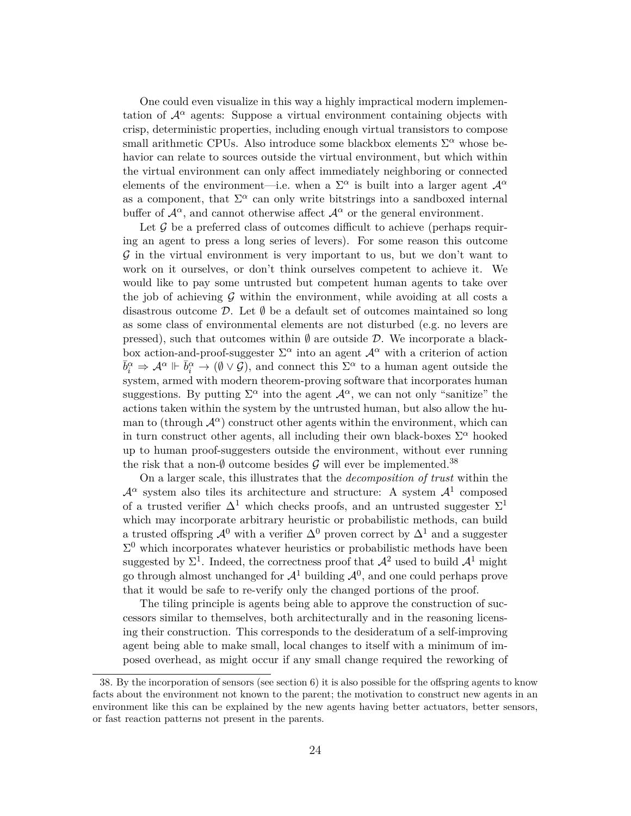One could even visualize in this way a highly impractical modern implementation of  $\mathcal{A}^{\alpha}$  agents: Suppose a virtual environment containing objects with crisp, deterministic properties, including enough virtual transistors to compose small arithmetic CPUs. Also introduce some blackbox elements  $\Sigma^{\alpha}$  whose behavior can relate to sources outside the virtual environment, but which within the virtual environment can only affect immediately neighboring or connected elements of the environment—i.e. when a  $\Sigma^{\alpha}$  is built into a larger agent  $\mathcal{A}^{\alpha}$ as a component, that  $\Sigma^{\alpha}$  can only write bitstrings into a sandboxed internal buffer of  $\mathcal{A}^{\alpha}$ , and cannot otherwise affect  $\mathcal{A}^{\alpha}$  or the general environment.

Let  $\mathcal G$  be a preferred class of outcomes difficult to achieve (perhaps requiring an agent to press a long series of levers). For some reason this outcome  $\mathcal G$  in the virtual environment is very important to us, but we don't want to work on it ourselves, or don't think ourselves competent to achieve it. We would like to pay some untrusted but competent human agents to take over the job of achieving  $\mathcal G$  within the environment, while avoiding at all costs a disastrous outcome  $\mathcal{D}$ . Let  $\emptyset$  be a default set of outcomes maintained so long as some class of environmental elements are not disturbed (e.g. no levers are pressed), such that outcomes within  $\emptyset$  are outside  $\mathcal{D}$ . We incorporate a blackbox action-and-proof-suggester  $\Sigma^{\alpha}$  into an agent  $\mathcal{A}^{\alpha}$  with a criterion of action  $\bar{b}_i^{\alpha} \Rightarrow \mathcal{A}^{\alpha} \Vdash \bar{b}_i^{\alpha} \rightarrow (\emptyset \vee \mathcal{G})$ , and connect this  $\Sigma^{\alpha}$  to a human agent outside the system, armed with modern theorem-proving software that incorporates human suggestions. By putting  $\Sigma^{\alpha}$  into the agent  $\mathcal{A}^{\alpha}$ , we can not only "sanitize" the actions taken within the system by the untrusted human, but also allow the human to (through  $\mathcal{A}^{\alpha}$ ) construct other agents within the environment, which can in turn construct other agents, all including their own black-boxes  $\Sigma^{\alpha}$  hooked up to human proof-suggesters outside the environment, without ever running the risk that a non- $\emptyset$  outcome besides  $\mathcal G$  will ever be implemented.<sup>38</sup>

On a larger scale, this illustrates that the *decomposition of trust* within the  $\mathcal{A}^{\alpha}$  system also tiles its architecture and structure: A system  $\mathcal{A}^1$  composed of a trusted verifier  $\Delta^1$  which checks proofs, and an untrusted suggester  $\Sigma^1$ which may incorporate arbitrary heuristic or probabilistic methods, can build a trusted offspring  $\mathcal{A}^0$  with a verifier  $\Delta^0$  proven correct by  $\Delta^1$  and a suggester  $\Sigma^0$  which incorporates whatever heuristics or probabilistic methods have been suggested by  $\Sigma^1$ . Indeed, the correctness proof that  $\mathcal{A}^2$  used to build  $\mathcal{A}^1$  might go through almost unchanged for  $\mathcal{A}^1$  building  $\mathcal{A}^0$ , and one could perhaps prove that it would be safe to re-verify only the changed portions of the proof.

The tiling principle is agents being able to approve the construction of successors similar to themselves, both architecturally and in the reasoning licensing their construction. This corresponds to the desideratum of a self-improving agent being able to make small, local changes to itself with a minimum of imposed overhead, as might occur if any small change required the reworking of

<sup>38.</sup> By the incorporation of sensors (see section 6) it is also possible for the offspring agents to know facts about the environment not known to the parent; the motivation to construct new agents in an environment like this can be explained by the new agents having better actuators, better sensors, or fast reaction patterns not present in the parents.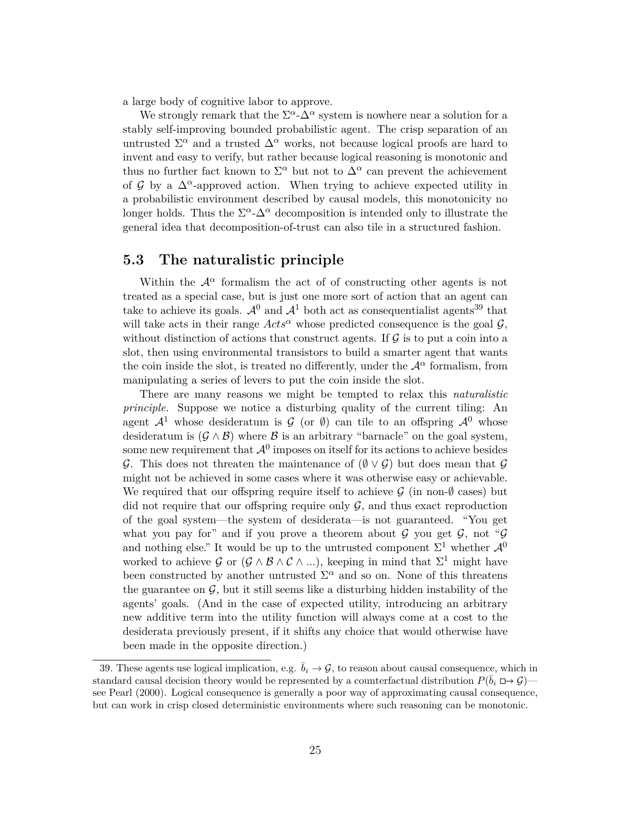a large body of cognitive labor to approve.

We strongly remark that the  $\Sigma^{\alpha}$ - $\Delta^{\alpha}$  system is nowhere near a solution for a stably self-improving bounded probabilistic agent. The crisp separation of an untrusted  $\Sigma^{\alpha}$  and a trusted  $\Delta^{\alpha}$  works, not because logical proofs are hard to invent and easy to verify, but rather because logical reasoning is monotonic and thus no further fact known to  $\Sigma^{\alpha}$  but not to  $\Delta^{\alpha}$  can prevent the achievement of G by a  $\Delta^{\alpha}$ -approved action. When trying to achieve expected utility in a probabilistic environment described by causal models, this monotonicity no longer holds. Thus the  $\Sigma^{\alpha}$ - $\Delta^{\alpha}$  decomposition is intended only to illustrate the general idea that decomposition-of-trust can also tile in a structured fashion.

#### **5.3 The naturalistic principle**

Within the  $\mathcal{A}^{\alpha}$  formalism the act of of constructing other agents is not treated as a special case, but is just one more sort of action that an agent can take to achieve its goals.  $\mathcal{A}^0$  and  $\mathcal{A}^1$  both act as consequentialist agents<sup>39</sup> that will take acts in their range  $Acts^{\alpha}$  whose predicted consequence is the goal  $\mathcal{G}$ , without distinction of actions that construct agents. If  $\mathcal G$  is to put a coin into a slot, then using environmental transistors to build a smarter agent that wants the coin inside the slot, is treated no differently, under the  $\mathcal{A}^{\alpha}$  formalism, from manipulating a series of levers to put the coin inside the slot.

There are many reasons we might be tempted to relax this *naturalistic principle.* Suppose we notice a disturbing quality of the current tiling: An agent  $\mathcal{A}^1$  whose desideratum is  $\mathcal G$  (or  $\emptyset$ ) can tile to an offspring  $\mathcal{A}^0$  whose desideratum is  $(G \wedge B)$  where B is an arbitrary "barnacle" on the goal system, some new requirement that  $\mathcal{A}^0$  imposes on itself for its actions to achieve besides G. This does not threaten the maintenance of  $(\emptyset \vee \mathcal{G})$  but does mean that G might not be achieved in some cases where it was otherwise easy or achievable. We required that our offspring require itself to achieve  $\mathcal G$  (in non- $\emptyset$  cases) but did not require that our offspring require only  $\mathcal{G}$ , and thus exact reproduction of the goal system—the system of desiderata—is not guaranteed. "You get what you pay for" and if you prove a theorem about  $G$  you get  $G$ , not " $G$ and nothing else." It would be up to the untrusted component  $\Sigma^1$  whether  $\mathcal{A}^0$ worked to achieve G or  $(\mathcal{G} \wedge \mathcal{B} \wedge \mathcal{C} \wedge ...)$ , keeping in mind that  $\Sigma^1$  might have been constructed by another untrusted  $\Sigma^{\alpha}$  and so on. None of this threatens the guarantee on  $G$ , but it still seems like a disturbing hidden instability of the agents' goals. (And in the case of expected utility, introducing an arbitrary new additive term into the utility function will always come at a cost to the desiderata previously present, if it shifts any choice that would otherwise have been made in the opposite direction.)

<sup>39.</sup> These agents use logical implication, e.g.  $\bar{b}_i \to \mathcal{G}$ , to reason about causal consequence, which in standard causal decision theory would be represented by a counterfactual distribution  $P(\bar{b}_i \oplus \rightarrow \mathcal{G})$ see Pearl (2000). Logical consequence is generally a poor way of approximating causal consequence, but can work in crisp closed deterministic environments where such reasoning can be monotonic.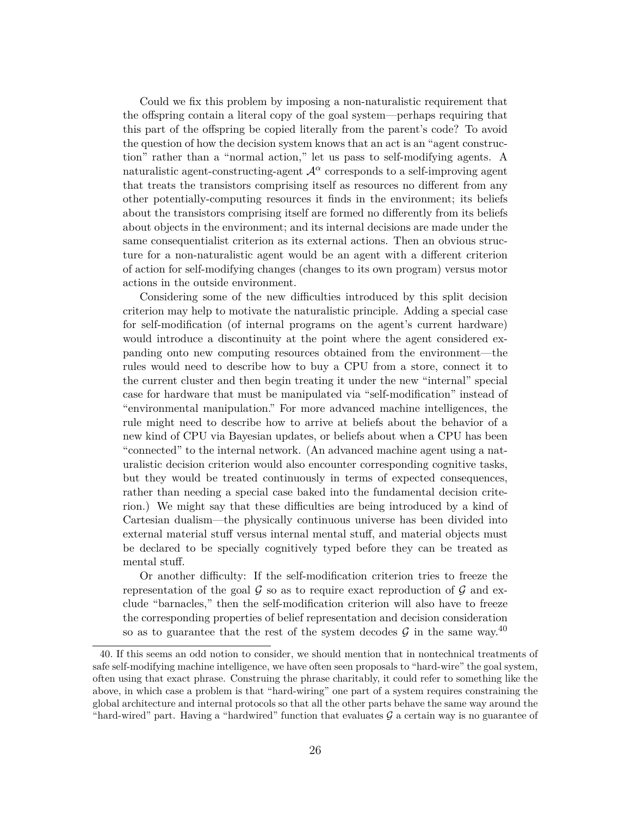Could we fix this problem by imposing a non-naturalistic requirement that the offspring contain a literal copy of the goal system—perhaps requiring that this part of the offspring be copied literally from the parent's code? To avoid the question of how the decision system knows that an act is an "agent construction" rather than a "normal action," let us pass to self-modifying agents. A naturalistic agent-constructing-agent  $\mathcal{A}^{\alpha}$  corresponds to a self-improving agent that treats the transistors comprising itself as resources no different from any other potentially-computing resources it finds in the environment; its beliefs about the transistors comprising itself are formed no differently from its beliefs about objects in the environment; and its internal decisions are made under the same consequentialist criterion as its external actions. Then an obvious structure for a non-naturalistic agent would be an agent with a different criterion of action for self-modifying changes (changes to its own program) versus motor actions in the outside environment.

Considering some of the new difficulties introduced by this split decision criterion may help to motivate the naturalistic principle. Adding a special case for self-modification (of internal programs on the agent's current hardware) would introduce a discontinuity at the point where the agent considered expanding onto new computing resources obtained from the environment—the rules would need to describe how to buy a CPU from a store, connect it to the current cluster and then begin treating it under the new "internal" special case for hardware that must be manipulated via "self-modification" instead of "environmental manipulation." For more advanced machine intelligences, the rule might need to describe how to arrive at beliefs about the behavior of a new kind of CPU via Bayesian updates, or beliefs about when a CPU has been "connected" to the internal network. (An advanced machine agent using a naturalistic decision criterion would also encounter corresponding cognitive tasks, but they would be treated continuously in terms of expected consequences, rather than needing a special case baked into the fundamental decision criterion.) We might say that these difficulties are being introduced by a kind of Cartesian dualism—the physically continuous universe has been divided into external material stuff versus internal mental stuff, and material objects must be declared to be specially cognitively typed before they can be treated as mental stuff.

Or another difficulty: If the self-modification criterion tries to freeze the representation of the goal  $\mathcal G$  so as to require exact reproduction of  $\mathcal G$  and exclude "barnacles," then the self-modification criterion will also have to freeze the corresponding properties of belief representation and decision consideration so as to guarantee that the rest of the system decodes G in the same way.<sup>40</sup>

<sup>40.</sup> If this seems an odd notion to consider, we should mention that in nontechnical treatments of safe self-modifying machine intelligence, we have often seen proposals to "hard-wire" the goal system, often using that exact phrase. Construing the phrase charitably, it could refer to something like the above, in which case a problem is that "hard-wiring" one part of a system requires constraining the global architecture and internal protocols so that all the other parts behave the same way around the "hard-wired" part. Having a "hardwired" function that evaluates  $\mathcal G$  a certain way is no guarantee of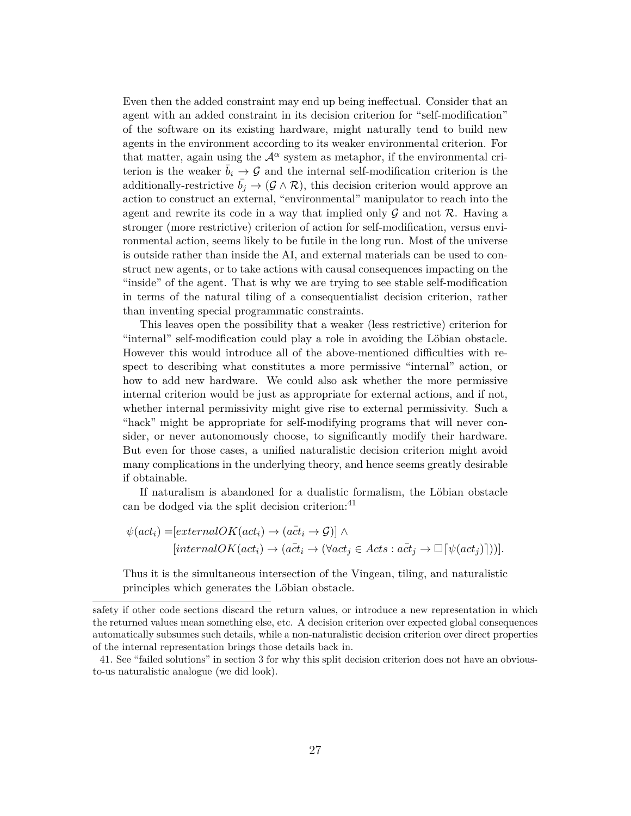Even then the added constraint may end up being ineffectual. Consider that an agent with an added constraint in its decision criterion for "self-modification" of the software on its existing hardware, might naturally tend to build new agents in the environment according to its weaker environmental criterion. For that matter, again using the  $\mathcal{A}^{\alpha}$  system as metaphor, if the environmental criterion is the weaker  $\bar{b}_i \rightarrow \mathcal{G}$  and the internal self-modification criterion is the additionally-restrictive  $\bar{b}_j \rightarrow (\mathcal{G} \wedge \mathcal{R})$ , this decision criterion would approve an action to construct an external, "environmental" manipulator to reach into the agent and rewrite its code in a way that implied only  $\mathcal G$  and not  $\mathcal R$ . Having a stronger (more restrictive) criterion of action for self-modification, versus environmental action, seems likely to be futile in the long run. Most of the universe is outside rather than inside the AI, and external materials can be used to construct new agents, or to take actions with causal consequences impacting on the "inside" of the agent. That is why we are trying to see stable self-modification in terms of the natural tiling of a consequentialist decision criterion, rather than inventing special programmatic constraints.

This leaves open the possibility that a weaker (less restrictive) criterion for "internal" self-modification could play a role in avoiding the Löbian obstacle. However this would introduce all of the above-mentioned difficulties with respect to describing what constitutes a more permissive "internal" action, or how to add new hardware. We could also ask whether the more permissive internal criterion would be just as appropriate for external actions, and if not, whether internal permissivity might give rise to external permissivity. Such a "hack" might be appropriate for self-modifying programs that will never consider, or never autonomously choose, to significantly modify their hardware. But even for those cases, a unified naturalistic decision criterion might avoid many complications in the underlying theory, and hence seems greatly desirable if obtainable.

If naturalism is abandoned for a dualistic formalism, the Löbian obstacle can be dodged via the split decision criterion:<sup>41</sup>

$$
\psi(act_i) = [externalOK(act_i) \rightarrow (act_i \rightarrow \mathcal{G})] \land
$$
  
[internalOK(act\_i) \rightarrow (act\_i \rightarrow (\forall act\_j \in Acts : act\_j \rightarrow \Box[\psi(act\_j)]))].

Thus it is the simultaneous intersection of the Vingean, tiling, and naturalistic principles which generates the Löbian obstacle.

safety if other code sections discard the return values, or introduce a new representation in which the returned values mean something else, etc. A decision criterion over expected global consequences automatically subsumes such details, while a non-naturalistic decision criterion over direct properties of the internal representation brings those details back in.

<sup>41.</sup> See "failed solutions" in section 3 for why this split decision criterion does not have an obviousto-us naturalistic analogue (we did look).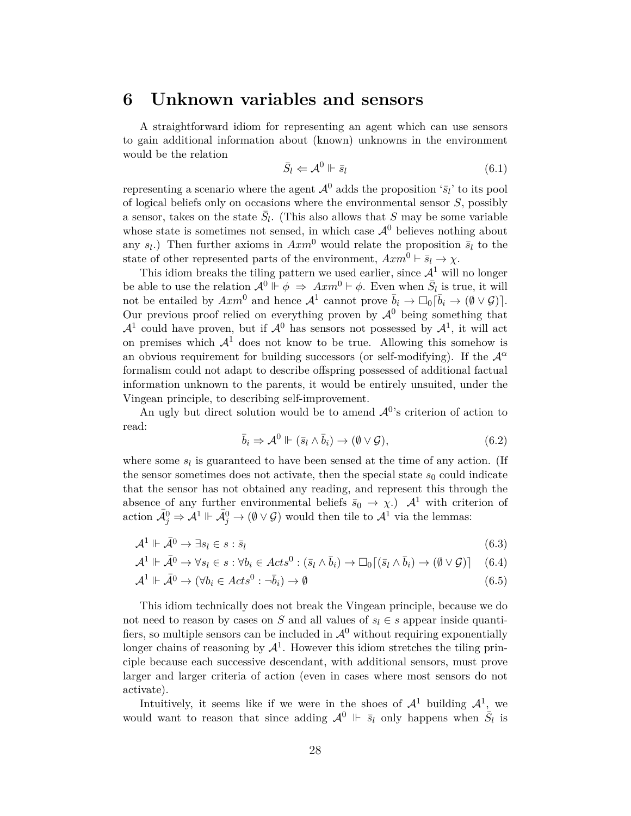### **6 Unknown variables and sensors**

A straightforward idiom for representing an agent which can use sensors to gain additional information about (known) unknowns in the environment would be the relation

$$
\bar{S}_l \Leftarrow \mathcal{A}^0 \Vdash \bar{s}_l \tag{6.1}
$$

representing a scenario where the agent  $\mathcal{A}^0$  adds the proposition ' $\bar{s}_l$ ' to its pool of logical beliefs only on occasions where the environmental sensor S, possibly a sensor, takes on the state  $\bar{S}_l$ . (This also allows that S may be some variable whose state is sometimes not sensed, in which case  $\mathcal{A}^0$  believes nothing about any  $s_l$ .) Then further axioms in  $Axm^0$  would relate the proposition  $\bar{s}_l$  to the state of other represented parts of the environment,  $Axm^0 \vdash \overline{s}_l \rightarrow \chi$ .

This idiom breaks the tiling pattern we used earlier, since  $\mathcal{A}^1$  will no longer be able to use the relation  $\mathcal{A}^0 \Vdash \phi \Rightarrow Axm^0 \vdash \phi$ . Even when  $\bar{S}_l$  is true, it will not be entailed by  $Axm^0$  and hence  $\mathcal{A}^1$  cannot prove  $\bar{b}_i \to \Box_0 [\bar{b}_i \to (\emptyset \lor \mathcal{G})]$ . Our previous proof relied on everything proven by  $\mathcal{A}^0$  being something that  $\mathcal{A}^1$  could have proven, but if  $\mathcal{A}^0$  has sensors not possessed by  $\mathcal{A}^1$ , it will act on premises which  $A<sup>1</sup>$  does not know to be true. Allowing this somehow is an obvious requirement for building successors (or self-modifying). If the  $\mathcal{A}^{\alpha}$ formalism could not adapt to describe offspring possessed of additional factual information unknown to the parents, it would be entirely unsuited, under the Vingean principle, to describing self-improvement.

An ugly but direct solution would be to amend  $\mathcal{A}^{0}$ 's criterion of action to read:

$$
\bar{b}_i \Rightarrow \mathcal{A}^0 \Vdash (\bar{s}_l \wedge \bar{b}_i) \to (\emptyset \vee \mathcal{G}), \tag{6.2}
$$

where some  $s_l$  is guaranteed to have been sensed at the time of any action. (If the sensor sometimes does not activate, then the special state  $s_0$  could indicate that the sensor has not obtained any reading, and represent this through the absence of any further environmental beliefs  $\bar{s}_0 \to \chi$ .)  $\mathcal{A}^1$  with criterion of action  $\mathcal{A}_{j}^{0} \Rightarrow \mathcal{A}^{1} \Vdash \mathcal{A}_{j}^{0} \rightarrow (\emptyset \vee \mathcal{G})$  would then tile to  $\mathcal{A}^{1}$  via the lemmas:

$$
\mathcal{A}^1 \Vdash \bar{\mathcal{A}}^0 \to \exists s_l \in s : \bar{s}_l \tag{6.3}
$$

$$
\mathcal{A}^1 \Vdash \bar{\mathcal{A}}^0 \to \forall s_l \in s : \forall b_i \in \mathit{Acts}^0 : (\bar{s}_l \wedge \bar{b}_i) \to \Box_0[(\bar{s}_l \wedge \bar{b}_i) \to (\emptyset \vee \mathcal{G})] \tag{6.4}
$$

$$
\mathcal{A}^1 \Vdash \bar{\mathcal{A}}^0 \to (\forall b_i \in \mathit{Acts}^0 : \neg \bar{b}_i) \to \emptyset \tag{6.5}
$$

This idiom technically does not break the Vingean principle, because we do not need to reason by cases on S and all values of  $s_l \in s$  appear inside quantifiers, so multiple sensors can be included in  $\mathcal{A}^0$  without requiring exponentially longer chains of reasoning by  $\mathcal{A}^1$ . However this idiom stretches the tiling principle because each successive descendant, with additional sensors, must prove larger and larger criteria of action (even in cases where most sensors do not activate).

Intuitively, it seems like if we were in the shoes of  $\mathcal{A}^1$  building  $\mathcal{A}^1$ , we would want to reason that since adding  $\mathcal{A}^0 \Vdash \overline{s}_l$  only happens when  $\overline{S}_l$  is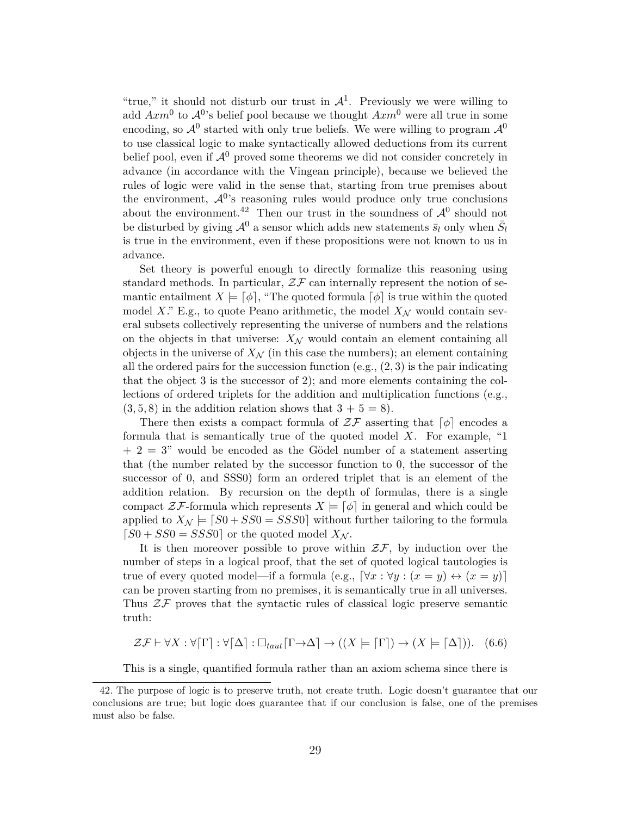"true," it should not disturb our trust in  $\mathcal{A}^1$ . Previously we were willing to add  $Axm^0$  to  $\mathcal{A}^{0}$ 's belief pool because we thought  $Axm^0$  were all true in some encoding, so  $\mathcal{A}^0$  started with only true beliefs. We were willing to program  $\mathcal{A}^0$ to use classical logic to make syntactically allowed deductions from its current belief pool, even if  $\mathcal{A}^0$  proved some theorems we did not consider concretely in advance (in accordance with the Vingean principle), because we believed the rules of logic were valid in the sense that, starting from true premises about the environment,  $\mathcal{A}^{0}$ 's reasoning rules would produce only true conclusions about the environment.<sup>42</sup> Then our trust in the soundness of  $\mathcal{A}^0$  should not be disturbed by giving  $\mathcal{A}^0$  a sensor which adds new statements  $\bar{s}_l$  only when  $\bar{S}_l$ is true in the environment, even if these propositions were not known to us in advance.

Set theory is powerful enough to directly formalize this reasoning using standard methods. In particular,  $\mathcal{ZF}$  can internally represent the notion of semantic entailment  $X \models [\phi]$ , "The quoted formula  $[\phi]$  is true within the quoted model X." E.g., to quote Peano arithmetic, the model  $X_N$  would contain several subsets collectively representing the universe of numbers and the relations on the objects in that universe:  $X_N$  would contain an element containing all objects in the universe of  $X_{\mathcal{N}}$  (in this case the numbers); an element containing all the ordered pairs for the succession function  $(e.g., (2, 3))$  is the pair indicating that the object 3 is the successor of 2); and more elements containing the collections of ordered triplets for the addition and multiplication functions (e.g.,  $(3, 5, 8)$  in the addition relation shows that  $3 + 5 = 8$ .

There then exists a compact formula of  $\mathcal{ZF}$  asserting that  $\lbrack \phi \rbrack$  encodes a formula that is semantically true of the quoted model  $X$ . For example, "1  $+ 2 = 3$ " would be encoded as the Gödel number of a statement asserting that (the number related by the successor function to 0, the successor of the successor of 0, and SSS0) form an ordered triplet that is an element of the addition relation. By recursion on the depth of formulas, there is a single compact  $\mathcal{Z}\mathcal{F}$ -formula which represents  $X \models [\phi]$  in general and which could be applied to  $X_N \models [S0 + SS0 = SSS0]$  without further tailoring to the formula  $[50 + S50 = SSS0]$  or the quoted model  $X_N$ .

It is then moreover possible to prove within  $\mathcal{ZF}$ , by induction over the number of steps in a logical proof, that the set of quoted logical tautologies is true of every quoted model—if a formula (e.g.,  $[\forall x : \forall y : (x = y) \leftrightarrow (x = y)]$ can be proven starting from no premises, it is semantically true in all universes. Thus  $2\mathcal{F}$  proves that the syntactic rules of classical logic preserve semantic truth:

$$
\mathcal{ZF} \vdash \forall X : \forall [\Gamma] : \forall [\Delta] : \Box_{taut} [\Gamma \to \Delta] \to ((X \models [\Gamma]) \to (X \models [\Delta])). \tag{6.6}
$$

This is a single, quantified formula rather than an axiom schema since there is

<sup>42.</sup> The purpose of logic is to preserve truth, not create truth. Logic doesn't guarantee that our conclusions are true; but logic does guarantee that if our conclusion is false, one of the premises must also be false.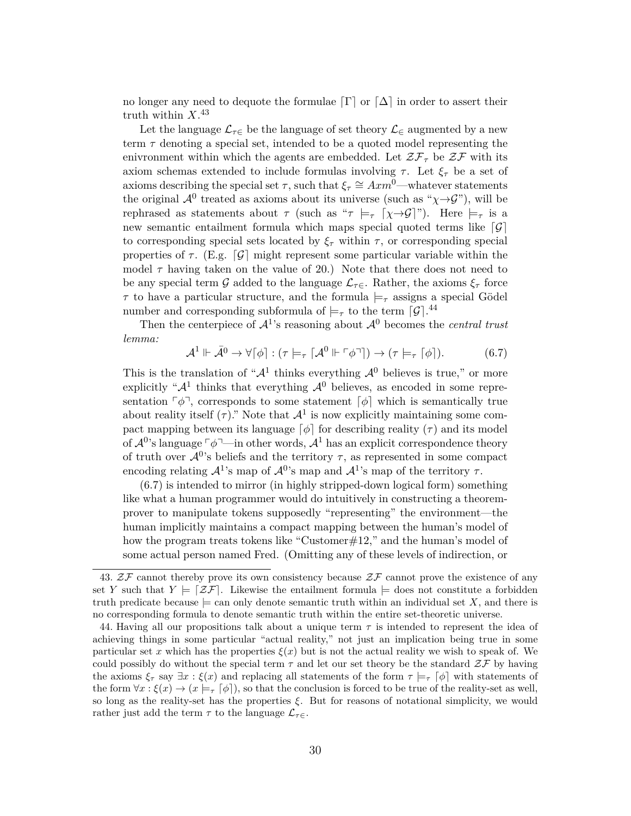no longer any need to dequote the formulae  $\lceil \Gamma \rceil$  or  $\lceil \Delta \rceil$  in order to assert their truth within  $X.^{43}$ 

Let the language  $\mathcal{L}_{\tau \in \mathcal{L}}$  be the language of set theory  $\mathcal{L}_{\in \mathcal{L}}$  augmented by a new term  $\tau$  denoting a special set, intended to be a quoted model representing the enivronment within which the agents are embedded. Let  $\mathcal{ZF}_{\tau}$  be  $\mathcal{ZF}$  with its axiom schemas extended to include formulas involving  $\tau$ . Let  $\xi_{\tau}$  be a set of axioms describing the special set  $\tau$ , such that  $\xi_{\tau} \cong Axm^{\overline{0}}$ —whatever statements the original  $\mathcal{A}^0$  treated as axioms about its universe (such as " $\chi \rightarrow \mathcal{G}$ "), will be rephrased as statements about  $\tau$  (such as " $\tau \models_{\tau} [\chi \rightarrow \mathcal{G}]$ "). Here  $\models_{\tau}$  is a new semantic entailment formula which maps special quoted terms like  $\lceil \mathcal{G} \rceil$ to corresponding special sets located by  $\xi_{\tau}$  within  $\tau$ , or corresponding special properties of  $\tau$ . (E.g.  $\lceil \mathcal{G} \rceil$  might represent some particular variable within the model  $\tau$  having taken on the value of 20.) Note that there does not need to be any special term G added to the language  $\mathcal{L}_{\tau \in \mathcal{L}}$ . Rather, the axioms  $\xi_{\tau}$  force  $\tau$  to have a particular structure, and the formula  $\models_{\tau}$  assigns a special Gödel number and corresponding subformula of  $\models_\tau$  to the term  $\lceil \mathcal{G} \rceil$ .<sup>44</sup>

Then the centerpiece of  $\mathcal{A}^1$ 's reasoning about  $\mathcal{A}^0$  becomes the *central trust lemma:*

$$
\mathcal{A}^1 \Vdash \bar{\mathcal{A}}^0 \to \forall [\phi] : (\tau \models_{\tau} [\mathcal{A}^0 \Vdash \ulcorner \phi \urcorner]) \to (\tau \models_{\tau} [\phi]). \tag{6.7}
$$

This is the translation of " $\mathcal{A}^1$  thinks everything  $\mathcal{A}^0$  believes is true," or more explicitly " $\mathcal{A}^1$  thinks that everything  $\mathcal{A}^0$  believes, as encoded in some representation  $\lceil \phi \rceil$ , corresponds to some statement  $\lceil \phi \rceil$  which is semantically true about reality itself  $(\tau)$ ." Note that  $\mathcal{A}^1$  is now explicitly maintaining some compact mapping between its language  $\lceil \phi \rceil$  for describing reality (τ) and its model of  $\mathcal{A}^{0}$ 's language  $\lceil \phi \rceil$ —in other words,  $\mathcal{A}^{1}$  has an explicit correspondence theory of truth over  $\mathcal{A}^{0}$ 's beliefs and the territory  $\tau$ , as represented in some compact encoding relating  $\mathcal{A}^1$ 's map of  $\mathcal{A}^0$ 's map and  $\mathcal{A}^1$ 's map of the territory  $\tau$ .

(6.7) is intended to mirror (in highly stripped-down logical form) something like what a human programmer would do intuitively in constructing a theoremprover to manipulate tokens supposedly "representing" the environment—the human implicitly maintains a compact mapping between the human's model of how the program treats tokens like "Customer#12," and the human's model of some actual person named Fred. (Omitting any of these levels of indirection, or

<sup>43.</sup>  $Z\mathcal{F}$  cannot thereby prove its own consistency because  $Z\mathcal{F}$  cannot prove the existence of any set Y such that  $Y \models \lceil \mathcal{Z} \mathcal{F} \rceil$ . Likewise the entailment formula  $\models$  does not constitute a forbidden truth predicate because  $\models$  can only denote semantic truth within an individual set X, and there is no corresponding formula to denote semantic truth within the entire set-theoretic universe.

<sup>44.</sup> Having all our propositions talk about a unique term  $\tau$  is intended to represent the idea of achieving things in some particular "actual reality," not just an implication being true in some particular set x which has the properties  $\xi(x)$  but is not the actual reality we wish to speak of. We could possibly do without the special term  $\tau$  and let our set theory be the standard  $Z\mathcal{F}$  by having the axioms  $\xi_{\tau}$  say  $\exists x : \xi(x)$  and replacing all statements of the form  $\tau \models_{\tau} [\phi]$  with statements of the form  $\forall x : \xi(x) \to (x \models_{\tau} [\phi]),$  so that the conclusion is forced to be true of the reality-set as well, so long as the reality-set has the properties  $\xi$ . But for reasons of notational simplicity, we would rather just add the term  $\tau$  to the language  $\mathcal{L}_{\tau\in}$ .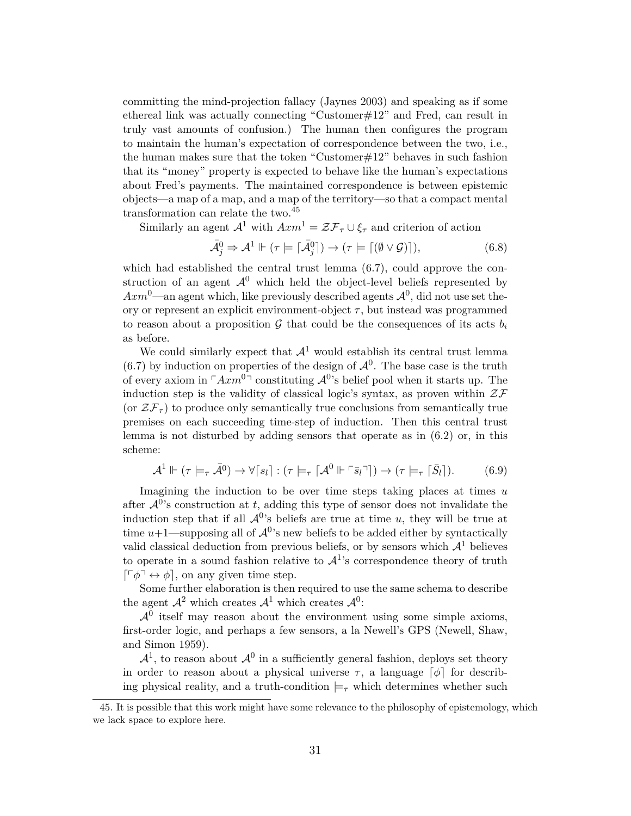committing the mind-projection fallacy (Jaynes 2003) and speaking as if some ethereal link was actually connecting "Customer#12" and Fred, can result in truly vast amounts of confusion.) The human then configures the program to maintain the human's expectation of correspondence between the two, i.e., the human makes sure that the token "Customer $\#12$ " behaves in such fashion that its "money" property is expected to behave like the human's expectations about Fred's payments. The maintained correspondence is between epistemic objects—a map of a map, and a map of the territory—so that a compact mental transformation can relate the two.<sup>45</sup>

Similarly an agent  $\mathcal{A}^1$  with  $A x m^1 = \mathcal{Z} \mathcal{F}_\tau \cup \xi_\tau$  and criterion of action

$$
\bar{\mathcal{A}}_j^0 \Rightarrow \mathcal{A}^1 \Vdash (\tau \models [\bar{\mathcal{A}}_j^0]) \rightarrow (\tau \models [(\emptyset \lor \mathcal{G})]),\tag{6.8}
$$

which had established the central trust lemma (6.7), could approve the construction of an agent  $\mathcal{A}^0$  which held the object-level beliefs represented by  $Axm^0$ —an agent which, like previously described agents  $\mathcal{A}^0$ , did not use set theory or represent an explicit environment-object  $\tau$ , but instead was programmed to reason about a proposition  $G$  that could be the consequences of its acts  $b_i$ as before.

We could similarly expect that  $\mathcal{A}^1$  would establish its central trust lemma  $(6.7)$  by induction on properties of the design of  $\mathcal{A}^0$ . The base case is the truth of every axiom in  $\lceil Axm^{0}\rceil$  constituting  $\mathcal{A}^{0}$ 's belief pool when it starts up. The induction step is the validity of classical logic's syntax, as proven within  $\mathcal{ZF}$ (or  $\mathcal{ZF}_{\tau}$ ) to produce only semantically true conclusions from semantically true premises on each succeeding time-step of induction. Then this central trust lemma is not disturbed by adding sensors that operate as in (6.2) or, in this scheme:

$$
\mathcal{A}^1 \Vdash (\tau \models_\tau \bar{\mathcal{A}}^0) \to \forall [s_l] : (\tau \models_\tau [\mathcal{A}^0 \Vdash \ulcorner \bar{s}_l \urcorner]) \to (\tau \models_\tau [\bar{S}_l]).\tag{6.9}
$$

Imagining the induction to be over time steps taking places at times u after  $\mathcal{A}^{0}$ 's construction at t, adding this type of sensor does not invalidate the induction step that if all  $\mathcal{A}^{0}$ 's beliefs are true at time u, they will be true at time  $u+1$ —supposing all of  $\mathcal{A}^{0}$ 's new beliefs to be added either by syntactically valid classical deduction from previous beliefs, or by sensors which  $\mathcal{A}^1$  believes to operate in a sound fashion relative to  $\mathcal{A}^1$ 's correspondence theory of truth  $\lceil \lceil \phi \rceil \leftrightarrow \phi \rceil$ , on any given time step.

Some further elaboration is then required to use the same schema to describe the agent  $\mathcal{A}^2$  which creates  $\mathcal{A}^1$  which creates  $\mathcal{A}^0$ :

 $\mathcal{A}^0$  itself may reason about the environment using some simple axioms, first-order logic, and perhaps a few sensors, a la Newell's GPS (Newell, Shaw, and Simon 1959).

 $\mathcal{A}^1$ , to reason about  $\mathcal{A}^0$  in a sufficiently general fashion, deploys set theory in order to reason about a physical universe  $\tau$ , a language  $\lceil \phi \rceil$  for describing physical reality, and a truth-condition  $\models_{\tau}$  which determines whether such

<sup>45.</sup> It is possible that this work might have some relevance to the philosophy of epistemology, which we lack space to explore here.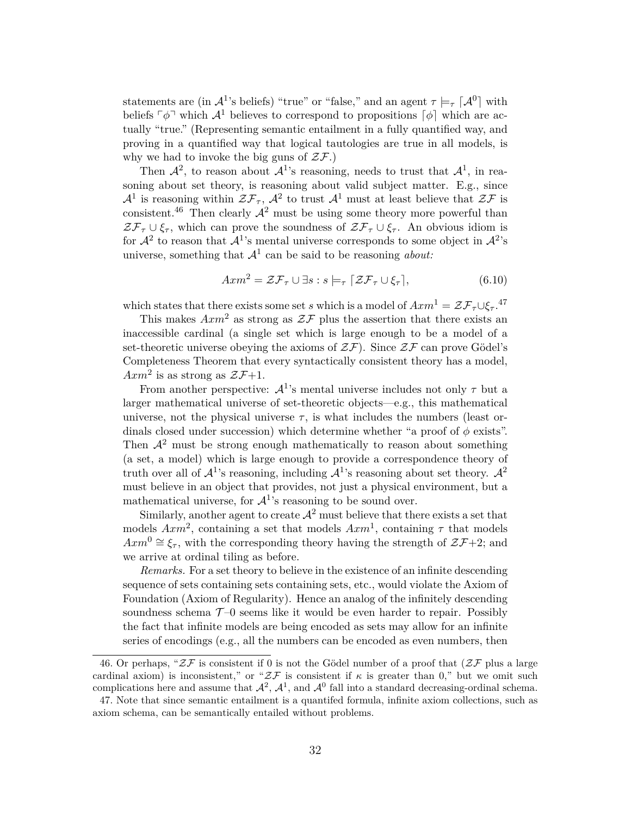statements are (in  $\mathcal{A}^1$ 's beliefs) "true" or "false," and an agent  $\tau \models_{\tau} [\mathcal{A}^0]$  with beliefs  $\lceil \phi \rceil$  which  $\mathcal{A}^1$  believes to correspond to propositions  $\lceil \phi \rceil$  which are actually "true." (Representing semantic entailment in a fully quantified way, and proving in a quantified way that logical tautologies are true in all models, is why we had to invoke the big guns of  $\mathcal{ZF}.$ 

Then  $\mathcal{A}^2$ , to reason about  $\mathcal{A}^1$ 's reasoning, needs to trust that  $\mathcal{A}^1$ , in reasoning about set theory, is reasoning about valid subject matter. E.g., since  $\mathcal{A}^1$  is reasoning within  $\mathcal{ZF}_{\tau}$ ,  $\mathcal{A}^2$  to trust  $\mathcal{A}^1$  must at least believe that  $\mathcal{ZF}$  is consistent.<sup>46</sup> Then clearly  $A^2$  must be using some theory more powerful than  $\mathcal{ZF}_{\tau}\cup \xi_{\tau}$ , which can prove the soundness of  $\mathcal{ZF}_{\tau}\cup \xi_{\tau}$ . An obvious idiom is for  $\mathcal{A}^2$  to reason that  $\mathcal{A}^1$ 's mental universe corresponds to some object in  $\mathcal{A}^2$ 's universe, something that  $\mathcal{A}^1$  can be said to be reasoning *about:* 

$$
A x m^2 = \mathcal{Z} \mathcal{F}_{\tau} \cup \exists s : s \models_{\tau} [\mathcal{Z} \mathcal{F}_{\tau} \cup \xi_{\tau}], \tag{6.10}
$$

which states that there exists some set s which is a model of  $Axm^1 = \mathcal{ZF}_{\tau}\cup \xi_{\tau}$ .<sup>47</sup>

This makes  $A x m^2$  as strong as  $\mathcal{Z} \mathcal{F}$  plus the assertion that there exists an inaccessible cardinal (a single set which is large enough to be a model of a set-theoretic universe obeying the axioms of  $\mathcal{ZF}$ ). Since  $\mathcal{ZF}$  can prove Gödel's Completeness Theorem that every syntactically consistent theory has a model,  $Axm^2$  is as strong as  $\mathcal{ZF}+1$ .

From another perspective:  $\mathcal{A}^1$ 's mental universe includes not only  $\tau$  but a larger mathematical universe of set-theoretic objects—e.g., this mathematical universe, not the physical universe  $\tau$ , is what includes the numbers (least ordinals closed under succession) which determine whether "a proof of  $\phi$  exists". Then  $\mathcal{A}^2$  must be strong enough mathematically to reason about something (a set, a model) which is large enough to provide a correspondence theory of truth over all of  $\mathcal{A}^1$ 's reasoning, including  $\mathcal{A}^1$ 's reasoning about set theory.  $\mathcal{A}^2$ must believe in an object that provides, not just a physical environment, but a mathematical universe, for  $\mathcal{A}^1$ 's reasoning to be sound over.

Similarly, another agent to create  $\mathcal{A}^2$  must believe that there exists a set that models  $Axm^2$ , containing a set that models  $Axm^1$ , containing  $\tau$  that models  $Axm^0 \cong \xi_{\tau}$ , with the corresponding theory having the strength of  $\mathcal{ZF}+2$ ; and we arrive at ordinal tiling as before.

*Remarks.* For a set theory to believe in the existence of an infinite descending sequence of sets containing sets containing sets, etc., would violate the Axiom of Foundation (Axiom of Regularity). Hence an analog of the infinitely descending soundness schema  $\mathcal{T}$ -0 seems like it would be even harder to repair. Possibly the fact that infinite models are being encoded as sets may allow for an infinite series of encodings (e.g., all the numbers can be encoded as even numbers, then

<sup>46.</sup> Or perhaps, " $2\mathcal{F}$  is consistent if 0 is not the Gödel number of a proof that  $(2\mathcal{F}$  plus a large cardinal axiom) is inconsistent," or " $Z\mathcal{F}$  is consistent if  $\kappa$  is greater than 0," but we omit such complications here and assume that  $\mathcal{A}^2$ ,  $\mathcal{A}^1$ , and  $\mathcal{A}^0$  fall into a standard decreasing-ordinal schema.

<sup>47.</sup> Note that since semantic entailment is a quantifed formula, infinite axiom collections, such as axiom schema, can be semantically entailed without problems.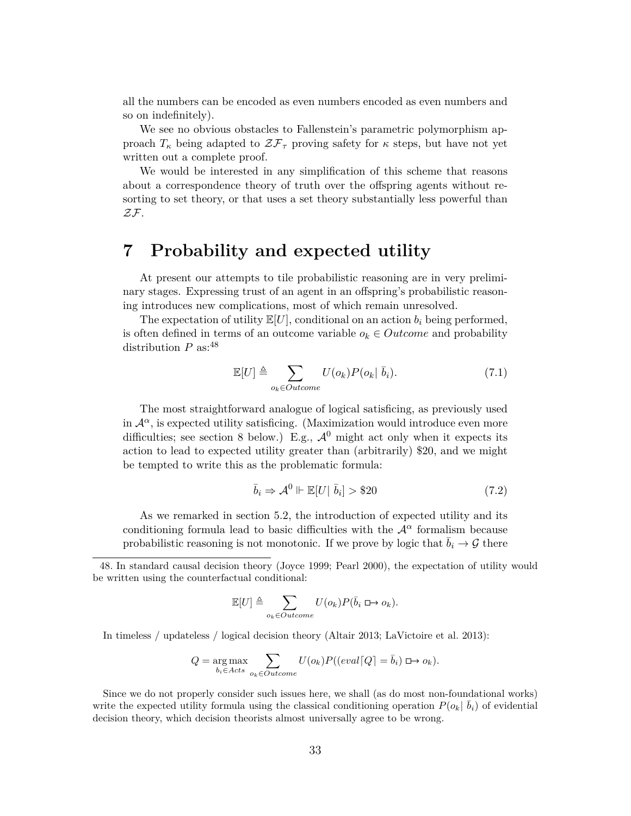all the numbers can be encoded as even numbers encoded as even numbers and so on indefinitely).

We see no obvious obstacles to Fallenstein's parametric polymorphism approach  $T_{\kappa}$  being adapted to  $\mathcal{ZF}_{\tau}$  proving safety for  $\kappa$  steps, but have not yet written out a complete proof.

We would be interested in any simplification of this scheme that reasons about a correspondence theory of truth over the offspring agents without resorting to set theory, or that uses a set theory substantially less powerful than ZF.

### **7 Probability and expected utility**

At present our attempts to tile probabilistic reasoning are in very preliminary stages. Expressing trust of an agent in an offspring's probabilistic reasoning introduces new complications, most of which remain unresolved.

The expectation of utility  $\mathbb{E}[U]$ , conditional on an action  $b_i$  being performed, is often defined in terms of an outcome variable  $o_k \in Outcome$  and probability distribution  $P$  as:  $48$ 

$$
\mathbb{E}[U] \triangleq \sum_{o_k \in Outcome} U(o_k)P(o_k | \bar{b}_i). \tag{7.1}
$$

The most straightforward analogue of logical satisficing, as previously used in  $\mathcal{A}^{\alpha}$ , is expected utility satisficing. (Maximization would introduce even more difficulties; see section 8 below.) E.g.,  $\mathcal{A}^0$  might act only when it expects its action to lead to expected utility greater than (arbitrarily) \$20, and we might be tempted to write this as the problematic formula:

$$
\bar{b}_i \Rightarrow \mathcal{A}^0 \Vdash \mathbb{E}[U|\ \bar{b}_i] > \$20\tag{7.2}
$$

As we remarked in section 5.2, the introduction of expected utility and its conditioning formula lead to basic difficulties with the  $\mathcal{A}^{\alpha}$  formalism because probabilistic reasoning is not monotonic. If we prove by logic that  $\bar{b}_i \to \mathcal{G}$  there

$$
\mathbb{E}[U] \triangleq \sum_{o_k \in Outcome} U(o_k)P(\bar{b}_i \boxplus o_k).
$$

In timeless / updateless / logical decision theory (Altair 2013; LaVictoire et al. 2013):

$$
Q = \underset{b_i \in Acts}{\arg \max} \sum_{o_k \in Outcome} U(o_k)P((eval\lceil Q \rceil = \bar{b}_i) \sqcup o_k).
$$

Since we do not properly consider such issues here, we shall (as do most non-foundational works) write the expected utility formula using the classical conditioning operation  $P(o_k | \bar{b}_i)$  of evidential decision theory, which decision theorists almost universally agree to be wrong.

<sup>48.</sup> In standard causal decision theory (Joyce 1999; Pearl 2000), the expectation of utility would be written using the counterfactual conditional: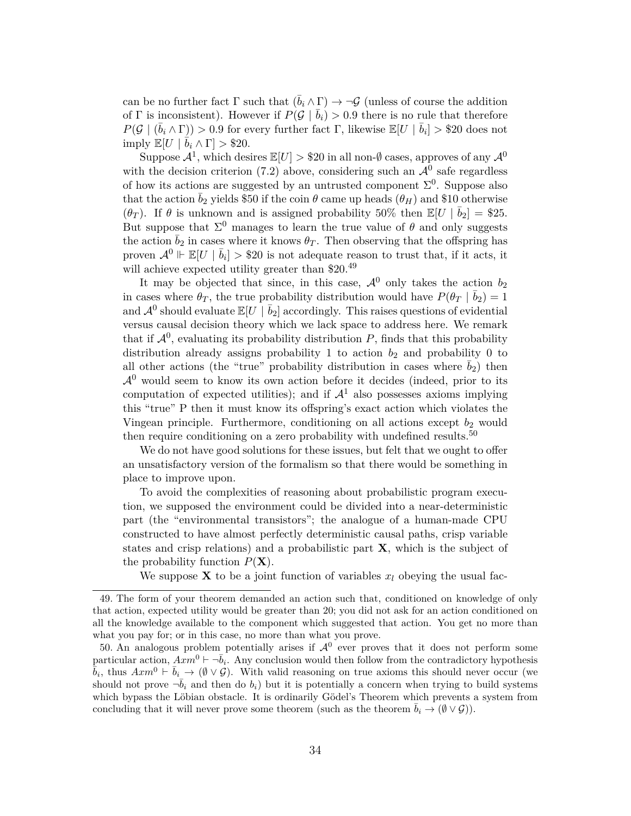can be no further fact  $\Gamma$  such that  $(\bar{b}_i \wedge \Gamma) \rightarrow \neg \mathcal{G}$  (unless of course the addition of Γ is inconsistent). However if  $P(\mathcal{G} | \bar{b}_i) > 0.9$  there is no rule that therefore  $P(\mathcal{G} \mid (\bar{b}_i \wedge \Gamma)) > 0.9$  for every further fact  $\Gamma$ , likewise  $\mathbb{E}[U \mid \bar{b}_i] > $20$  does not imply  $\mathbb{E}[U \mid \overline{b}_i \wedge \Gamma] > $20.$ 

Suppose  $\mathcal{A}^1$ , which desires  $\mathbb{E}[U] > $20$  in all non- $\emptyset$  cases, approves of any  $\mathcal{A}^0$ with the decision criterion (7.2) above, considering such an  $\mathcal{A}^0$  safe regardless of how its actions are suggested by an untrusted component  $\Sigma^0$ . Suppose also that the action  $\bar{b}_2$  yields \$50 if the coin  $\theta$  came up heads  $(\theta_H)$  and \$10 otherwise  $(\theta_T)$ . If  $\theta$  is unknown and is assigned probability 50% then  $\mathbb{E}[U | \bar{b}_2] = $25$ . But suppose that  $\Sigma^0$  manages to learn the true value of  $\theta$  and only suggests the action  $\bar{b}_2$  in cases where it knows  $\theta_T$ . Then observing that the offspring has proven  $\mathcal{A}^0 \Vdash \mathbb{E}[U \mid \bar{b}_i] > $20$  is not adequate reason to trust that, if it acts, it will achieve expected utility greater than \$20.<sup>49</sup>

It may be objected that since, in this case,  $\mathcal{A}^0$  only takes the action  $b_2$ in cases where  $\theta_T$ , the true probability distribution would have  $P(\theta_T | \bar{b}_2) = 1$ and  $\mathcal{A}^0$  should evaluate  $\mathbb{E}[U \mid \bar{b}_2]$  accordingly. This raises questions of evidential versus causal decision theory which we lack space to address here. We remark that if  $\mathcal{A}^0$ , evaluating its probability distribution P, finds that this probability distribution already assigns probability 1 to action  $b_2$  and probability 0 to all other actions (the "true" probability distribution in cases where  $b_2$ ) then  $\mathcal{A}^0$  would seem to know its own action before it decides (indeed, prior to its computation of expected utilities); and if  $\mathcal{A}^1$  also possesses axioms implying this "true" P then it must know its offspring's exact action which violates the Vingean principle. Furthermore, conditioning on all actions except  $b_2$  would then require conditioning on a zero probability with undefined results.<sup>50</sup>

We do not have good solutions for these issues, but felt that we ought to offer an unsatisfactory version of the formalism so that there would be something in place to improve upon.

To avoid the complexities of reasoning about probabilistic program execution, we supposed the environment could be divided into a near-deterministic part (the "environmental transistors"; the analogue of a human-made CPU constructed to have almost perfectly deterministic causal paths, crisp variable states and crisp relations) and a probabilistic part **X**, which is the subject of the probability function  $P(X)$ .

We suppose **X** to be a joint function of variables  $x_l$  obeying the usual fac-

<sup>49.</sup> The form of your theorem demanded an action such that, conditioned on knowledge of only that action, expected utility would be greater than 20; you did not ask for an action conditioned on all the knowledge available to the component which suggested that action. You get no more than what you pay for; or in this case, no more than what you prove.

<sup>50.</sup> An analogous problem potentially arises if  $\mathcal{A}^0$  ever proves that it does not perform some particular action,  $A x m^0 \vdash \neg \overline{b}_i$ . Any conclusion would then follow from the contradictory hypothesis  $\bar{\bar{b}}_i$ , thus  $Axm^0 \vdash \bar{b}_i \to (\emptyset \vee \mathcal{G})$ . With valid reasoning on true axioms this should never occur (we should not prove  $\bar{-b}_i$  and then do  $b_i$ ) but it is potentially a concern when trying to build systems which bypass the Löbian obstacle. It is ordinarily Gödel's Theorem which prevents a system from concluding that it will never prove some theorem (such as the theorem  $b_i \to (\emptyset \vee \mathcal{G})$ ).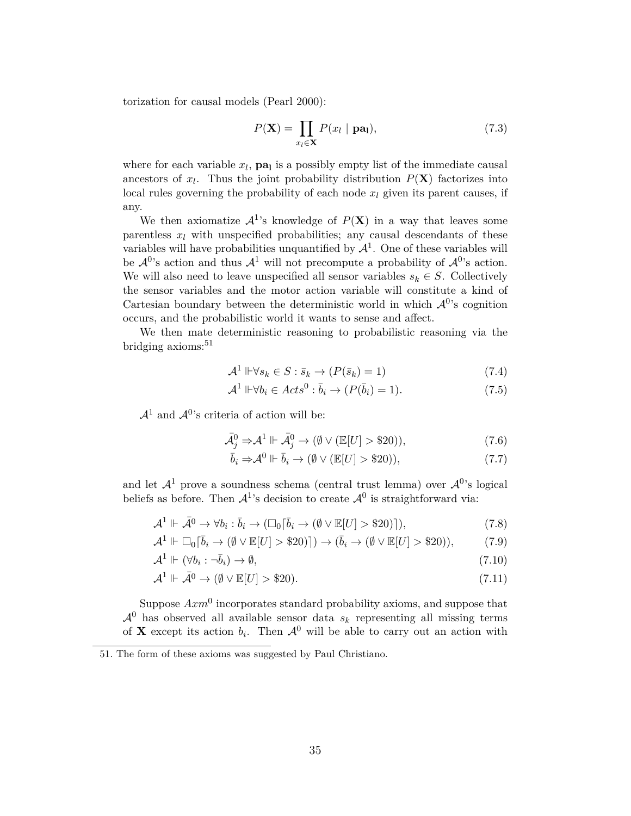torization for causal models (Pearl 2000):

$$
P(\mathbf{X}) = \prod_{x_l \in \mathbf{X}} P(x_l \mid \mathbf{pa}_l),\tag{7.3}
$$

where for each variable  $x_l$ ,  $pa_l$  is a possibly empty list of the immediate causal ancestors of  $x_l$ . Thus the joint probability distribution  $P(\mathbf{X})$  factorizes into local rules governing the probability of each node  $x_l$  given its parent causes, if any.

We then axiomatize  $\mathcal{A}^1$ 's knowledge of  $P(X)$  in a way that leaves some parentless  $x_l$  with unspecified probabilities; any causal descendants of these variables will have probabilities unquantified by  $\mathcal{A}^1$ . One of these variables will be  $\mathcal{A}^{0}$ 's action and thus  $\mathcal{A}^{1}$  will not precompute a probability of  $\mathcal{A}^{0}$ 's action. We will also need to leave unspecified all sensor variables  $s_k \in S$ . Collectively the sensor variables and the motor action variable will constitute a kind of Cartesian boundary between the deterministic world in which  $\mathcal{A}^{0}$ 's cognition occurs, and the probabilistic world it wants to sense and affect.

We then mate deterministic reasoning to probabilistic reasoning via the bridging axioms:<sup>51</sup>

$$
\mathcal{A}^1 \Vdash \forall s_k \in S : \bar{s}_k \to (P(\bar{s}_k) = 1)
$$
\n
$$
(7.4)
$$

$$
\mathcal{A}^1 \Vdash \forall b_i \in \mathit{Acts}^0 : \overline{b}_i \to (P(\overline{b}_i) = 1). \tag{7.5}
$$

 $\mathcal{A}^1$  and  $\mathcal{A}^0$ 's criteria of action will be:

$$
\bar{\mathcal{A}}_j^0 \Rightarrow \mathcal{A}^1 \Vdash \bar{\mathcal{A}}_j^0 \to (\emptyset \vee (\mathbb{E}[U] > \$20)),\tag{7.6}
$$

$$
\bar{b}_i \Rightarrow \mathcal{A}^0 \Vdash \bar{b}_i \to (\emptyset \vee (\mathbb{E}[U] > \$ 20)), \tag{7.7}
$$

and let  $\mathcal{A}^1$  prove a soundness schema (central trust lemma) over  $\mathcal{A}^0$ 's logical beliefs as before. Then  $\mathcal{A}^1$ 's decision to create  $\mathcal{A}^0$  is straightforward via:

$$
\mathcal{A}^1 \Vdash \bar{\mathcal{A}}^0 \to \forall b_i : \bar{b}_i \to (\Box_0[\bar{b}_i \to (\emptyset \lor \mathbb{E}[U] > \$ 20)]), \tag{7.8}
$$

$$
\mathcal{A}^1 \Vdash \Box_0[\bar{b}_i \to (\emptyset \vee \mathbb{E}[U] > \$20)]) \to (\bar{b}_i \to (\emptyset \vee \mathbb{E}[U] > \$20)),\tag{7.9}
$$

$$
\mathcal{A}^1 \Vdash (\forall b_i : \neg \bar{b}_i) \to \emptyset,\tag{7.10}
$$

$$
\mathcal{A}^1 \Vdash \bar{\mathcal{A}}^0 \to (\emptyset \vee \mathbb{E}[U] > \$20). \tag{7.11}
$$

Suppose  $Axm^0$  incorporates standard probability axioms, and suppose that  $\mathcal{A}^0$  has observed all available sensor data  $s_k$  representing all missing terms of **X** except its action  $b_i$ . Then  $\mathcal{A}^0$  will be able to carry out an action with

<sup>51.</sup> The form of these axioms was suggested by Paul Christiano.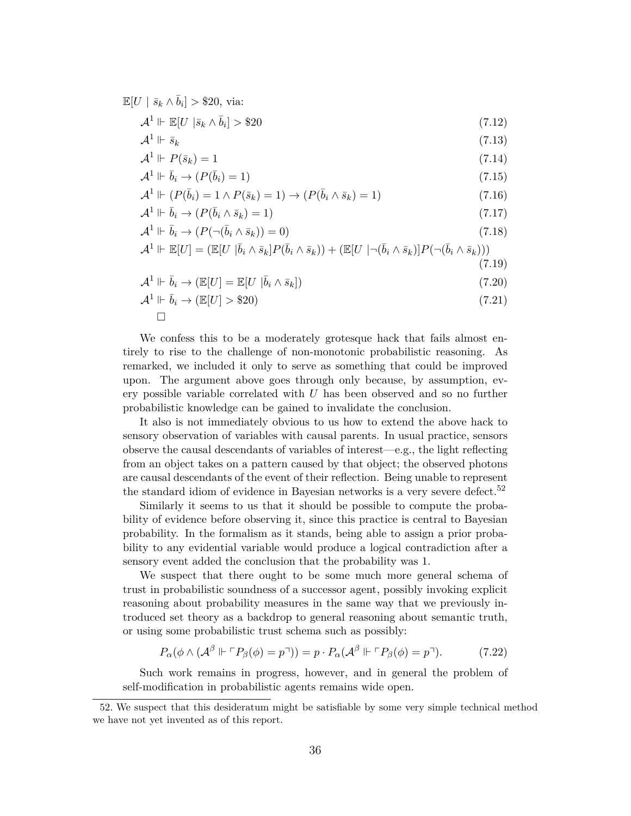$$
\mathcal{A}^1 \Vdash \mathbb{E}[U \mid \bar{s}_k \wedge \bar{b}_i] > \$20
$$
\n
$$
\mathcal{A}^1 \Vdash \bar{s}_k
$$
\n
$$
\mathcal{A}^1 \Vdash P(\bar{s}_k) = 1
$$
\n
$$
\mathcal{A}^1 \Vdash \bar{b}_i \rightarrow (P(\bar{b}_i) = 1)
$$
\n
$$
\mathcal{A}^1 \Vdash (P(\bar{b}_i) = 1 \wedge P(\bar{s}_k) = 1) \rightarrow (P(\bar{b}_i \wedge \bar{s}_k) = 1)
$$
\n(7.14)\n
$$
(7.15)
$$
\n
$$
\mathcal{A}^1 \Vdash (P(\bar{b}_i) = 1 \wedge P(\bar{s}_k) = 1) \rightarrow (P(\bar{b}_i \wedge \bar{s}_k) = 1)
$$
\n(7.16)

 $\mathbb{E}[U \mid \bar{s}_k \wedge \bar{b}_i] > $20$ , via:

$$
\mathcal{A}^1 \Vdash \overline{b}_i \to (P(\overline{b}_i \wedge \overline{s}_k) = 1) \tag{7.17}
$$

$$
\mathcal{A}^1 \Vdash \bar{b}_i \to (P(\neg(\bar{b}_i \land \bar{s}_k)) = 0) \tag{7.18}
$$

$$
\mathcal{A}^1 \Vdash \mathbb{E}[U] = (\mathbb{E}[U \mid \bar{b}_i \wedge \bar{s}_k] P(\bar{b}_i \wedge \bar{s}_k)) + (\mathbb{E}[U \mid \neg(\bar{b}_i \wedge \bar{s}_k)] P(\neg(\bar{b}_i \wedge \bar{s}_k)))
$$
\n(7.19)

$$
\mathcal{A}^1 \Vdash \bar{b}_i \to (\mathbb{E}[U] = \mathbb{E}[U \mid \bar{b}_i \land \bar{s}_k]) \tag{7.20}
$$

$$
\mathcal{A}^1 \Vdash \overline{b}_i \to (\mathbb{E}[U] > \$20) \tag{7.21}
$$

We confess this to be a moderately grotesque hack that fails almost entirely to rise to the challenge of non-monotonic probabilistic reasoning. As remarked, we included it only to serve as something that could be improved upon. The argument above goes through only because, by assumption, every possible variable correlated with  $U$  has been observed and so no further probabilistic knowledge can be gained to invalidate the conclusion.

It also is not immediately obvious to us how to extend the above hack to sensory observation of variables with causal parents. In usual practice, sensors observe the causal descendants of variables of interest—e.g., the light reflecting from an object takes on a pattern caused by that object; the observed photons are causal descendants of the event of their reflection. Being unable to represent the standard idiom of evidence in Bayesian networks is a very severe defect.<sup>52</sup>

Similarly it seems to us that it should be possible to compute the probability of evidence before observing it, since this practice is central to Bayesian probability. In the formalism as it stands, being able to assign a prior probability to any evidential variable would produce a logical contradiction after a sensory event added the conclusion that the probability was 1.

We suspect that there ought to be some much more general schema of trust in probabilistic soundness of a successor agent, possibly invoking explicit reasoning about probability measures in the same way that we previously introduced set theory as a backdrop to general reasoning about semantic truth, or using some probabilistic trust schema such as possibly:

$$
P_{\alpha}(\phi \wedge (\mathcal{A}^{\beta} \Vdash \ulcorner P_{\beta}(\phi) = p \urcorner)) = p \cdot P_{\alpha}(\mathcal{A}^{\beta} \Vdash \ulcorner P_{\beta}(\phi) = p \urcorner). \tag{7.22}
$$

Such work remains in progress, however, and in general the problem of self-modification in probabilistic agents remains wide open.

<sup>52.</sup> We suspect that this desideratum might be satisfiable by some very simple technical method we have not yet invented as of this report.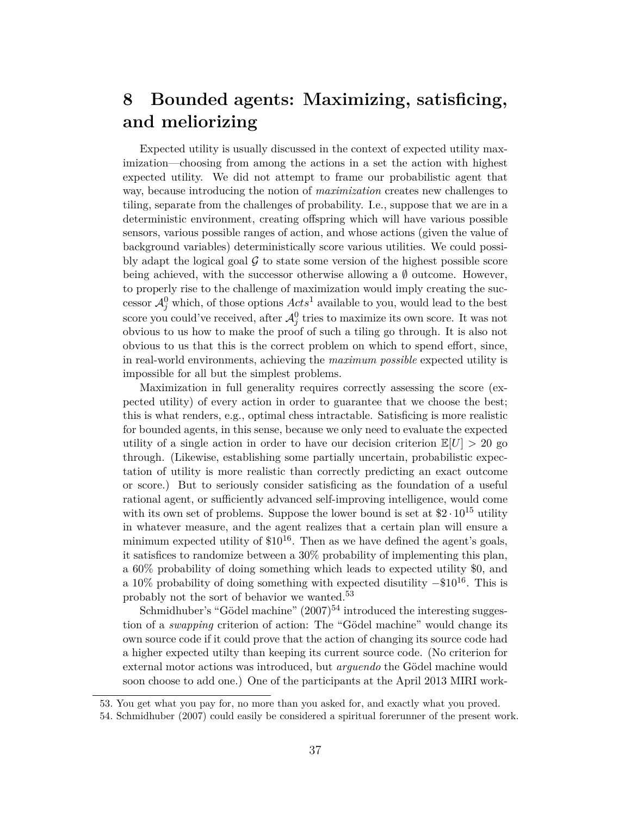## **8 Bounded agents: Maximizing, satisficing, and meliorizing**

Expected utility is usually discussed in the context of expected utility maximization—choosing from among the actions in a set the action with highest expected utility. We did not attempt to frame our probabilistic agent that way, because introducing the notion of *maximization* creates new challenges to tiling, separate from the challenges of probability. I.e., suppose that we are in a deterministic environment, creating offspring which will have various possible sensors, various possible ranges of action, and whose actions (given the value of background variables) deterministically score various utilities. We could possibly adapt the logical goal  $\mathcal G$  to state some version of the highest possible score being achieved, with the successor otherwise allowing a  $\emptyset$  outcome. However, to properly rise to the challenge of maximization would imply creating the successor  $\mathcal{A}_{j}^{0}$  which, of those options  $Acts^{1}$  available to you, would lead to the best score you could've received, after  $\mathcal{A}_{j}^{0}$  tries to maximize its own score. It was not obvious to us how to make the proof of such a tiling go through. It is also not obvious to us that this is the correct problem on which to spend effort, since, in real-world environments, achieving the *maximum possible* expected utility is impossible for all but the simplest problems.

Maximization in full generality requires correctly assessing the score (expected utility) of every action in order to guarantee that we choose the best; this is what renders, e.g., optimal chess intractable. Satisficing is more realistic for bounded agents, in this sense, because we only need to evaluate the expected utility of a single action in order to have our decision criterion  $\mathbb{E}[U] > 20$  go through. (Likewise, establishing some partially uncertain, probabilistic expectation of utility is more realistic than correctly predicting an exact outcome or score.) But to seriously consider satisficing as the foundation of a useful rational agent, or sufficiently advanced self-improving intelligence, would come with its own set of problems. Suppose the lower bound is set at  $2 \cdot 10^{15}$  utility in whatever measure, and the agent realizes that a certain plan will ensure a minimum expected utility of  $$10^{16}$ . Then as we have defined the agent's goals, it satisfices to randomize between a 30% probability of implementing this plan, a 60% probability of doing something which leads to expected utility \$0, and a 10% probability of doing something with expected disutility  $-\$10^{16}$ . This is probably not the sort of behavior we wanted.<sup>53</sup>

Schmidhuber's "Gödel machine"  $(2007)^{54}$  introduced the interesting suggestion of a *swapping* criterion of action: The "Gödel machine" would change its own source code if it could prove that the action of changing its source code had a higher expected utilty than keeping its current source code. (No criterion for external motor actions was introduced, but *arguendo* the Gödel machine would soon choose to add one.) One of the participants at the April 2013 MIRI work-

<sup>53.</sup> You get what you pay for, no more than you asked for, and exactly what you proved.

<sup>54.</sup> Schmidhuber (2007) could easily be considered a spiritual forerunner of the present work.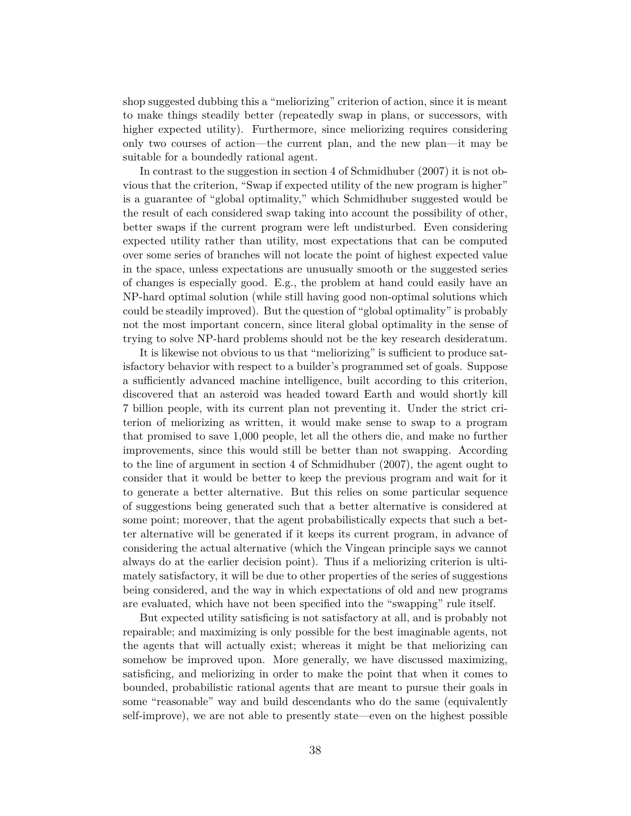shop suggested dubbing this a "meliorizing" criterion of action, since it is meant to make things steadily better (repeatedly swap in plans, or successors, with higher expected utility). Furthermore, since meliorizing requires considering only two courses of action—the current plan, and the new plan—it may be suitable for a boundedly rational agent.

In contrast to the suggestion in section 4 of Schmidhuber (2007) it is not obvious that the criterion, "Swap if expected utility of the new program is higher" is a guarantee of "global optimality," which Schmidhuber suggested would be the result of each considered swap taking into account the possibility of other, better swaps if the current program were left undisturbed. Even considering expected utility rather than utility, most expectations that can be computed over some series of branches will not locate the point of highest expected value in the space, unless expectations are unusually smooth or the suggested series of changes is especially good. E.g., the problem at hand could easily have an NP-hard optimal solution (while still having good non-optimal solutions which could be steadily improved). But the question of "global optimality" is probably not the most important concern, since literal global optimality in the sense of trying to solve NP-hard problems should not be the key research desideratum.

It is likewise not obvious to us that "meliorizing" is sufficient to produce satisfactory behavior with respect to a builder's programmed set of goals. Suppose a sufficiently advanced machine intelligence, built according to this criterion, discovered that an asteroid was headed toward Earth and would shortly kill 7 billion people, with its current plan not preventing it. Under the strict criterion of meliorizing as written, it would make sense to swap to a program that promised to save 1,000 people, let all the others die, and make no further improvements, since this would still be better than not swapping. According to the line of argument in section 4 of Schmidhuber (2007), the agent ought to consider that it would be better to keep the previous program and wait for it to generate a better alternative. But this relies on some particular sequence of suggestions being generated such that a better alternative is considered at some point; moreover, that the agent probabilistically expects that such a better alternative will be generated if it keeps its current program, in advance of considering the actual alternative (which the Vingean principle says we cannot always do at the earlier decision point). Thus if a meliorizing criterion is ultimately satisfactory, it will be due to other properties of the series of suggestions being considered, and the way in which expectations of old and new programs are evaluated, which have not been specified into the "swapping" rule itself.

But expected utility satisficing is not satisfactory at all, and is probably not repairable; and maximizing is only possible for the best imaginable agents, not the agents that will actually exist; whereas it might be that meliorizing can somehow be improved upon. More generally, we have discussed maximizing, satisficing, and meliorizing in order to make the point that when it comes to bounded, probabilistic rational agents that are meant to pursue their goals in some "reasonable" way and build descendants who do the same (equivalently self-improve), we are not able to presently state—even on the highest possible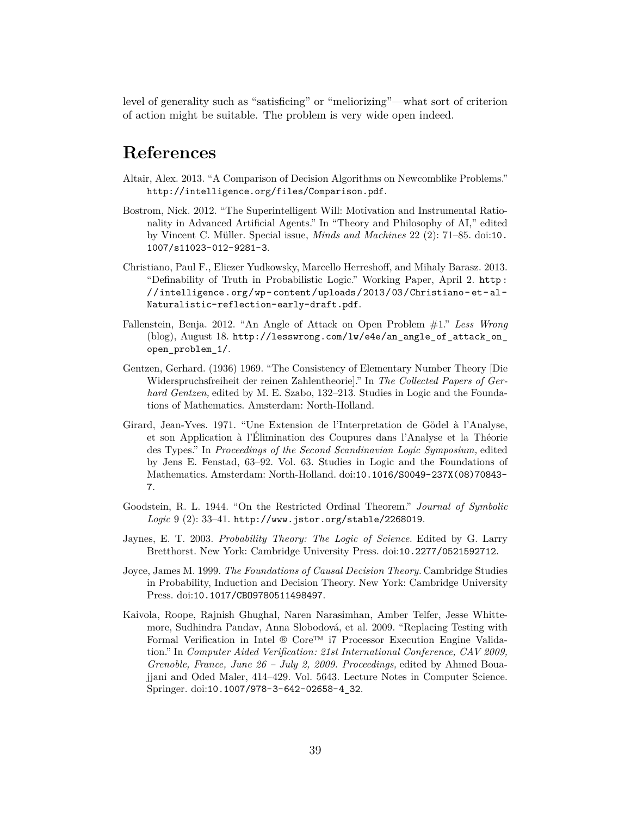level of generality such as "satisficing" or "meliorizing"—what sort of criterion of action might be suitable. The problem is very wide open indeed.

### **References**

- Altair, Alex. 2013. "A Comparison of Decision Algorithms on Newcomblike Problems." http://intelligence.org/files/Comparison.pdf.
- Bostrom, Nick. 2012. "The Superintelligent Will: Motivation and Instrumental Rationality in Advanced Artificial Agents." In "Theory and Philosophy of AI," edited by Vincent C. Müller. Special issue, *Minds and Machines* 22 (2): 71–85. doi:10. 1007/s11023-012-9281-3.
- Christiano, Paul F., Eliezer Yudkowsky, Marcello Herreshoff, and Mihaly Barasz. 2013. "Definability of Truth in Probabilistic Logic." Working Paper, April 2. http : //intelligence.org/wp- content/uploads/2013/03/Christiano- et- al-Naturalistic-reflection-early-draft.pdf.
- Fallenstein, Benja. 2012. "An Angle of Attack on Open Problem #1." *Less Wrong* (blog), August 18. http://lesswrong.com/lw/e4e/an\_angle\_of\_attack\_on open\_problem\_1/.
- Gentzen, Gerhard. (1936) 1969. "The Consistency of Elementary Number Theory [Die Widerspruchsfreiheit der reinen Zahlentheorie]." In *The Collected Papers of Gerhard Gentzen,* edited by M. E. Szabo, 132–213. Studies in Logic and the Foundations of Mathematics. Amsterdam: North-Holland.
- Girard, Jean-Yves. 1971. "Une Extension de l'Interpretation de Gödel à l'Analyse, et son Application à l'Élimination des Coupures dans l'Analyse et la Théorie des Types." In *Proceedings of the Second Scandinavian Logic Symposium,* edited by Jens E. Fenstad, 63–92. Vol. 63. Studies in Logic and the Foundations of Mathematics. Amsterdam: North-Holland. doi:10.1016/S0049-237X(08)70843- 7.
- Goodstein, R. L. 1944. "On the Restricted Ordinal Theorem." *Journal of Symbolic Logic* 9 (2): 33–41. http://www.jstor.org/stable/2268019.
- Jaynes, E. T. 2003. *Probability Theory: The Logic of Science.* Edited by G. Larry Bretthorst. New York: Cambridge University Press. doi:10.2277/0521592712.
- Joyce, James M. 1999. *The Foundations of Causal Decision Theory.* Cambridge Studies in Probability, Induction and Decision Theory. New York: Cambridge University Press. doi:10.1017/CBO9780511498497.
- Kaivola, Roope, Rajnish Ghughal, Naren Narasimhan, Amber Telfer, Jesse Whittemore, Sudhindra Pandav, Anna Slobodová, et al. 2009. "Replacing Testing with Formal Verification in Intel ® Core™ i7 Processor Execution Engine Validation." In *Computer Aided Verification: 21st International Conference, CAV 2009, Grenoble, France, June 26 – July 2, 2009. Proceedings,* edited by Ahmed Bouajjani and Oded Maler, 414–429. Vol. 5643. Lecture Notes in Computer Science. Springer. doi:10.1007/978-3-642-02658-4\_32.